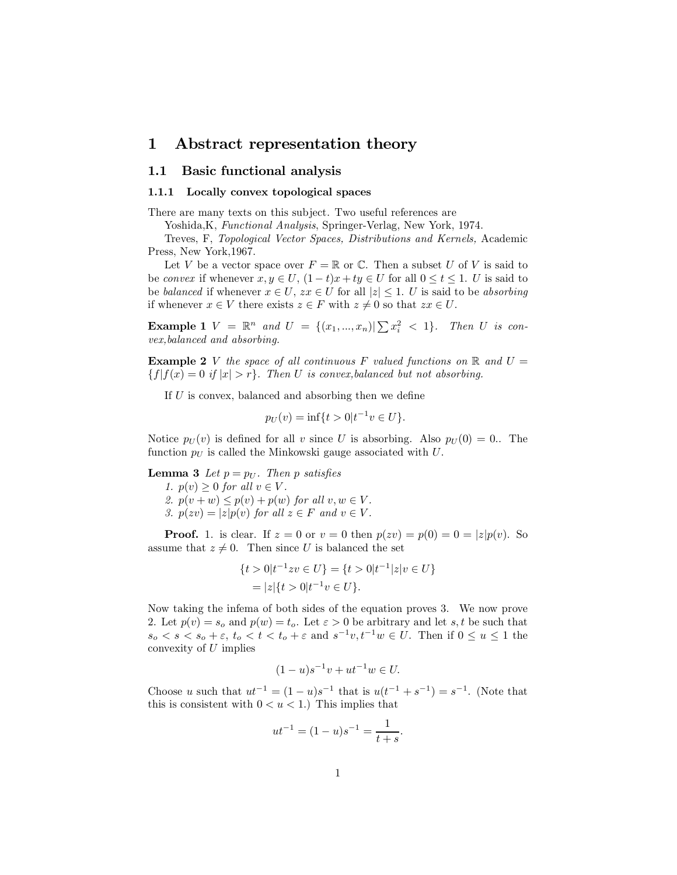# 1 Abstract representation theory

# 1.1 Basic functional analysis

### 1.1.1 Locally convex topological spaces

There are many texts on this subject. Two useful references are

Yoshida, K, Functional Analysis, Springer-Verlag, New York, 1974.

Treves, F, Topological Vector Spaces, Distributions and Kernels, Academic Press, New York, 1967.

Let V be a vector space over  $F = \mathbb{R}$  or C. Then a subset U of V is said to be convex if whenever  $x, y \in U$ ,  $(1-t)x + ty \in U$  for all  $0 \le t \le 1$ . U is said to be balanced if whenever  $x \in U$ ,  $zx \in U$  for all  $|z| \leq 1$ . U is said to be absorbing if whenever  $x \in V$  there exists  $z \in F$  with  $z \neq 0$  so that  $zx \in U$ .

**Example 1**  $V = \mathbb{R}^n$  and  $U = \{(x_1, ..., x_n) | \sum x_i^2 < 1\}$ . Then U is con $vex, balanced$  and absorbing.

**Example 2** V the space of all continuous F valued functions on R and  $U =$  $\{f | f(x) = 0 \text{ if } |x| > r\}.$  Then U is convex, balanced but not absorbing.

If  $U$  is convex, balanced and absorbing then we define

$$
p_U(v) = \inf\{t > 0 | t^{-1}v \in U\}.
$$

Notice  $p_U(v)$  is defined for all v since U is absorbing. Also  $p_U(0) = 0$ . The function  $p_U$  is called the Minkowski gauge associated with U.

**Lemma 3** Let  $p = p_U$ . Then p satisfies

1.  $p(v) \geq 0$  for all  $v \in V$ . 2.  $p(v + w) \leq p(v) + p(w)$  for all  $v, w \in V$ .

3.  $p(zv) = |z|p(v)$  for all  $z \in F$  and  $v \in V$ .

**Proof.** 1. is clear. If  $z = 0$  or  $v = 0$  then  $p(zv) = p(0) = 0 = |z|p(v)$ . So assume that  $z \neq 0$ . Then since U is balanced the set

$$
\{t > 0 | t^{-1} z v \in U\} = \{t > 0 | t^{-1} | z | v \in U\}
$$
  
=  $|z| \{t > 0 | t^{-1} v \in U\}.$ 

Now taking the inferma of both sides of the equation proves 3. We now prove 2. Let  $p(v) = s_o$  and  $p(w) = t_o$ . Let  $\varepsilon > 0$  be arbitrary and let s, t be such that  $s_o < s < s_o + \varepsilon$ ,  $t_o < t < t_o + \varepsilon$  and  $s^{-1}v, t^{-1}w \in U$ . Then if  $0 \le u \le 1$  the convexity of  $U$  implies

$$
(1-u)s^{-1}v + ut^{-1}w \in U.
$$

Choose u such that  $ut^{-1} = (1 - u)s^{-1}$  that is  $u(t^{-1} + s^{-1}) = s^{-1}$ . (Note that this is consistent with  $0 < u < 1$ .) This implies that

$$
ut^{-1} = (1 - u)s^{-1} = \frac{1}{t + s}.
$$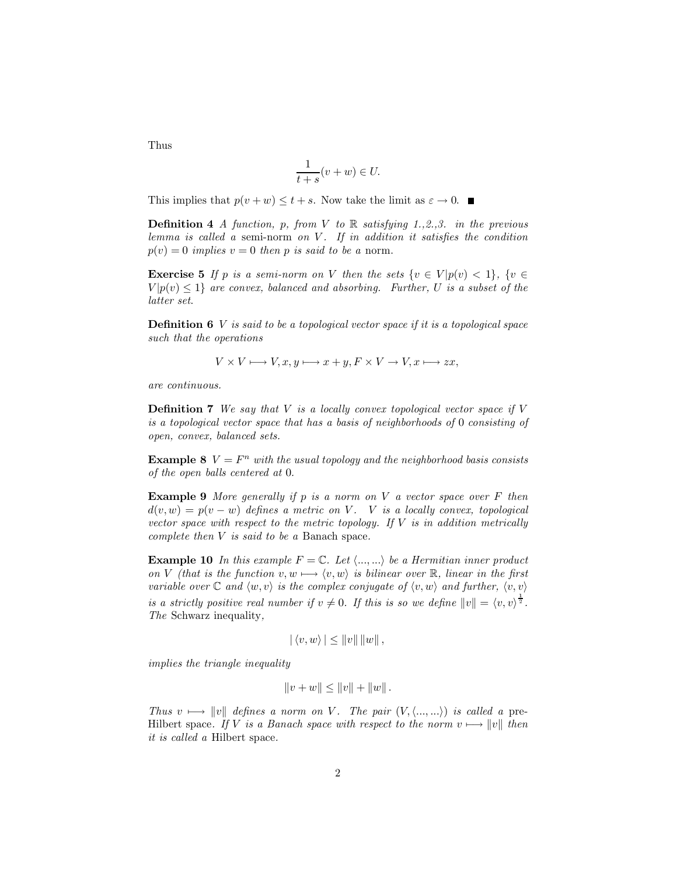Thus

$$
\frac{1}{t+s}(v+w) \in U.
$$

This implies that  $p(v + w) \le t + s$ . Now take the limit as  $\varepsilon \to 0$ .

**Definition 4** A function, p, from V to R satisfying 1., 2., 3. in the previous lemma is called a semi-norm on  $V$ . If in addition it satisfies the condition  $p(v) = 0$  implies  $v = 0$  then p is said to be a norm.

**Exercise 5** If p is a semi-norm on V then the sets  $\{v \in V | p(v) < 1\}$ ,  $\{v \in V | p(v) \leq 1\}$  $V|p(v) \leq 1$  are convex, balanced and absorbing. Further, U is a subset of the latter set.

**Definition 6**  $V$  is said to be a topological vector space if it is a topological space such that the operations

$$
V \times V \longmapsto V, x, y \longmapsto x + y, F \times V \to V, x \longmapsto zx,
$$

are continuous.

**Definition 7** We say that  $V$  is a locally convex topological vector space if  $V$ is a topological vector space that has a basis of neighborhoods of 0 consisting of open, convex, balanced sets.

**Example 8**  $V = F^n$  with the usual topology and the neighborhood basis consists of the open balls centered at 0.

**Example 9** More generally if p is a norm on V a vector space over F then  $d(v, w) = p(v - w)$  defines a metric on V. V is a locally convex, topological vector space with respect to the metric topology. If  $V$  is in addition metrically complete then  $V$  is said to be a Banach space.

**Example 10** In this example  $F = \mathbb{C}$ . Let  $\langle ..., ... \rangle$  be a Hermitian inner product on V (that is the function  $v, w \mapsto \langle v, w \rangle$  is bilinear over R, linear in the first variable over  $\mathbb C$  and  $\langle w, v \rangle$  is the complex conjugate of  $\langle v, w \rangle$  and further,  $\langle v, v \rangle$ is a strictly positive real number if  $v \neq 0$ . If this is so we define  $||v|| = \langle v, v \rangle^{\frac{1}{2}}$ . The Schwarz inequality.

$$
|\langle v,w\rangle| \leq ||v|| \, ||w||,
$$

*implies the triangle inequality* 

$$
||v+w|| \le ||v|| + ||w||.
$$

Thus  $v \mapsto ||v||$  defines a norm on V. The pair  $(V, \langle ..., ... \rangle)$  is called a pre-Hilbert space. If V is a Banach space with respect to the norm  $v \mapsto ||v||$  then *it is called a* Hilbert space.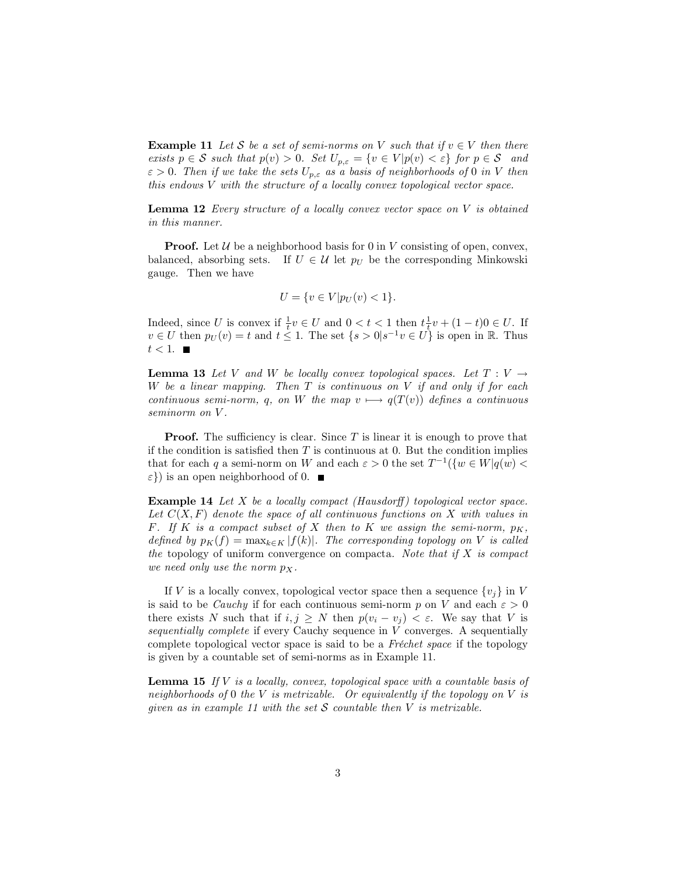**Example 11** Let S be a set of semi-norms on V such that if  $v \in V$  then there exists  $p \in S$  such that  $p(v) > 0$ . Set  $U_{p,\varepsilon} = \{v \in V | p(v) < \varepsilon\}$  for  $p \in S$  and  $\varepsilon > 0$ . Then if we take the sets  $U_{p,\varepsilon}$  as a basis of neighborhoods of 0 in V then this endows V with the structure of a locally convex topological vector space.

**Lemma 12** Every structure of a locally convex vector space on  $V$  is obtained in this manner.

**Proof.** Let  $\mathcal{U}$  be a neighborhood basis for 0 in V consisting of open, convex, balanced, absorbing sets. If  $U \in \mathcal{U}$  let  $p_U$  be the corresponding Minkowski gauge. Then we have

$$
U = \{ v \in V | p_U(v) < 1 \}.
$$

Indeed, since U is convex if  $\frac{1}{t}v \in U$  and  $0 < t < 1$  then  $t\frac{1}{t}v + (1-t)0 \in U$ . If  $v \in U$  then  $p_U(v) = t$  and  $t \leq 1$ . The set  $\{s > 0 | s^{-1}v \in U\}$  is open in R. Thus  $t<1.$   $\blacksquare$ 

**Lemma 13** Let V and W be locally convex topological spaces. Let  $T: V \rightarrow$ W be a linear mapping. Then  $T$  is continuous on  $V$  if and only if for each continuous semi-norm, q, on W the map  $v \mapsto q(T(v))$  defines a continuous seminorm on V.

**Proof.** The sufficiency is clear. Since  $T$  is linear it is enough to prove that if the condition is satisfied then  $T$  is continuous at 0. But the condition implies that for each q a semi-norm on W and each  $\varepsilon > 0$  the set  $T^{-1}(\{w \in W | q(w)$  $\varepsilon$ }) is an open neighborhood of 0.  $\blacksquare$ 

**Example 14** Let X be a locally compact (Hausdorff) topological vector space. Let  $C(X, F)$  denote the space of all continuous functions on X with values in F. If K is a compact subset of X then to K we assign the semi-norm,  $p_K$ , defined by  $p_K(f) = \max_{k \in K} |f(k)|$ . The corresponding topology on V is called the topology of uniform convergence on compacta. Note that if X is compact we need only use the norm  $p_X$ .

If V is a locally convex, topological vector space then a sequence  $\{v_i\}$  in V is said to be *Cauchy* if for each continuous semi-norm p on V and each  $\varepsilon > 0$ there exists N such that if  $i, j \geq N$  then  $p(v_i - v_j) < \varepsilon$ . We say that V is sequentially complete if every Cauchy sequence in  $V$  converges. A sequentially complete topological vector space is said to be a Fréchet space if the topology is given by a countable set of semi-norms as in Example 11.

**Lemma 15** If V is a locally, convex, topological space with a countable basis of neighborhoods of 0 the V is metrizable. Or equivalently if the topology on V is given as in example 11 with the set S countable then V is metrizable.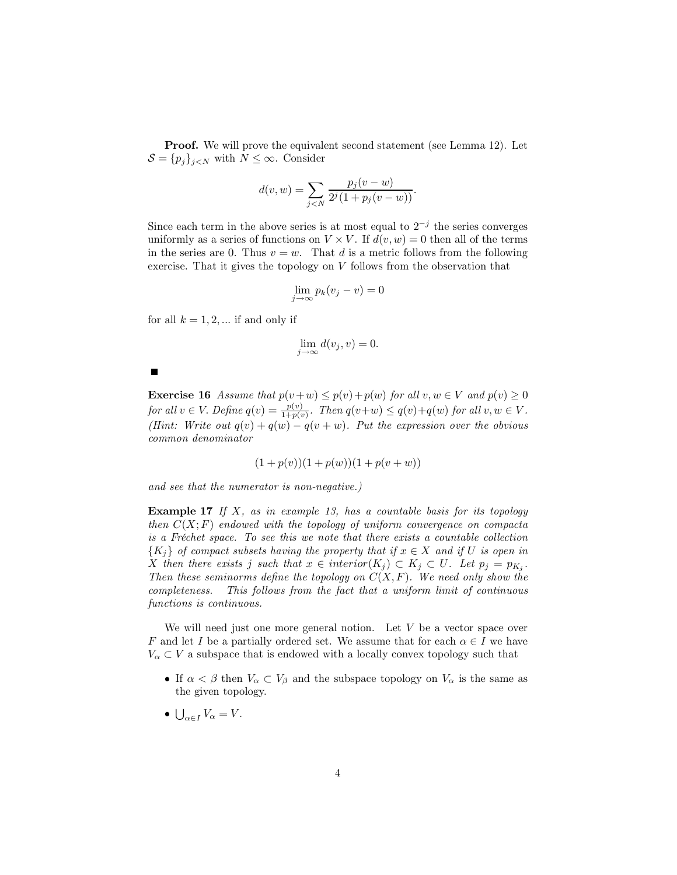**Proof.** We will prove the equivalent second statement (see Lemma 12). Let  $S = \{p_j\}_{j \in N}$  with  $N \leq \infty$ . Consider

$$
d(v, w) = \sum_{j < N} \frac{p_j(v - w)}{2^j (1 + p_j(v - w))}.
$$

Since each term in the above series is at most equal to  $2^{-j}$  the series converges uniformly as a series of functions on  $V \times V$ . If  $d(v, w) = 0$  then all of the terms in the series are 0. Thus  $v = w$ . That d is a metric follows from the following exercise. That it gives the topology on  $V$  follows from the observation that

$$
\lim_{j \to \infty} p_k(v_j - v) = 0
$$

for all  $k = 1, 2, ...$  if and only if

$$
\lim_{j \to \infty} d(v_j, v) = 0.
$$

**Exercise 16** Assume that  $p(v+w) \leq p(v) + p(w)$  for all  $v, w \in V$  and  $p(v) \geq 0$  for all  $v \in V$ . Define  $q(v) = \frac{p(v)}{1+p(v)}$ . Then  $q(v+w) \leq q(v)+q(w)$  for all  $v, w \in V$ . (Hint: Write out  $q(v) + q(w) - q(v + w)$ ). Put the expression over the obvious common denominator

$$
(1 + p(v))(1 + p(w))(1 + p(v + w))
$$

and see that the numerator is non-negative.)

**Example 17** If  $X$ , as in example 13, has a countable basis for its topology then  $C(X;F)$  endowed with the topology of uniform convergence on compacta is a Fréchet space. To see this we note that there exists a countable collection  ${K_i}$  of compact subsets having the property that if  $x \in X$  and if U is open in X then there exists j such that  $x \in interior(K_i) \subset K_j \subset U$ . Let  $p_j = p_{K_i}$ . Then these seminorms define the topology on  $C(X, F)$ . We need only show the completeness. This follows from the fact that a uniform limit of continuous functions is continuous.

We will need just one more general notion. Let  $V$  be a vector space over F and let I be a partially ordered set. We assume that for each  $\alpha \in I$  we have  $V_{\alpha} \subset V$  a subspace that is endowed with a locally convex topology such that

- If  $\alpha < \beta$  then  $V_{\alpha} \subset V_{\beta}$  and the subspace topology on  $V_{\alpha}$  is the same as the given topology.
- $\bullet \bigcup_{\alpha \in I} V_{\alpha} = V.$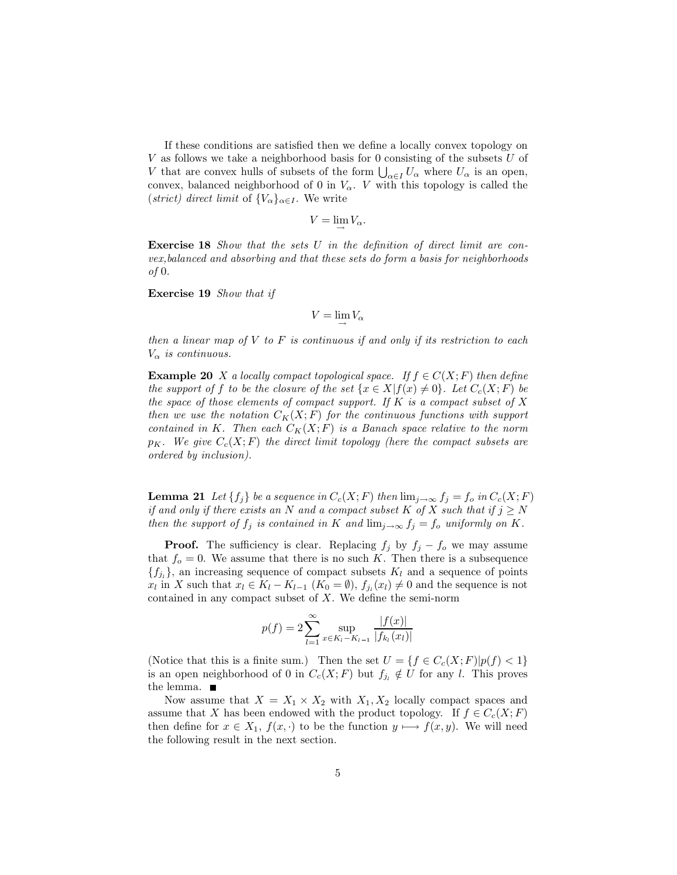If these conditions are satisfied then we define a locally convex topology on  $V$  as follows we take a neighborhood basis for 0 consisting of the subsets  $U$  of V that are convex hulls of subsets of the form  $\bigcup_{\alpha \in I} U_{\alpha}$  where  $U_{\alpha}$  is an open, convex, balanced neighborhood of 0 in  $V_{\alpha}$ . V with this topology is called the (strict) direct limit of  $\{V_{\alpha}\}_{{\alpha}\in I}$ . We write

$$
V=\lim V_{\alpha}
$$

**Exercise 18** Show that the sets U in the definition of direct limit are convex, balanced and absorbing and that these sets do form a basis for neighborhoods  $of 0.$ 

**Exercise 19** Show that if

$$
V = \lim V_{\alpha}
$$

then a linear map of  $V$  to  $F$  is continuous if and only if its restriction to each  $V_{\alpha}$  is continuous.

**Example 20** X a locally compact topological space. If  $f \in C(X;F)$  then define the support of f to be the closure of the set  $\{x \in X | f(x) \neq 0\}$ . Let  $C_c(X; F)$  be the space of those elements of compact support. If K is a compact subset of X then we use the notation  $C_K(X;F)$  for the continuous functions with support contained in K. Then each  $C_K(X;F)$  is a Banach space relative to the norm  $p_K$ . We give  $C_c(X;F)$  the direct limit topology (here the compact subsets are ordered by inclusion).

**Lemma 21** Let  $\{f_i\}$  be a sequence in  $C_c(X;F)$  then  $\lim_{j\to\infty} f_j = f_o$  in  $C_c(X;F)$ if and only if there exists an N and a compact subset K of X such that if  $j \geq N$ then the support of  $f_j$  is contained in K and  $\lim_{j\to\infty} f_j = f_o$  uniformly on K.

**Proof.** The sufficiency is clear. Replacing  $f_j$  by  $f_j - f_o$  we may assume that  $f_o = 0$ . We assume that there is no such K. Then there is a subsequence  $\{f_{i_l}\}\$ , an increasing sequence of compact subsets  $K_l$  and a sequence of points  $x_l$  in X such that  $x_l \in K_l - K_{l-1}$   $(K_0 = \emptyset)$ ,  $f_{i_l}(x_l) \neq 0$  and the sequence is not contained in any compact subset of  $X$ . We define the semi-norm

$$
p(f) = 2\sum_{l=1}^{\infty} \sup_{x \in K_l - K_{l-1}} \frac{|f(x)|}{|f_{k_l}(x_l)|}
$$

(Notice that this is a finite sum.) Then the set  $U = \{f \in C_c(X;F)|p(f) < 1\}$ is an open neighborhood of 0 in  $C_c(X;F)$  but  $f_{j_l} \notin U$  for any l. This proves the lemma.  $\blacksquare$ 

Now assume that  $X = X_1 \times X_2$  with  $X_1, X_2$  locally compact spaces and assume that X has been endowed with the product topology. If  $f \in C_c(X;F)$ then define for  $x \in X_1$ ,  $f(x, \cdot)$  to be the function  $y \mapsto f(x, y)$ . We will need the following result in the next section.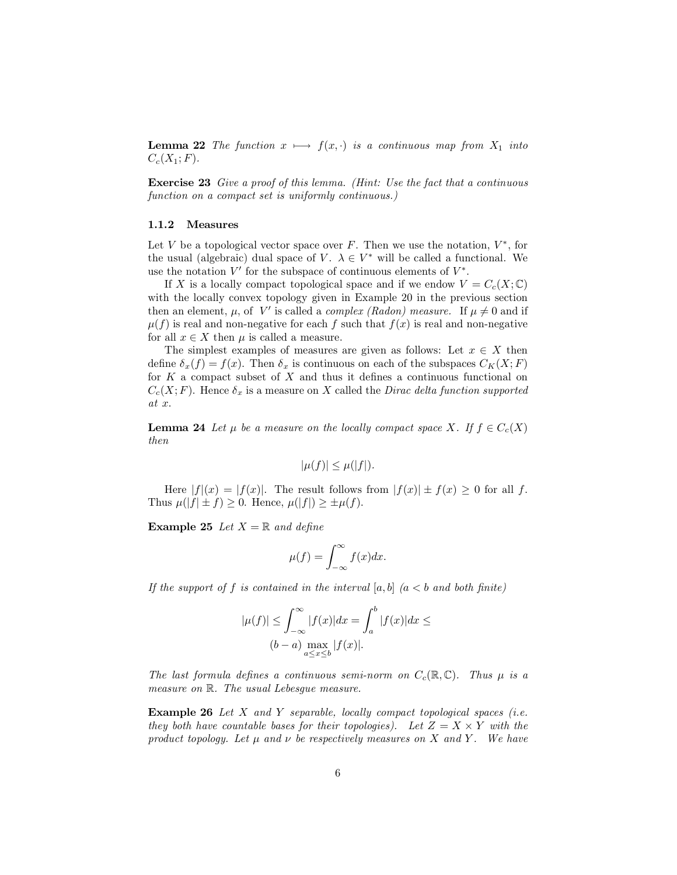**Lemma 22** The function  $x \mapsto f(x, \cdot)$  is a continuous map from  $X_1$  into  $C_c(X_1; F)$ .

**Exercise 23** Give a proof of this lemma. (Hint: Use the fact that a continuous function on a compact set is uniformly continuous.)

### 1.1.2 Measures

Let V be a topological vector space over F. Then we use the notation,  $V^*$ , for the usual (algebraic) dual space of V.  $\lambda \in V^*$  will be called a functional. We use the notation  $V'$  for the subspace of continuous elements of  $V^*$ .

If X is a locally compact topological space and if we endow  $V = C_c(X; \mathbb{C})$ with the locally convex topology given in Example 20 in the previous section then an element,  $\mu$ , of V' is called a *complex (Radon)* measure. If  $\mu \neq 0$  and if  $\mu(f)$  is real and non-negative for each f such that  $f(x)$  is real and non-negative for all  $x \in X$  then  $\mu$  is called a measure.

The simplest examples of measures are given as follows: Let  $x \in X$  then define  $\delta_x(f) = f(x)$ . Then  $\delta_x$  is continuous on each of the subspaces  $C_K(X;F)$ for  $K$  a compact subset of  $X$  and thus it defines a continuous functional on  $C_c(X;F)$ . Hence  $\delta_x$  is a measure on X called the *Dirac delta function supported*  $at x.$ 

**Lemma 24** Let  $\mu$  be a measure on the locally compact space X. If  $f \in C_c(X)$  $then$ 

$$
|\mu(f)| \leq \mu(|f|).
$$

Here  $|f|(x) = |f(x)|$ . The result follows from  $|f(x)| \pm f(x) \geq 0$  for all f. Thus  $\mu(|f| \pm f) \geq 0$ . Hence,  $\mu(|f|) \geq \pm \mu(f)$ .

**Example 25** Let  $X = \mathbb{R}$  and define

$$
\mu(f) = \int_{-\infty}^{\infty} f(x) dx.
$$

If the support of f is contained in the interval  $[a, b]$   $(a < b$  and both finite)

$$
|\mu(f)| \le \int_{-\infty}^{\infty} |f(x)| dx = \int_{a}^{b} |f(x)| dx \le
$$
  
(b - a)  $\max_{\substack{a \le x \le b}} |f(x)|$ .

The last formula defines a continuous semi-norm on  $C_c(\mathbb{R}, \mathbb{C})$ . Thus  $\mu$  is a measure on R. The usual Lebesque measure.

**Example 26** Let  $X$  and  $Y$  separable, locally compact topological spaces (i.e. they both have countable bases for their topologies). Let  $Z = X \times Y$  with the product topology. Let  $\mu$  and  $\nu$  be respectively measures on X and Y. We have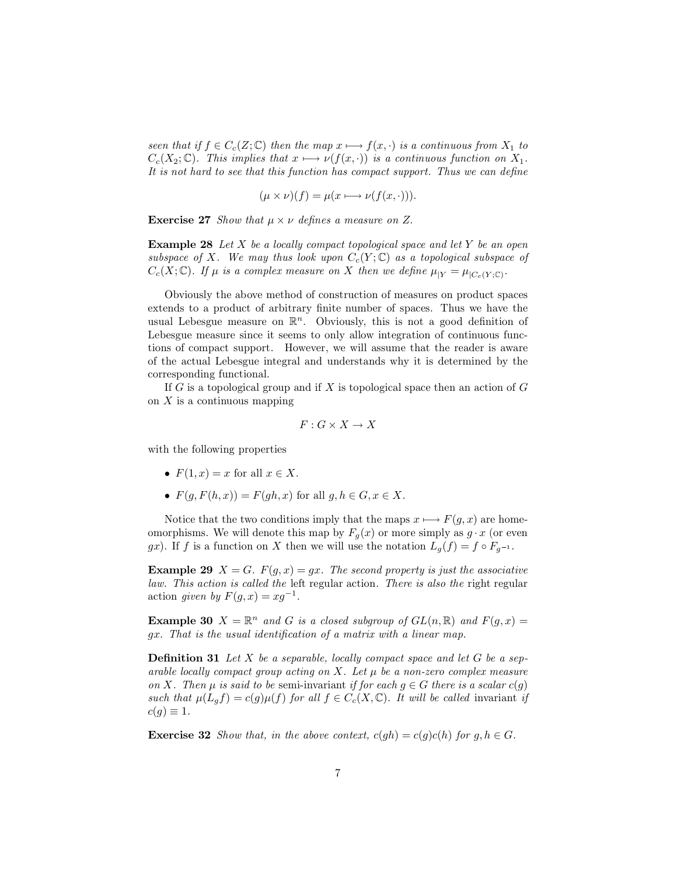seen that if  $f \in C_c(Z; \mathbb{C})$  then the map  $x \mapsto f(x, \cdot)$  is a continuous from  $X_1$  to  $C_c(X_2; \mathbb{C})$ . This implies that  $x \mapsto \nu(f(x, \cdot))$  is a continuous function on  $X_1$ . It is not hard to see that this function has compact support. Thus we can define

$$
(\mu \times \nu)(f) = \mu(x \mapsto \nu(f(x, \cdot))).
$$

**Exercise 27** Show that  $\mu \times \nu$  defines a measure on Z.

**Example 28** Let X be a locally compact topological space and let Y be an open subspace of X. We may thus look upon  $C_c(Y; \mathbb{C})$  as a topological subspace of  $C_c(X;\mathbb{C})$ . If  $\mu$  is a complex measure on X then we define  $\mu_{|Y} = \mu_{|C_c(Y;\mathbb{C})}$ .

Obviously the above method of construction of measures on product spaces extends to a product of arbitrary finite number of spaces. Thus we have the usual Lebesgue measure on  $\mathbb{R}^n$ . Obviously, this is not a good definition of Lebesgue measure since it seems to only allow integration of continuous functions of compact support. However, we will assume that the reader is aware of the actual Lebesgue integral and understands why it is determined by the corresponding functional.

If  $G$  is a topological group and if  $X$  is topological space then an action of  $G$ on  $X$  is a continuous mapping

$$
F: G \times X \to X
$$

with the following properties

- $F(1, x) = x$  for all  $x \in X$ .
- $F(q, F(h, x)) = F(qh, x)$  for all  $q, h \in G, x \in X$ .

Notice that the two conditions imply that the maps  $x \mapsto F(q, x)$  are homeomorphisms. We will denote this map by  $F_q(x)$  or more simply as  $g \cdot x$  (or even gx). If f is a function on X then we will use the notation  $L_q(f) = f \circ F_{q^{-1}}$ .

**Example 29**  $X = G$ .  $F(g, x) = gx$ . The second property is just the associative law. This action is called the left regular action. There is also the right regular action given by  $F(q, x) = xq^{-1}$ .

**Example 30**  $X = \mathbb{R}^n$  and G is a closed subgroup of  $GL(n, \mathbb{R})$  and  $F(g, x) =$ gx. That is the usual identification of a matrix with a linear map.

**Definition 31** Let X be a separable, locally compact space and let G be a separable locally compact group acting on X. Let  $\mu$  be a non-zero complex measure on X. Then  $\mu$  is said to be semi-invariant if for each  $g \in G$  there is a scalar  $c(g)$ such that  $\mu(L_g f) = c(g)\mu(f)$  for all  $f \in C_c(X, \mathbb{C})$ . It will be called invariant if  $c(g) \equiv 1.$ 

**Exercise 32** Show that, in the above context,  $c(gh) = c(g)c(h)$  for  $g, h \in G$ .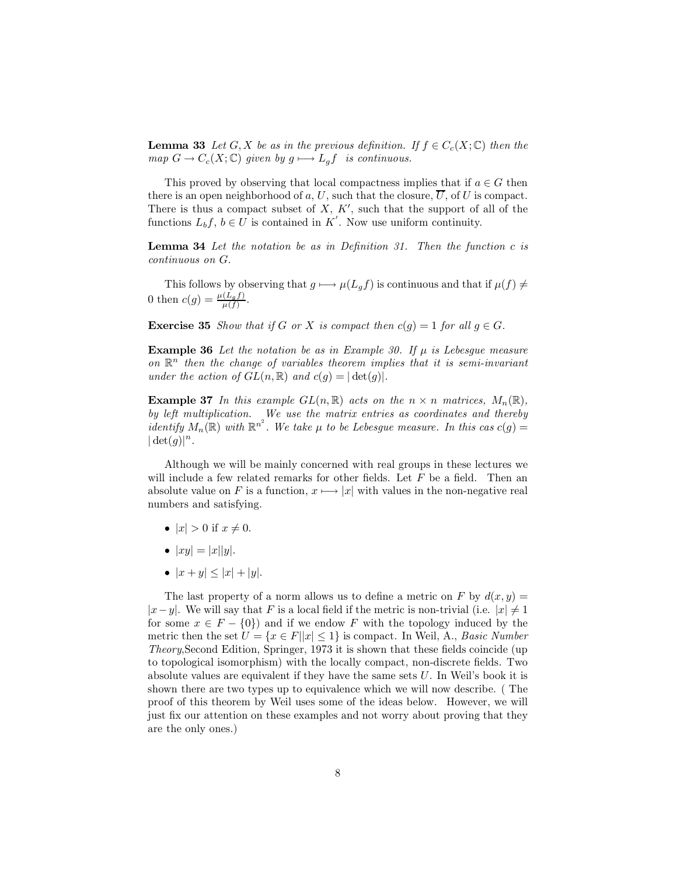**Lemma 33** Let G, X be as in the previous definition. If  $f \in C_c(X; \mathbb{C})$  then the map  $G \to C_c(X; \mathbb{C})$  given by  $g \mapsto L_g f$  is continuous.

This proved by observing that local compactness implies that if  $a \in G$  then there is an open neighborhood of a, U, such that the closure,  $\overline{U}$ , of U is compact. There is thus a compact subset of  $X$ ,  $K'$ , such that the support of all of the functions  $L_b f$ ,  $b \in U$  is contained in K'. Now use uniform continuity.

**Lemma 34** Let the notation be as in Definition 31. Then the function  $c$  is continuous on G.

This follows by observing that  $g \mapsto \mu(L_g f)$  is continuous and that if  $\mu(f) \neq$ 0 then  $c(g) = \frac{\mu(L_g f)}{\mu(f)}$ .

**Exercise 35** Show that if G or X is compact then  $c(g) = 1$  for all  $g \in G$ .

**Example 36** Let the notation be as in Example 30. If  $\mu$  is Lebesgue measure on  $\mathbb{R}^n$  then the change of variables theorem implies that it is semi-invariant under the action of  $GL(n,\mathbb{R})$  and  $c(g) = |\det(g)|$ .

**Example 37** In this example  $GL(n,\mathbb{R})$  acts on the  $n \times n$  matrices,  $M_n(\mathbb{R})$ , by left multiplication. We use the matrix entries as coordinates and thereby identify  $M_n(\mathbb{R})$  with  $\mathbb{R}^{n^2}$ . We take  $\mu$  to be Lebesgue measure. In this cas  $c(g)$  =  $|\det(g)|^n$ .

Although we will be mainly concerned with real groups in these lectures we will include a few related remarks for other fields. Let  $F$  be a field. Then an absolute value on F is a function,  $x \mapsto |x|$  with values in the non-negative real numbers and satisfying.

- $|x| > 0$  if  $x \neq 0$ .
- $|xy| = |x||y|$ .
- $|x+y| < |x| + |y|$ .

The last property of a norm allows us to define a metric on F by  $d(x, y) =$  $|x-y|$ . We will say that F is a local field if the metric is non-trivial (i.e.  $|x| \neq 1$ for some  $x \in F - \{0\}$  and if we endow F with the topology induced by the metric then the set  $U = \{x \in F | |x| \leq 1\}$  is compact. In Weil, A., Basic Number *Theory*, Second Edition, Springer, 1973 it is shown that these fields coincide (up to topological isomorphism) with the locally compact, non-discrete fields. Two absolute values are equivalent if they have the same sets  $U$ . In Weil's book it is shown there are two types up to equivalence which we will now describe. (The proof of this theorem by Weil uses some of the ideas below. However, we will just fix our attention on these examples and not worry about proving that they are the only ones.)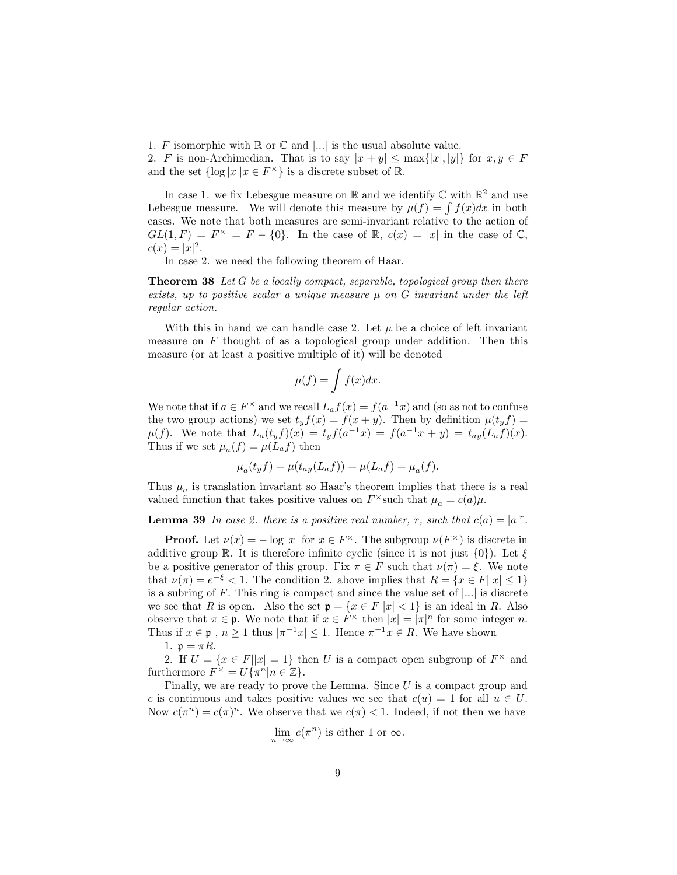1. F isomorphic with  $\mathbb R$  or  $\mathbb C$  and  $\vert \ldots \vert$  is the usual absolute value.

2. F is non-Archimedian. That is to say  $|x+y| \leq \max\{|x|, |y|\}$  for  $x, y \in F$ and the set  $\{\log |x||x \in F^{\times}\}\$ is a discrete subset of R.

In case 1. we fix Lebesgue measure on  $\mathbb R$  and we identify  $\mathbb C$  with  $\mathbb R^2$  and use Lebesgue measure. We will denote this measure by  $\mu(f) = \int f(x)dx$  in both cases. We note that both measures are semi-invariant relative to the action of  $GL(1,F) = F^{\times} = F - \{0\}$ . In the case of R,  $c(x) = |x|$  in the case of C,  $c(x) = |x|^2$ .

In case 2. we need the following theorem of Haar.

**Theorem 38** Let G be a locally compact, separable, topological group then there exists, up to positive scalar a unique measure  $\mu$  on G invariant under the left regular action.

With this in hand we can handle case 2. Let  $\mu$  be a choice of left invariant measure on  $F$  thought of as a topological group under addition. Then this measure (or at least a positive multiple of it) will be denoted

$$
\mu(f) = \int f(x)dx.
$$

We note that if  $a \in F^{\times}$  and we recall  $L_a f(x) = f(a^{-1}x)$  and (so as not to confuse the two group actions) we set  $t_y f(x) = f(x + y)$ . Then by definition  $\mu(t_y f) =$  $\mu(f)$ . We note that  $L_a(t_yf)(x) = t_yf(a^{-1}x) = f(a^{-1}x + y) = t_{ay}(L_af)(x)$ . Thus if we set  $\mu_a(f) = \mu(L_a f)$  then

$$
\mu_a(t_y f) = \mu(t_{ay}(L_a f)) = \mu(L_a f) = \mu_a(f).
$$

Thus  $\mu_a$  is translation invariant so Haar's theorem implies that there is a real valued function that takes positive values on  $F^{\times}$  such that  $\mu_a = c(a)\mu$ .

**Lemma 39** In case 2. there is a positive real number, r, such that  $c(a) = |a|^r$ .

**Proof.** Let  $\nu(x) = -\log|x|$  for  $x \in F^{\times}$ . The subgroup  $\nu(F^{\times})$  is discrete in additive group R. It is therefore infinite cyclic (since it is not just  $\{0\}$ ). Let  $\xi$ be a positive generator of this group. Fix  $\pi \in F$  such that  $\nu(\pi) = \xi$ . We note that  $\nu(\pi) = e^{-\xi} < 1$ . The condition 2, above implies that  $R = \{x \in F | |x| \le 1\}$ is a subring of F. This ring is compact and since the value set of  $\vert ... \vert$  is discrete we see that R is open. Also the set  $\mathfrak{p} = \{x \in F | |x| < 1\}$  is an ideal in R. Also observe that  $\pi \in \mathfrak{p}$ . We note that if  $x \in F^{\times}$  then  $|x| = |\pi|^{n}$  for some integer *n*. Thus if  $x \in \mathfrak{p}$ ,  $n \ge 1$  thus  $|\pi^{-1}x| \le 1$ . Hence  $\pi^{-1}x \in R$ . We have shown

1.  $\mathfrak{p} = \pi R$ .

2. If  $U = \{x \in F | |x| = 1\}$  then U is a compact open subgroup of  $F^{\times}$  and furthermore  $F^{\times} = U{\pi^n | n \in \mathbb{Z}}$ .

Finally, we are ready to prove the Lemma. Since  $U$  is a compact group and c is continuous and takes positive values we see that  $c(u) = 1$  for all  $u \in U$ . Now  $c(\pi^n) = c(\pi)^n$ . We observe that we  $c(\pi) < 1$ . Indeed, if not then we have

$$
\lim_{n \to \infty} c(\pi^n)
$$
 is either 1 or  $\infty$ .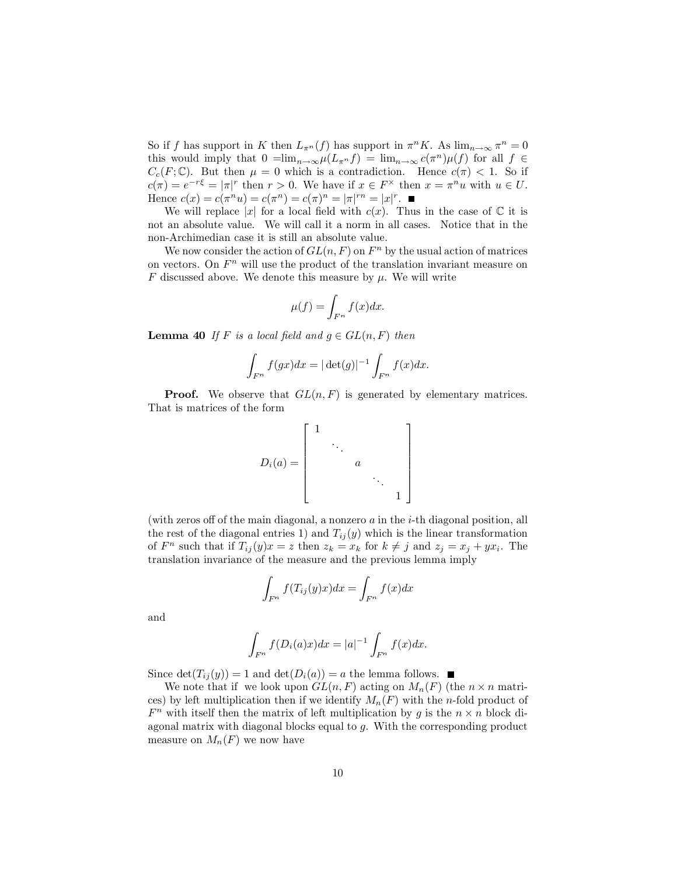So if f has support in K then  $L_{\pi^n}(f)$  has support in  $\pi^n K$ . As  $\lim_{n\to\infty} \pi^n = 0$ this would imply that  $0 = \lim_{n \to \infty} \mu(L_{\pi^n} f) = \lim_{n \to \infty} c(\pi^n) \mu(f)$  for all  $f \in$  $C_c(F; \mathbb{C})$ . But then  $\mu = 0$  which is a contradiction. Hence  $c(\pi) < 1$ . So if  $c(\pi) = e^{-r\xi} = |\pi|^r$  then  $r > 0$ . We have if  $x \in F^\times$  then  $x = \pi^n u$  with  $u \in U$ . Hence  $c(x) = c(\pi^n u) = c(\pi^n) = c(\pi)^n = |\pi|^{rn} = |x|^r$ .

We will replace |x| for a local field with  $c(x)$ . Thus in the case of  $\mathbb C$  it is not an absolute value. We will call it a norm in all cases. Notice that in the non-Archimedian case it is still an absolute value.

We now consider the action of  $GL(n, F)$  on  $F<sup>n</sup>$  by the usual action of matrices on vectors. On  $F<sup>n</sup>$  will use the product of the translation invariant measure on F discussed above. We denote this measure by  $\mu$ . We will write

$$
\mu(f) = \int_{F^n} f(x) dx.
$$

**Lemma 40** If F is a local field and  $g \in GL(n, F)$  then

$$
\int_{F^n} f(gx)dx = |\det(g)|^{-1} \int_{F^n} f(x)dx.
$$

**Proof.** We observe that  $GL(n, F)$  is generated by elementary matrices. That is matrices of the form

$$
D_i(a) = \begin{bmatrix} 1 & & & & \\ & \ddots & & & \\ & & a & & \\ & & & \ddots & \\ & & & & 1 \end{bmatrix}
$$

(with zeros off of the main diagonal, a nonzero  $a$  in the i-th diagonal position, all the rest of the diagonal entries 1) and  $T_{ij}(y)$  which is the linear transformation of  $F^n$  such that if  $T_{ij}(y)x = z$  then  $z_k = x_k$  for  $k \neq j$  and  $z_j = x_j + yx_i$ . The translation invariance of the measure and the previous lemma imply

$$
\int_{F^n} f(T_{ij}(y)x)dx = \int_{F^n} f(x)dx
$$

and

$$
\int_{F^n} f(D_i(a)x)dx = |a|^{-1} \int_{F^n} f(x)dx.
$$

Since  $\det(T_{ij}(y)) = 1$  and  $\det(D_i(a)) = a$  the lemma follows.  $\blacksquare$ 

We note that if we look upon  $GL(n, F)$  acting on  $M_n(F)$  (the  $n \times n$  matrices) by left multiplication then if we identify  $M_n(F)$  with the *n*-fold product of  $F^n$  with itself then the matrix of left multiplication by g is the  $n \times n$  block diagonal matrix with diagonal blocks equal to  $g$ . With the corresponding product measure on  $M_n(F)$  we now have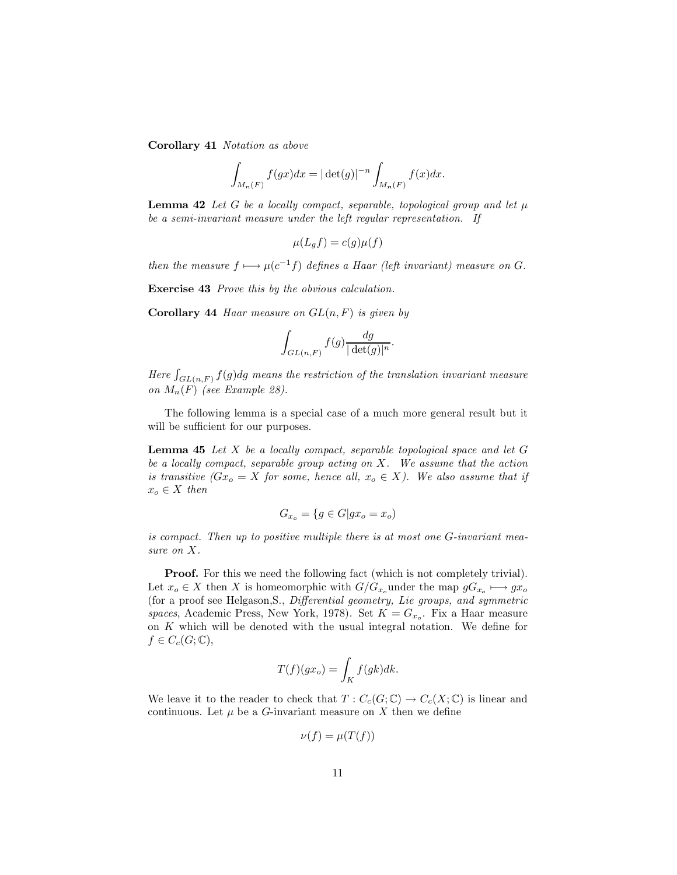Corollary 41 Notation as above

$$
\int_{M_n(F)} f(gx)dx = |\det(g)|^{-n} \int_{M_n(F)} f(x)dx.
$$

**Lemma 42** Let G be a locally compact, separable, topological group and let  $\mu$ be a semi-invariant measure under the left regular representation. If

$$
\mu(L_g f) = c(g)\mu(f)
$$

then the measure  $f \mapsto \mu(c^{-1}f)$  defines a Haar (left invariant) measure on G.

**Exercise 43** Prove this by the obvious calculation.

**Corollary 44** Haar measure on  $GL(n, F)$  is given by

$$
\int_{GL(n,F)} f(g) \frac{dg}{|\det(g)|^n}.
$$

Here  $\int_{GL(n,F)} f(g) dg$  means the restriction of the translation invariant measure on  $M_n(F)$  (see Example 28).

The following lemma is a special case of a much more general result but it will be sufficient for our purposes.

**Lemma 45** Let  $X$  be a locally compact, separable topological space and let  $G$ be a locally compact, separable group acting on  $X$ . We assume that the action is transitive  $(Gx_o = X$  for some, hence all,  $x_o \in X$ ). We also assume that if  $x_o \in X$  then

$$
G_{x_o} = \{ g \in G | gx_o = x_o \}
$$

is compact. Then up to positive multiple there is at most one G-invariant measure on  $X$ .

**Proof.** For this we need the following fact (which is not completely trivial). Let  $x_o \in X$  then X is homeomorphic with  $G/G_{x_o}$  under the map  $gG_{x_o} \longmapsto gx_o$ (for a proof see Helgason, S., Differential geometry, Lie groups, and symmetric spaces, Academic Press, New York, 1978). Set  $K = G_{x_o}$ . Fix a Haar measure on  $K$  which will be denoted with the usual integral notation. We define for  $f\in C_c(G; \mathbb{C}),$ 

$$
T(f)(gx_o) = \int_K f(gk)dk.
$$

We leave it to the reader to check that  $T: C_c(G; \mathbb{C}) \to C_c(X; \mathbb{C})$  is linear and continuous. Let  $\mu$  be a G-invariant measure on X then we define

$$
\nu(f) = \mu(T(f))
$$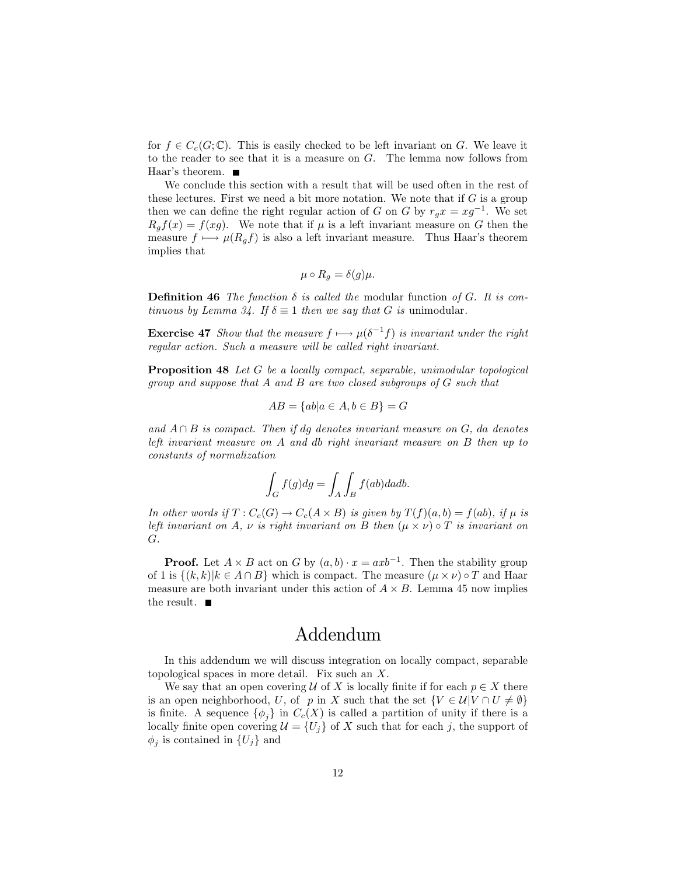for  $f \in C_c(G; \mathbb{C})$ . This is easily checked to be left invariant on G. We leave it to the reader to see that it is a measure on  $G$ . The lemma now follows from Haar's theorem.  $\blacksquare$ 

We conclude this section with a result that will be used often in the rest of these lectures. First we need a bit more notation. We note that if  $G$  is a group then we can define the right regular action of G on G by  $r_g x = xg^{-1}$ . We set  $R_q f(x) = f(xg)$ . We note that if  $\mu$  is a left invariant measure on G then the measure  $f \mapsto \mu(R_a f)$  is also a left invariant measure. Thus Haar's theorem implies that

$$
\mu \circ R_q = \delta(g)\mu.
$$

**Definition 46** The function  $\delta$  is called the modular function of G. It is con*tinuous by Lemma 34. If*  $\delta \equiv 1$  *then we say that G is unimodular.* 

**Exercise 47** Show that the measure  $f \mapsto \mu(\delta^{-1}f)$  is invariant under the right regular action. Such a measure will be called right invariant.

**Proposition 48** Let G be a locally compact, separable, unimodular topological group and suppose that  $A$  and  $B$  are two closed subgroups of  $G$  such that

$$
AB = \{ab|a \in A, b \in B\} = G
$$

and  $A \cap B$  is compact. Then if dg denotes invariant measure on G, da denotes left invariant measure on  $A$  and  $db$  right invariant measure on  $B$  then up to constants of normalization

$$
\int_G f(g) dg = \int_A \int_B f(ab) dadb.
$$

In other words if  $T: C_c(G) \to C_c(A \times B)$  is given by  $T(f)(a, b) = f(ab)$ , if  $\mu$  is left invariant on A,  $\nu$  is right invariant on B then  $(\mu \times \nu) \circ T$  is invariant on  $G$ .

**Proof.** Let  $A \times B$  act on G by  $(a, b) \cdot x = axb^{-1}$ . Then the stability group of 1 is  $\{(k,k)|k\in A\cap B\}$  which is compact. The measure  $(\mu \times \nu) \circ T$  and Haar measure are both invariant under this action of  $A \times B$ . Lemma 45 now implies the result.  $\blacksquare$ 

# Addendum

In this addendum we will discuss integration on locally compact, separable topological spaces in more detail. Fix such an  $X$ .

We say that an open covering U of X is locally finite if for each  $p \in X$  there is an open neighborhood, U, of p in X such that the set  $\{V \in \mathcal{U} | V \cap U \neq \emptyset\}$ is finite. A sequence  $\{\phi_i\}$  in  $C_c(X)$  is called a partition of unity if there is a locally finite open covering  $\mathcal{U} = \{U_j\}$  of X such that for each j, the support of  $\phi_i$  is contained in  $\{U_i\}$  and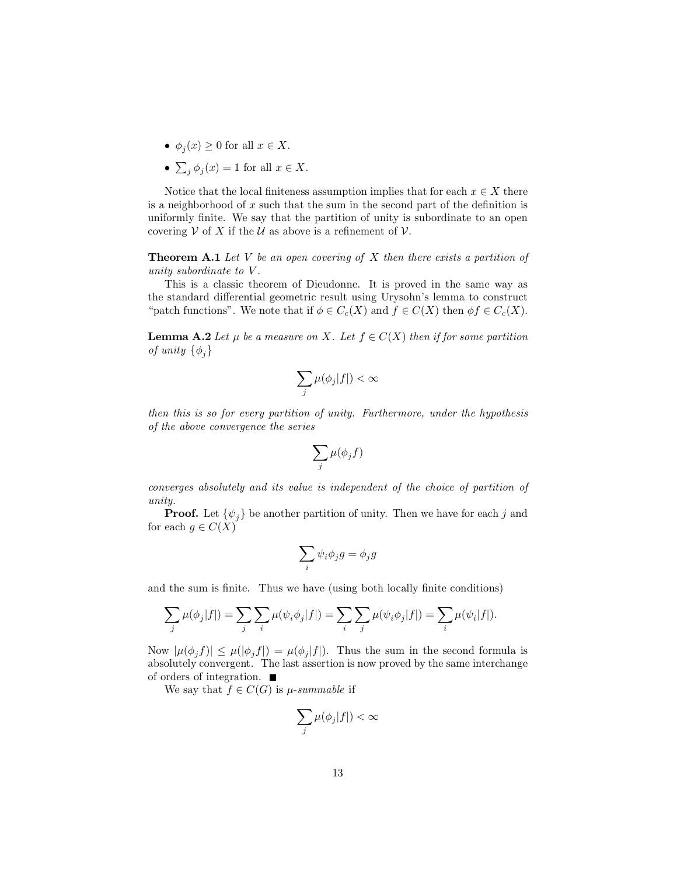- $\phi_i(x) \geq 0$  for all  $x \in X$ .
- $\sum_i \phi_i(x) = 1$  for all  $x \in X$ .

Notice that the local finiteness assumption implies that for each  $x \in X$  there is a neighborhood of  $x$  such that the sum in the second part of the definition is uniformly finite. We say that the partition of unity is subordinate to an open covering V of X if the U as above is a refinement of V.

**Theorem A.1** Let V be an open covering of X then there exists a partition of unity subordinate to  $V$ .

This is a classic theorem of Dieudonne. It is proved in the same way as the standard differential geometric result using Urysohn's lemma to construct "patch functions". We note that if  $\phi \in C_c(X)$  and  $f \in C(X)$  then  $\phi f \in C_c(X)$ .

**Lemma A.2** Let  $\mu$  be a measure on X. Let  $f \in C(X)$  then if for some partition of unity  $\{\phi_i\}$ 

$$
\sum_j \mu(\phi_j |f|) < \infty
$$

then this is so for every partition of unity. Furthermore, under the hypothesis of the above convergence the series

$$
\sum_j \mu(\phi_j f)
$$

converges absolutely and its value is independent of the choice of partition of  $unity.$ 

**Proof.** Let  $\{\psi_i\}$  be another partition of unity. Then we have for each j and for each  $g \in C(X)$ 

$$
\sum_i \psi_i \phi_j g = \phi_j g
$$

and the sum is finite. Thus we have (using both locally finite conditions)

$$
\sum_j \mu(\phi_j|f|) = \sum_j \sum_i \mu(\psi_i \phi_j|f|) = \sum_i \sum_j \mu(\psi_i \phi_j|f|) = \sum_i \mu(\psi_i|f|).
$$

Now  $|\mu(\phi_i f)| \leq \mu(|\phi_i f|) = \mu(\phi_i|f|)$ . Thus the sum in the second formula is absolutely convergent. The last assertion is now proved by the same interchange of orders of integration.  $\blacksquare$ 

We say that  $f \in C(G)$  is  $\mu\text{-}summable$  if

$$
\sum_j \mu(\phi_j |f|) < \infty
$$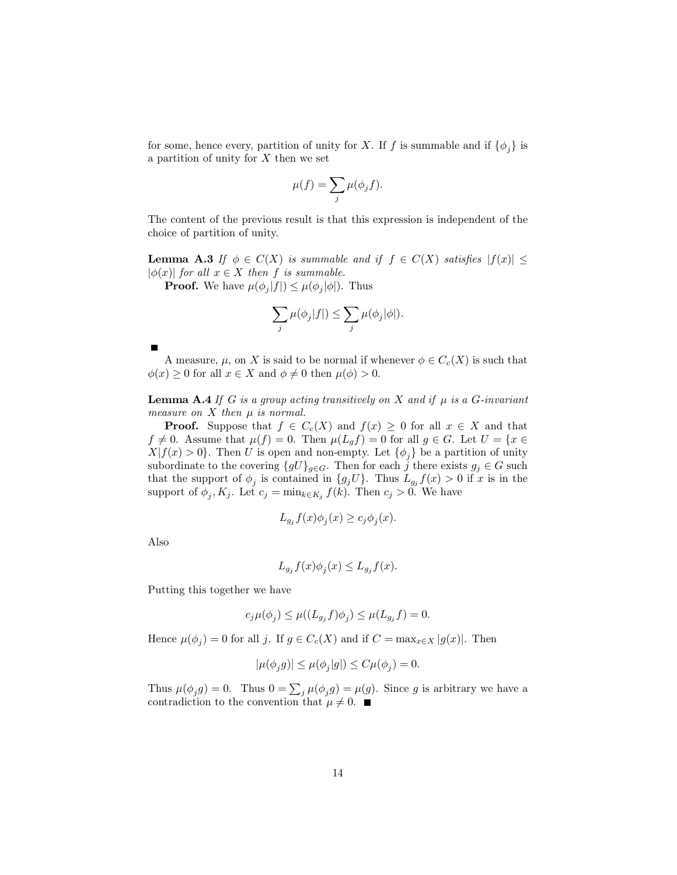for some, hence every, partition of unity for X. If f is summable and if  $\{\phi_i\}$  is a partition of unity for  $X$  then we set

$$
\mu(f) = \sum_j \mu(\phi_j f).
$$

The content of the previous result is that this expression is independent of the choice of partition of unity.

**Lemma A.3** If  $\phi \in C(X)$  is summable and if  $f \in C(X)$  satisfies  $|f(x)| \leq$  $|\phi(x)|$  for all  $x \in X$  then f is summable.

**Proof.** We have  $\mu(\phi_i|f|) \leq \mu(\phi_i|\phi|)$ . Thus

$$
\sum_{j} \mu(\phi_j|f|) \le \sum_{j} \mu(\phi_j|\phi|).
$$

A measure,  $\mu$ , on X is said to be normal if whenever  $\phi \in C_c(X)$  is such that  $\phi(x) \geq 0$  for all  $x \in X$  and  $\phi \neq 0$  then  $\mu(\phi) > 0$ .

**Lemma A.4** If G is a group acting transitively on X and if  $\mu$  is a G-invariant measure on  $X$  then  $\mu$  is normal.

**Proof.** Suppose that  $f \in C_c(X)$  and  $f(x) \geq 0$  for all  $x \in X$  and that  $f \neq 0$ . Assume that  $\mu(f) = 0$ . Then  $\mu(L_g f) = 0$  for all  $g \in G$ . Let  $U = \{x \in$  $X|f(x) > 0$ . Then U is open and non-empty. Let  $\{\phi_i\}$  be a partition of unity subordinate to the covering  $\{gU\}_{g\in G}$ . Then for each j there exists  $g_j \in G$  such that the support of  $\phi_j$  is contained in  $\{g_j U\}$ . Thus  $L_{g_j} f(x) > 0$  if x is in the support of  $\phi_j, K_j$ . Let  $c_j = \min_{k \in K_j} f(k)$ . Then  $c_j > 0$ . We have

$$
L_{g_j}f(x)\phi_j(x) \ge c_j\phi_j(x).
$$

Also

$$
L_{g_j}f(x)\phi_j(x) \le L_{g_j}f(x).
$$

Putting this together we have

$$
c_j \mu(\phi_j) \le \mu((L_{g_j} f)\phi_j) \le \mu(L_{g_j} f) = 0.
$$

Hence  $\mu(\phi_i) = 0$  for all j. If  $g \in C_c(X)$  and if  $C = \max_{x \in X} |g(x)|$ . Then

$$
|\mu(\phi_j g)| \le \mu(\phi_j|g|) \le C\mu(\phi_j) = 0.
$$

Thus  $\mu(\phi_j g) = 0$ . Thus  $0 = \sum_j \mu(\phi_j g) = \mu(g)$ . Since g is arbitrary we have a contradiction to the convention that  $\mu \neq 0$ .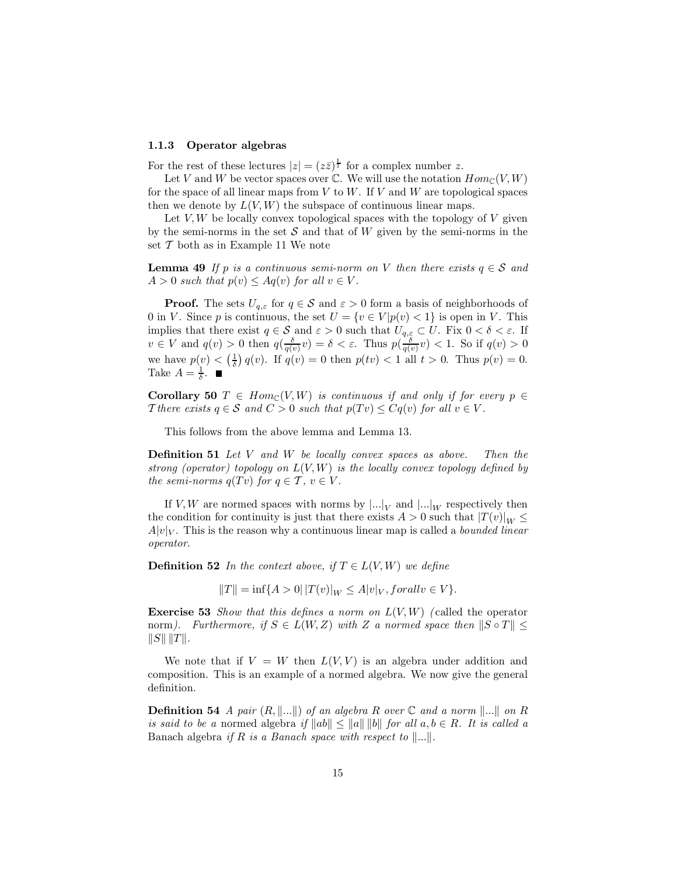#### Operator algebras 1.1.3

For the rest of these lectures  $|z| = (z\overline{z})^{\frac{1}{2}}$  for a complex number z.

Let V and W be vector spaces over  $\mathbb C$ . We will use the notation  $Hom_{\mathbb C}(V,W)$ for the space of all linear maps from V to W. If V and W are topological spaces then we denote by  $L(V, W)$  the subspace of continuous linear maps.

Let  $V, W$  be locally convex topological spaces with the topology of V given by the semi-norms in the set  $S$  and that of  $W$  given by the semi-norms in the set  $T$  both as in Example 11 We note

**Lemma 49** If p is a continuous semi-norm on V then there exists  $q \in S$  and  $A > 0$  such that  $p(v) \leq Aq(v)$  for all  $v \in V$ .

**Proof.** The sets  $U_{q,\varepsilon}$  for  $q \in \mathcal{S}$  and  $\varepsilon > 0$  form a basis of neighborhoods of 0 in V. Since p is continuous, the set  $U = \{v \in V | p(v) < 1\}$  is open in V. This implies that there exist  $q \in \mathcal{S}$  and  $\varepsilon > 0$  such that  $U_{q,\varepsilon} \subset U$ . Fix  $0 < \delta < \varepsilon$ . If  $v \in V$  and  $q(v) > 0$  then  $q(\frac{\delta}{q(v)}v) = \delta < \varepsilon$ . Thus  $p(\frac{\delta}{q(v)}v) < 1$ . So if  $q(v) > 0$ we have  $p(v) < (\frac{1}{\delta}) q(v)$ . If  $q(v) = 0$  then  $p(tv) < 1$  all  $t > 0$ . Thus  $p(v) = 0$ .<br>Take  $A = \frac{1}{\delta}$ .

**Corollary 50**  $T \in Hom_{\mathbb{C}}(V, W)$  is continuous if and only if for every  $p \in$ There exists  $q \in S$  and  $C > 0$  such that  $p(Tv) \leq Cq(v)$  for all  $v \in V$ .

This follows from the above lemma and Lemma 13.

**Definition 51** Let  $V$  and  $W$  be locally convex spaces as above. Then the strong (operator) topology on  $L(V, W)$  is the locally convex topology defined by the semi-norms  $q(Tv)$  for  $q \in \mathcal{T}$ ,  $v \in V$ .

If V, W are normed spaces with norms by  $\left|...\right|_V$  and  $\left|...\right|_W$  respectively then the condition for continuity is just that there exists  $A > 0$  such that  $|T(v)|_W \le$  $A|v|_V$ . This is the reason why a continuous linear map is called a *bounded linear* operator.

**Definition 52** In the context above, if  $T \in L(V, W)$  we define

$$
||T|| = \inf\{A > 0 | |T(v)|_W \le A|v|_V, for all v \in V\}.
$$

**Exercise 53** Show that this defines a norm on  $L(V, W)$  (called the operator norm). Furthermore, if  $S \in L(W, Z)$  with Z a normed space then  $||S \circ T|| \le$  $||S|| ||T||.$ 

We note that if  $V = W$  then  $L(V, V)$  is an algebra under addition and composition. This is an example of a normed algebra. We now give the general definition.

**Definition 54** A pair  $(R, \|\ldots\|)$  of an algebra R over  $\mathbb C$  and a norm  $\|\ldots\|$  on R is said to be a normed algebra if  $||ab|| \le ||a|| ||b||$  for all  $a, b \in R$ . It is called a Banach algebra if R is a Banach space with respect to  $\|\ldots\|$ .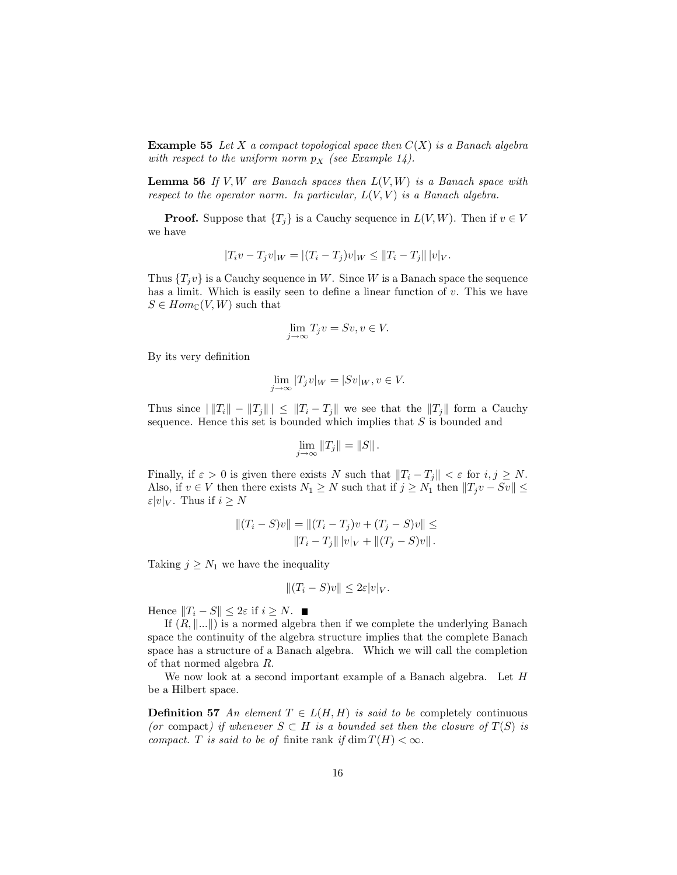**Example 55** Let X a compact topological space then  $C(X)$  is a Banach algebra with respect to the uniform norm  $p_X$  (see Example 14).

**Lemma 56** If V, W are Banach spaces then  $L(V, W)$  is a Banach space with respect to the operator norm. In particular,  $L(V, V)$  is a Banach algebra.

**Proof.** Suppose that  $\{T_i\}$  is a Cauchy sequence in  $L(V, W)$ . Then if  $v \in V$ we have

$$
|T_i v - T_j v|_W = |(T_i - T_j)v|_W \le ||T_i - T_j|| |v|_V.
$$

Thus  $\{T_i v\}$  is a Cauchy sequence in W. Since W is a Banach space the sequence has a limit. Which is easily seen to define a linear function of  $v$ . This we have  $S \in Hom_{\mathbb{C}}(V, W)$  such that

$$
\lim_{j \to \infty} T_j v = S v, v \in V.
$$

By its very definition

$$
\lim_{j \to \infty} |T_j v|_W = |Sv|_W, v \in V.
$$

Thus since  $||T_i|| - ||T_j||| \le ||T_i - T_j||$  we see that the  $||T_j||$  form a Cauchy sequence. Hence this set is bounded which implies that  $S$  is bounded and

$$
\lim_{j\to\infty}||T_j||=||S||.
$$

Finally, if  $\varepsilon > 0$  is given there exists N such that  $||T_i - T_j|| < \varepsilon$  for  $i, j \ge N$ . Also, if  $v \in V$  then there exists  $N_1 \geq N$  such that if  $j \geq N_1$  then  $||T_j v - Sv|| \leq$  $\varepsilon |v|_V$ . Thus if  $i \geq N$ 

$$
||(T_i - S)v|| = ||(T_i - T_j)v + (T_j - S)v|| \le ||T_i - T_j|| ||v||_V + ||(T_j - S)v||.
$$

Taking  $j \geq N_1$  we have the inequality

$$
|| (T_i - S)v|| \leq 2\varepsilon |v|_V.
$$

Hence  $||T_i - S|| \leq 2\varepsilon$  if  $i \geq N$ .

If  $(R, \dots)$  is a normed algebra then if we complete the underlying Banach space the continuity of the algebra structure implies that the complete Banach space has a structure of a Banach algebra. Which we will call the completion of that normed algebra  $R$ .

We now look at a second important example of a Banach algebra. Let  $H$ be a Hilbert space.

**Definition 57** An element  $T \in L(H, H)$  is said to be completely continuous (or compact) if whenever  $S \subset H$  is a bounded set then the closure of  $T(S)$  is compact. T is said to be of finite rank if  $\dim T(H) < \infty$ .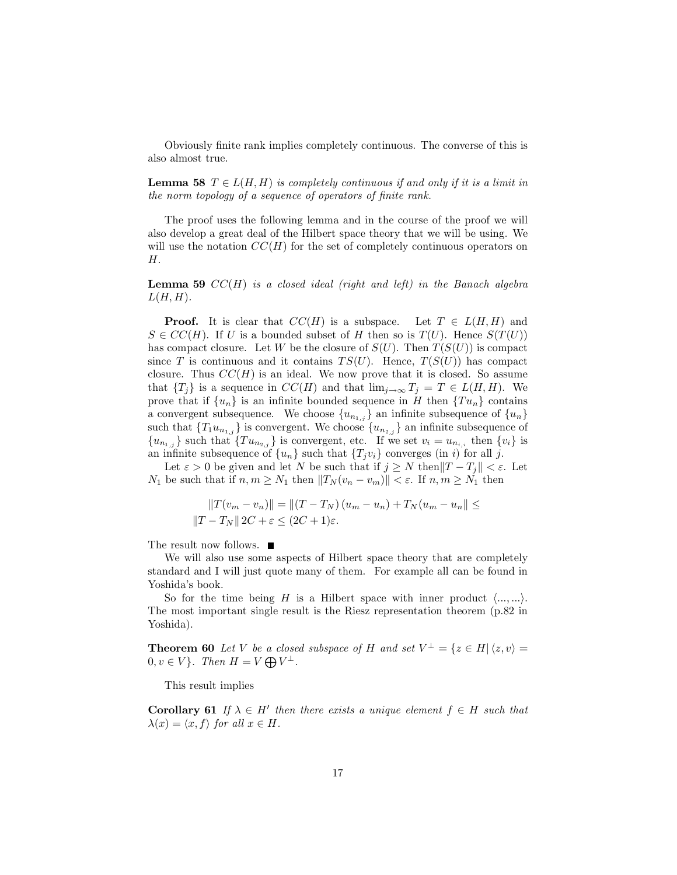Obviously finite rank implies completely continuous. The converse of this is also almost true.

**Lemma 58**  $T \in L(H, H)$  is completely continuous if and only if it is a limit in the norm topology of a sequence of operators of finite rank.

The proof uses the following lemma and in the course of the proof we will also develop a great deal of the Hilbert space theory that we will be using. We will use the notation  $CC(H)$  for the set of completely continuous operators on  $H.$ 

**Lemma 59**  $CC(H)$  is a closed ideal (right and left) in the Banach algebra  $L(H,H)$ .

**Proof.** It is clear that  $CC(H)$  is a subspace. Let  $T \in L(H, H)$  and  $S \in CC(H)$ . If U is a bounded subset of H then so is  $T(U)$ . Hence  $S(T(U))$ has compact closure. Let W be the closure of  $S(U)$ . Then  $T(S(U))$  is compact since T is continuous and it contains  $TS(U)$ . Hence,  $T(S(U))$  has compact closure. Thus  $CC(H)$  is an ideal. We now prove that it is closed. So assume that  $\{T_i\}$  is a sequence in  $CC(H)$  and that  $\lim_{j\to\infty} T_j = T \in L(H, H)$ . We prove that if  $\{u_n\}$  is an infinite bounded sequence in H then  $\{Tu_n\}$  contains a convergent subsequence. We choose  $\{u_{n_{1,j}}\}$  an infinite subsequence of  $\{u_n\}$ such that  $\{T_1u_{n_{1,i}}\}$  is convergent. We choose  $\{u_{n_{2,i}}\}$  an infinite subsequence of  ${u_{n_{1,j}}}$  such that  ${Tu_{n_{2,j}}}$  is convergent, etc. If we set  $v_i = u_{n_{i,i}}$  then  ${v_i}$  is an infinite subsequence of  $\{u_n\}$  such that  $\{T_j v_i\}$  converges (in i) for all j.

Let  $\varepsilon > 0$  be given and let N be such that if  $j \geq N$  then  $||T - T_j|| < \varepsilon$ . Let  $N_1$  be such that if  $n, m \ge N_1$  then  $||T_N(v_n - v_m)|| < \varepsilon$ . If  $n, m \ge N_1$  then

$$
||T(v_m - v_n)|| = ||(T - T_N)(u_m - u_n) + T_N(u_m - u_n|| \le ||T - T_N|| 2C + \varepsilon \le (2C + 1)\varepsilon.
$$

The result now follows.  $\blacksquare$ 

We will also use some aspects of Hilbert space theory that are completely standard and I will just quote many of them. For example all can be found in Yoshida's book.

So for the time being H is a Hilbert space with inner product  $\langle ..., ... \rangle$ . The most important single result is the Riesz representation theorem  $(p.82$  in Yoshida).

**Theorem 60** Let V be a closed subspace of H and set  $V^{\perp} = \{z \in H | \langle z, v \rangle = 0\}$ Yoshida).<br> **Theorem 60** Let V be a close<br>  $0, v \in V$ . Then  $H = V \bigoplus V^{\perp}$ .

This result implies

**Corollary 61** If  $\lambda \in H'$  then there exists a unique element  $f \in H$  such that  $\lambda(x) = \langle x, f \rangle$  for all  $x \in H$ .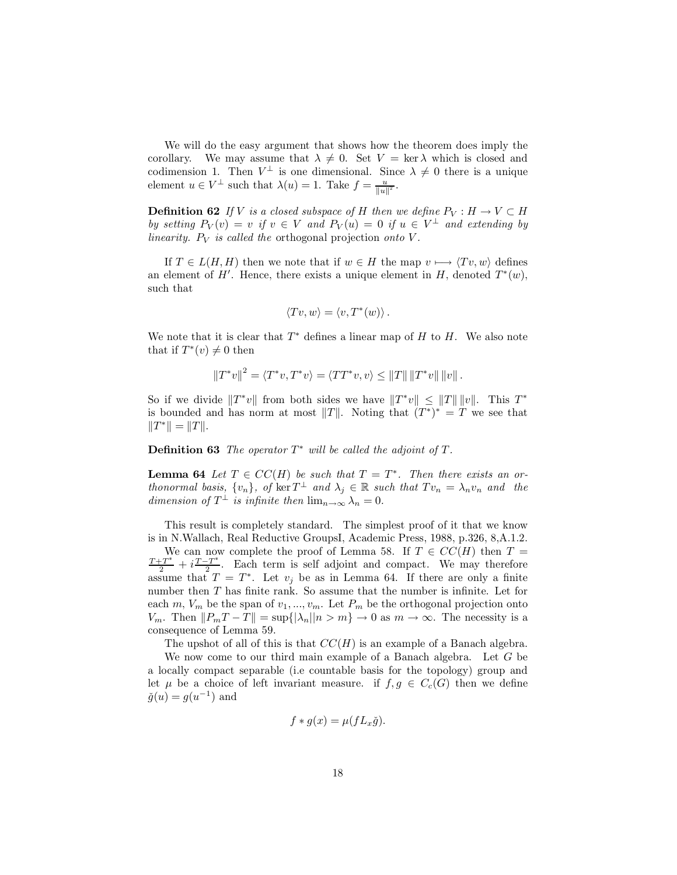We will do the easy argument that shows how the theorem does imply the corollary. We may assume that  $\lambda \neq 0$ . Set  $V = \text{ker }\lambda$  which is closed and codimension 1. Then  $V^{\perp}$  is one dimensional. Since  $\lambda \neq 0$  there is a unique element  $u \in V^{\perp}$  such that  $\lambda(u) = 1$ . Take  $f = \frac{u}{||u||^2}$ .

**Definition 62** If V is a closed subspace of H then we define  $P_V : H \to V \subset H$ by setting  $P_V(v) = v$  if  $v \in V$  and  $P_V(u) = 0$  if  $u \in V^{\perp}$  and extending by linearity.  $P_V$  is called the orthogonal projection onto V.

If  $T \in L(H, H)$  then we note that if  $w \in H$  the map  $v \mapsto \langle Tv, w \rangle$  defines an element of H'. Hence, there exists a unique element in H, denoted  $T^*(w)$ , such that

$$
\langle Tv, w \rangle = \langle v, T^*(w) \rangle.
$$

We note that it is clear that  $T^*$  defines a linear map of H to H. We also note that if  $T^*(v) \neq 0$  then

$$
||T^*v||^2 = \langle T^*v, T^*v \rangle = \langle TT^*v, v \rangle \le ||T|| ||T^*v|| ||v||.
$$

So if we divide  $||T^*v||$  from both sides we have  $||T^*v|| \le ||T|| \, ||v||$ . This  $T^*$ is bounded and has norm at most ||T||. Noting that  $(T^*)^* = T$  we see that  $||T^*|| = ||T||.$ 

## **Definition 63** The operator  $T^*$  will be called the adjoint of  $T$ .

**Lemma 64** Let  $T \in CC(H)$  be such that  $T = T^*$ . Then there exists an orthonormal basis,  $\{v_n\}$ , of  $\ker T^{\perp}$  and  $\lambda_j \in \mathbb{R}$  such that  $Tv_n = \lambda_n v_n$  and the dimension of  $T^{\perp}$  is infinite then  $\lim_{n \to \infty} \lambda_n = 0$ .

This result is completely standard. The simplest proof of it that we know is in N.Wallach, Real Reductive GroupsI, Academic Press, 1988, p.326, 8, A.1.2. We can now complete the proof of Lemma 58. If  $T \in CC(H)$  then  $T =$  $\frac{T+T^*}{2} + i \frac{T-T^*}{2}$ . Each term is self adjoint and compact. We may therefore assume that  $T = T^*$ . Let  $v_i$  be as in Lemma 64. If there are only a finite number then  $T$  has finite rank. So assume that the number is infinite. Let for each m,  $V_m$  be the span of  $v_1, ..., v_m$ . Let  $P_m$  be the orthogonal projection onto  $V_m$ . Then  $||P_mT - T|| = \sup\{|\lambda_n||n > m\} \to 0$  as  $m \to \infty$ . The necessity is a consequence of Lemma 59.

The upshot of all of this is that  $CC(H)$  is an example of a Banach algebra.

We now come to our third main example of a Banach algebra. Let  $G$  be a locally compact separable (i.e countable basis for the topology) group and let  $\mu$  be a choice of left invariant measure. if  $f, g \in C_c(G)$  then we define  $\check{g}(u) = g(u^{-1})$  and

$$
f * g(x) = \mu(fL_x \check{g}).
$$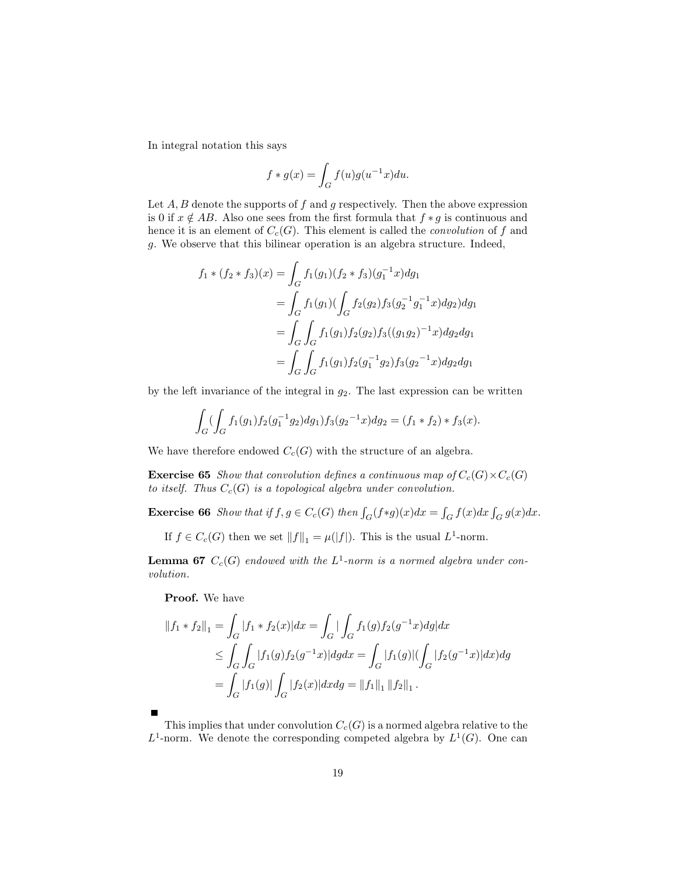In integral notation this says

$$
f * g(x) = \int_G f(u)g(u^{-1}x)du.
$$

Let  $A, B$  denote the supports of  $f$  and  $g$  respectively. Then the above expression is 0 if  $x \notin AB$ . Also one sees from the first formula that  $f * g$  is continuous and hence it is an element of  $C_c(G)$ . This element is called the *convolution* of f and g. We observe that this bilinear operation is an algebra structure. Indeed,

$$
f_1 * (f_2 * f_3)(x) = \int_G f_1(g_1)(f_2 * f_3)(g_1^{-1}x)dg_1
$$
  
= 
$$
\int_G f_1(g_1)(\int_G f_2(g_2)f_3(g_2^{-1}g_1^{-1}x)dg_2)dg_1
$$
  
= 
$$
\int_G \int_G f_1(g_1)f_2(g_2)f_3((g_1g_2)^{-1}x)dg_2dg_1
$$
  
= 
$$
\int_G \int_G f_1(g_1)f_2(g_1^{-1}g_2)f_3(g_2^{-1}x)dg_2dg_1
$$

by the left invariance of the integral in  $g_2$ . The last expression can be written

$$
\int_G \left( \int_G f_1(g_1) f_2(g_1^{-1} g_2) dg_1 \right) f_3(g_2^{-1} x) dg_2 = (f_1 * f_2) * f_3(x).
$$

We have therefore endowed  $C_c(G)$  with the structure of an algebra.

**Exercise 65** Show that convolution defines a continuous map of  $C_c(G) \times C_c(G)$ to itself. Thus  $C_c(G)$  is a topological algebra under convolution.

**Exercise 66** Show that if  $f, g \in C_c(G)$  then  $\int_G (f*g)(x)dx = \int_G f(x)dx \int_G g(x)dx$ .

If  $f \in C_c(G)$  then we set  $||f||_1 = \mu(|f|)$ . This is the usual  $L^1$ -norm.

**Lemma 67**  $C_c(G)$  endowed with the  $L^1$ -norm is a normed algebra under convolution.

Proof. We have

$$
||f_1 * f_2||_1 = \int_G |f_1 * f_2(x)| dx = \int_G |\int_G f_1(g) f_2(g^{-1}x) dg| dx
$$
  
\n
$$
\leq \int_G \int_G |f_1(g) f_2(g^{-1}x)| dg dx = \int_G |f_1(g)| (\int_G |f_2(g^{-1}x)| dx) dg
$$
  
\n
$$
= \int_G |f_1(g)| \int_G |f_2(x)| dx dg = ||f_1||_1 ||f_2||_1.
$$

This implies that under convolution  $C_c(G)$  is a normed algebra relative to the  $L^1$ -norm. We denote the corresponding competed algebra by  $L^1(G)$ . One can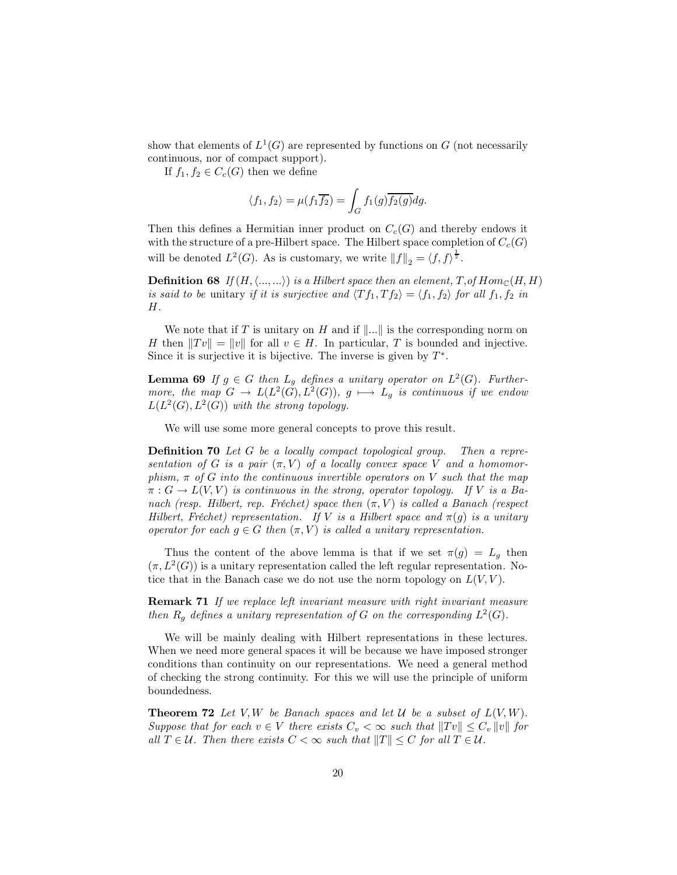show that elements of  $L^1(G)$  are represented by functions on G (not necessarily continuous, nor of compact support).

If  $f_1, f_2 \in C_c(G)$  then we define

$$
\langle f_1, f_2 \rangle = \mu(f_1 \overline{f_2}) = \int_G f_1(g) \overline{f_2(g)} dg
$$

Then this defines a Hermitian inner product on  $C_c(G)$  and thereby endows it with the structure of a pre-Hilbert space. The Hilbert space completion of  $C_c(G)$ will be denoted  $L^2(G)$ . As is customary, we write  $||f||_2 = \langle f, f \rangle^{\frac{1}{2}}$ .

**Definition 68** If  $(H, \langle ..., ... \rangle)$  is a Hilbert space then an element, T, of  $Hom_{\mathbb{C}}(H, H)$ is said to be unitary if it is surjective and  $\langle Tf_1, Tf_2 \rangle = \langle f_1, f_2 \rangle$  for all  $f_1, f_2$  in Н.

We note that if T is unitary on H and if  $\|\ldots\|$  is the corresponding norm on H then  $||Tv|| = ||v||$  for all  $v \in H$ . In particular, T is bounded and injective. Since it is surjective it is bijective. The inverse is given by  $T^*$ .

**Lemma 69** If  $g \in G$  then  $L_g$  defines a unitary operator on  $L^2(G)$ . Furthermore, the map  $G \to L(L^2(G), L^2(G)), g \mapsto L_g$  is continuous if we endow  $L(L^2(G), L^2(G))$  with the strong topology.

We will use some more general concepts to prove this result.

**Definition 70** Let  $G$  be a locally compact topological group. Then a representation of G is a pair  $(\pi, V)$  of a locally convex space V and a homomorphism,  $\pi$  of G into the continuous invertible operators on V such that the map  $\pi: G \to L(V, V)$  is continuous in the strong, operator topology. If V is a Banach (resp. Hilbert, rep. Fréchet) space then  $(\pi, V)$  is called a Banach (respect Hilbert, Fréchet) representation. If V is a Hilbert space and  $\pi(q)$  is a unitary operator for each  $q \in G$  then  $(\pi, V)$  is called a unitary representation.

Thus the content of the above lemma is that if we set  $\pi(g) = L_g$  then  $(\pi, L^2(G))$  is a unitary representation called the left regular representation. Notice that in the Banach case we do not use the norm topology on  $L(V, V)$ .

**Remark 71** If we replace left invariant measure with right invariant measure then  $R_q$  defines a unitary representation of G on the corresponding  $L^2(G)$ .

We will be mainly dealing with Hilbert representations in these lectures. When we need more general spaces it will be because we have imposed stronger conditions than continuity on our representations. We need a general method of checking the strong continuity. For this we will use the principle of uniform boundedness.

**Theorem 72** Let V, W be Banach spaces and let U be a subset of  $L(V, W)$ . Suppose that for each  $v \in V$  there exists  $C_v < \infty$  such that  $||Tv|| \leq C_v ||v||$  for all  $T \in \mathcal{U}$ . Then there exists  $C < \infty$  such that  $||T|| \leq C$  for all  $T \in \mathcal{U}$ .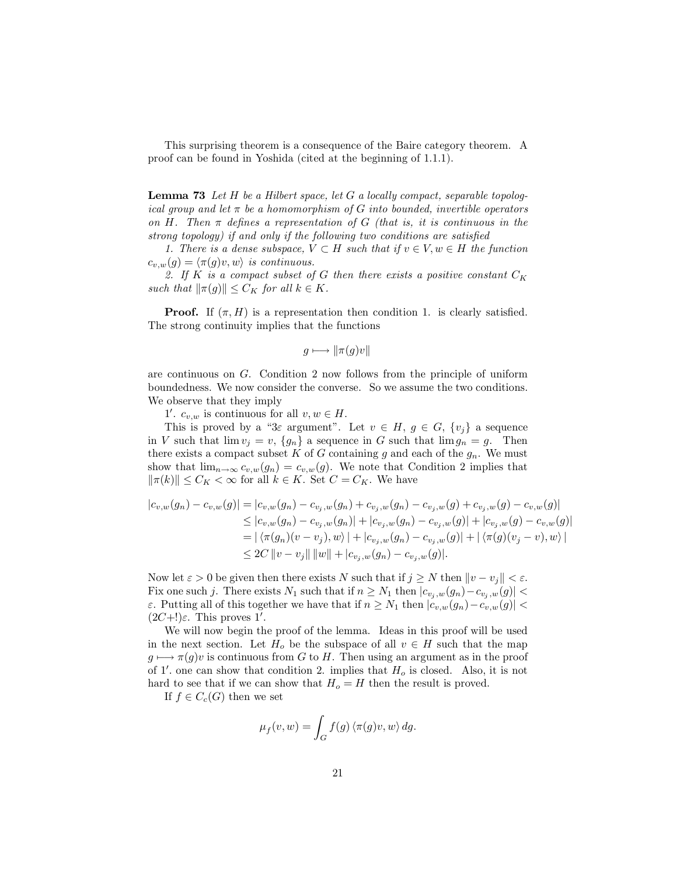This surprising theorem is a consequence of the Baire category theorem. A proof can be found in Yoshida (cited at the beginning of 1.1.1).

**Lemma 73** Let H be a Hilbert space, let G a locally compact, separable topological group and let  $\pi$  be a homomorphism of G into bounded, invertible operators on H. Then  $\pi$  defines a representation of G (that is, it is continuous in the strong topology) if and only if the following two conditions are satisfied

1. There is a dense subspace,  $V \subset H$  such that if  $v \in V, w \in H$  the function  $c_{v,w}(g) = \langle \pi(g)v, w \rangle$  is continuous.

2. If K is a compact subset of G then there exists a positive constant  $C_K$ such that  $\|\pi(g)\| \leq C_K$  for all  $k \in K$ .

**Proof.** If  $(\pi, H)$  is a representation then condition 1. is clearly satisfied. The strong continuity implies that the functions

$$
g \longmapsto \|\pi(g)v\|
$$

are continuous on  $G$ . Condition 2 now follows from the principle of uniform boundedness. We now consider the converse. So we assume the two conditions. We observe that they imply

1'.  $c_{v,w}$  is continuous for all  $v, w \in H$ .

This is proved by a "3 $\varepsilon$  argument". Let  $v \in H$ ,  $g \in G$ ,  $\{v_j\}$  a sequence in V such that  $\lim v_j = v$ ,  $\{g_n\}$  a sequence in G such that  $\lim g_n = g$ . Then there exists a compact subset  $K$  of  $G$  containing  $g$  and each of the  $g_n$ . We must show that  $\lim_{n\to\infty} c_{v,w}(g_n) = c_{v,w}(g)$ . We note that Condition 2 implies that  $\|\pi(k)\| \leq C_K < \infty$  for all  $k \in K$ . Set  $C = C_K$ . We have

$$
|c_{v,w}(g_n) - c_{v,w}(g)| = |c_{v,w}(g_n) - c_{v_j,w}(g_n) + c_{v_j,w}(g_n) - c_{v_j,w}(g) + c_{v_j,w}(g) - c_{v,w}(g)|
$$
  
\n
$$
\leq |c_{v,w}(g_n) - c_{v_j,w}(g_n)| + |c_{v_j,w}(g_n) - c_{v_j,w}(g)| + |c_{v_j,w}(g) - c_{v,w}(g)|
$$
  
\n
$$
= |\langle \pi(g_n)(v - v_j), w \rangle| + |c_{v_j,w}(g_n) - c_{v_j,w}(g)| + |\langle \pi(g)(v_j - v), w \rangle|
$$
  
\n
$$
\leq 2C ||v - v_j|| ||w|| + |c_{v_j,w}(g_n) - c_{v_j,w}(g)|.
$$

Now let  $\varepsilon > 0$  be given then there exists N such that if  $j \geq N$  then  $||v - v_j|| < \varepsilon$ . Fix one such j. There exists  $N_1$  such that if  $n \geq N_1$  then  $|c_{v_i,w}(g_n) - c_{v_i,w}(g)|$  $\varepsilon$ . Putting all of this together we have that if  $n \geq N_1$  then  $|c_{v,w}(g_n) - c_{v,w}(g)|$  $(2C+!)$  $\varepsilon$ . This proves 1'.

We will now begin the proof of the lemma. Ideas in this proof will be used in the next section. Let  $H_o$  be the subspace of all  $v \in H$  such that the map  $g \mapsto \pi(g)v$  is continuous from G to H. Then using an argument as in the proof of 1'. one can show that condition 2. implies that  $H_o$  is closed. Also, it is not hard to see that if we can show that  $H_o = H$  then the result is proved.

If  $f \in C_c(G)$  then we set

$$
\mu_f(v, w) = \int_G f(g) \langle \pi(g)v, w \rangle \, dg.
$$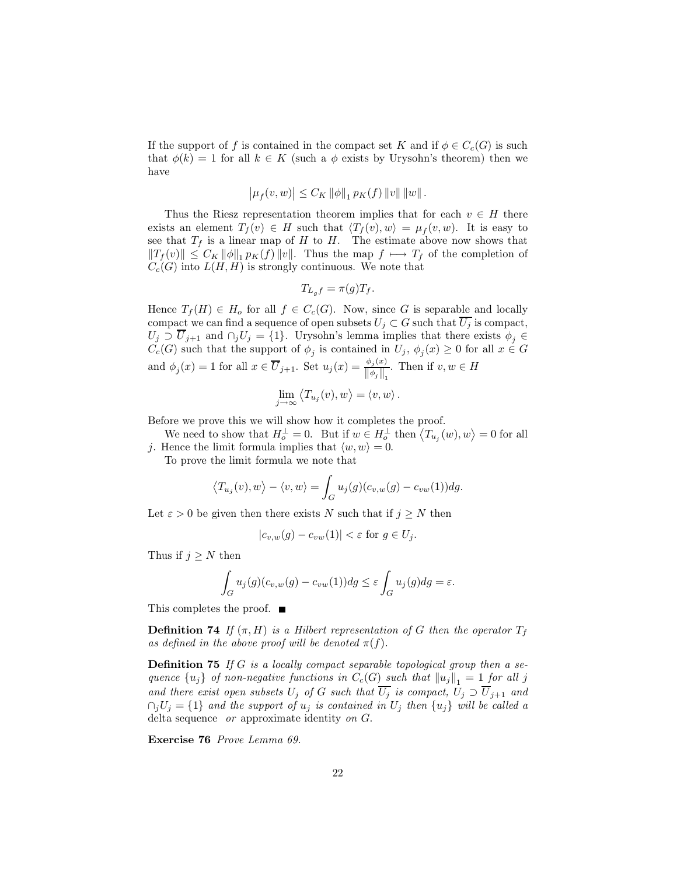If the support of f is contained in the compact set K and if  $\phi \in C_c(G)$  is such that  $\phi(k) = 1$  for all  $k \in K$  (such a  $\phi$  exists by Urysohn's theorem) then we have

$$
|\mu_f(v, w)| \leq C_K ||\phi||_1 p_K(f) ||v|| ||w||.
$$

Thus the Riesz representation theorem implies that for each  $v \in H$  there exists an element  $T_f(v) \in H$  such that  $\langle T_f(v), w \rangle = \mu_f(v, w)$ . It is easy to see that  $T_f$  is a linear map of H to H. The estimate above now shows that  $||T_f(v)|| \leq C_K ||\phi||_1 p_K(f) ||v||$ . Thus the map  $f \mapsto T_f$  of the completion of  $C_c(G)$  into  $L(H, H)$  is strongly continuous. We note that

$$
T_{L_g f} = \pi(g) T_f.
$$

Hence  $T_f(H) \in H_o$  for all  $f \in C_c(G)$ . Now, since G is separable and locally compact we can find a sequence of open subsets  $U_j \subset G$  such that  $\overline{U_j}$  is compact,  $U_j \supset \overline{U}_{j+1}$  and  $\bigcap_j U_j = \{1\}$ . Urysohn's lemma implies that there exists  $\phi_j \in C_c(G)$  such that the support of  $\phi_j$  is contained in  $U_j$ ,  $\phi_j(x) \ge 0$  for all  $x \in G$ and  $\phi_j(x) = 1$  for all  $x \in \overline{U}_{j+1}$ . Set  $u_j(x) = \frac{\phi_j(x)}{\|\phi_j\|}$ . Then if  $v, w \in H$ 

$$
\lim_{j\to\infty}\left\langle T_{u_j}(v),w\right\rangle=\left\langle v,w\right\rangle.
$$

Before we prove this we will show how it completes the proof.

We need to show that  $H_o^{\perp} = 0$ . But if  $w \in H_o^{\perp}$  then  $\langle T_{u_j}(w), w \rangle = 0$  for all j. Hence the limit formula implies that  $\langle w, w \rangle = 0$ .

To prove the limit formula we note that

$$
\langle T_{u_j}(v), w \rangle - \langle v, w \rangle = \int_G u_j(g)(c_{v,w}(g) - c_{vw}(1))dg.
$$

Let  $\varepsilon > 0$  be given then there exists N such that if  $j \geq N$  then

$$
|c_{v,w}(g) - c_{vw}(1)| < \varepsilon \text{ for } g \in U_j.
$$

Thus if  $j \geq N$  then

$$
\int_G u_j(g)(c_{v,w}(g) - c_{vw}(1))dg \leq \varepsilon \int_G u_j(g)dg = \varepsilon.
$$

This completes the proof.  $\blacksquare$ 

**Definition 74** If  $(\pi, H)$  is a Hilbert representation of G then the operator  $T_f$ as defined in the above proof will be denoted  $\pi(f)$ .

**Definition 75** If G is a locally compact separable topological group then a sequence  $\{u_j\}$  of non-negative functions in  $C_c(G)$  such that  $||u_j||_1 = 1$  for all j and there exist open subsets  $U_j$  of  $G$  such that  $\overline{U_j}$  is compact,  $U_j \supset \overline{U}_{j+1}$  and  $\cap_j U_j = \{1\}$  and the support of  $u_j$  is contained in  $U_j$  then  $\{u_j\}$  will be called a delta sequence *or* approximate identity *on*  $G$ .

Exercise 76 Prove Lemma 69.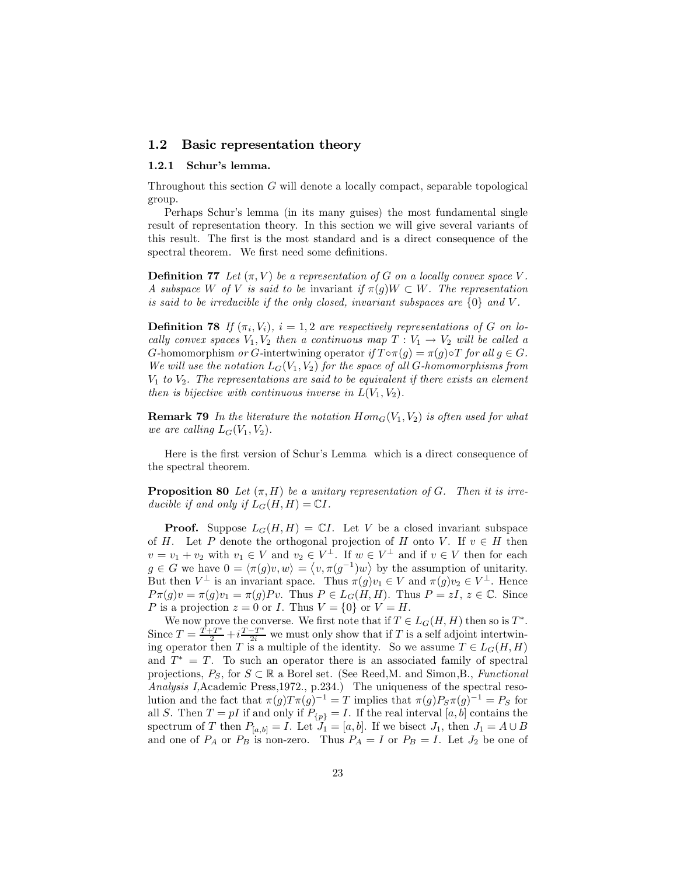# 1.2 Basic representation theory

### 1.2.1 Schur's lemma.

Throughout this section  $G$  will denote a locally compact, separable topological group.

Perhaps Schur's lemma (in its many guises) the most fundamental single result of representation theory. In this section we will give several variants of this result. The first is the most standard and is a direct consequence of the spectral theorem. We first need some definitions.

**Definition 77** Let  $(\pi, V)$  be a representation of G on a locally convex space V. A subspace W of V is said to be invariant if  $\pi(g)W \subset W$ . The representation is said to be irreducible if the only closed, invariant subspaces are  $\{0\}$  and V.

**Definition 78** If  $(\pi_i, V_i)$ ,  $i = 1, 2$  are respectively representations of G on locally convex spaces  $V_1, V_2$  then a continuous map  $T: V_1 \rightarrow V_2$  will be called a G-homomorphism or G-intertwining operator if  $T \circ \pi(g) = \pi(g) \circ T$  for all  $g \in G$ . We will use the notation  $L_G(V_1, V_2)$  for the space of all G-homomorphisms from  $V_1$  to  $V_2$ . The representations are said to be equivalent if there exists an element then is bijective with continuous inverse in  $L(V_1, V_2)$ .

**Remark 79** In the literature the notation  $Hom_G(V_1, V_2)$  is often used for what we are calling  $L_G(V_1, V_2)$ .

Here is the first version of Schur's Lemma which is a direct consequence of the spectral theorem.

**Proposition 80** Let  $(\pi, H)$  be a unitary representation of G. Then it is irreducible if and only if  $L_G(H, H) = \mathbb{C}I$ .

**Proof.** Suppose  $L_G(H, H) = \mathbb{C}I$ . Let V be a closed invariant subspace of H. Let P denote the orthogonal projection of H onto V. If  $v \in H$  then  $v = v_1 + v_2$  with  $v_1 \in V$  and  $v_2 \in V^{\perp}$ . If  $w \in V^{\perp}$  and if  $v \in V$  then for each **Proof.** Suppose  $L_G(H, H) =$ <br>of H. Let P denote the orthogon<br> $v = v_1 + v_2$  with  $v_1 \in V$  and  $v_2 \in$ <br> $g \in G$  we have  $0 = \langle \pi(g)v, w \rangle = \langle$  $v, \pi(q^{-1})w$  by the assumption of unitarity. But then  $V^{\perp}$  is an invariant space. Thus  $\pi(g)v_1 \in V$  and  $\pi(g)v_2 \in V^{\perp}$ . Hence  $P_{\pi}(g)v = \pi(g)v_1 = \pi(g)Pv$ . Thus  $P \in L_G(H, H)$ . Thus  $P = zI, z \in \mathbb{C}$ . Since P is a projection  $z = 0$  or I. Thus  $V = \{0\}$  or  $V = H$ .

We now prove the converse. We first note that if  $T \in L_G(H, H)$  then so is  $T^*$ . Since  $T = \frac{T+T^*}{2} + i \frac{T-T^*}{2i}$  we must only show that if T is a self adjoint intertwining operator then T is a multiple of the identity. So we assume  $T \in L_G(H, H)$ and  $T^* = T$ . To such an operator there is an associated family of spectral projections,  $P_S$ , for  $S \subset \mathbb{R}$  a Borel set. (See Reed, M. and Simon, B., Functional Analysis I, Academic Press, 1972., p. 234.) The uniqueness of the spectral resolution and the fact that  $\pi(g)T\pi(g)^{-1} = T$  implies that  $\pi(g)P_S\pi(g)^{-1} = P_S$  for all S. Then  $T = pI$  if and only if  $P_{\{p\}} = I$ . If the real interval  $[a, b]$  contains the spectrum of T then  $P_{[a,b]} = I$ . Let  $J_1 = [a, b]$ . If we bisect  $J_1$ , then  $J_1 = A \cup B$ and one of  $P_A$  or  $P_B$  is non-zero. Thus  $P_A = I$  or  $P_B = I$ . Let  $J_2$  be one of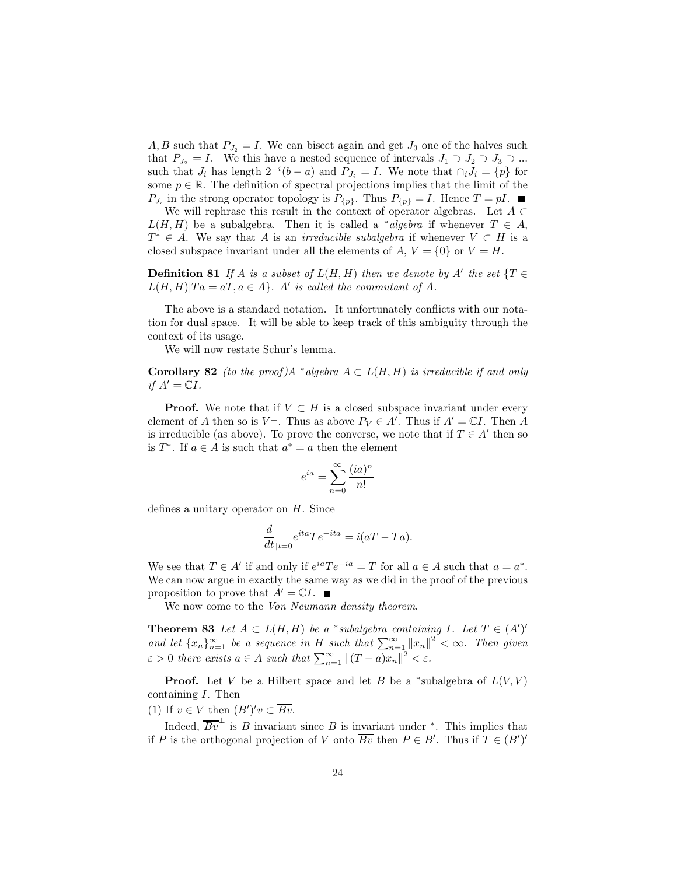A, B such that  $P_{J_2} = I$ . We can bisect again and get  $J_3$  one of the halves such that  $P_{J_2} = I$ . We this have a nested sequence of intervals  $J_1 \supset J_2 \supset J_3 \supset ...$ such that  $J_i$  has length  $2^{-i}(b-a)$  and  $P_{J_i} = I$ . We note that  $\bigcap_i J_i = \{p\}$  for some  $p \in \mathbb{R}$ . The definition of spectral projections implies that the limit of the  $P_{J_i}$  in the strong operator topology is  $P_{\{p\}}$ . Thus  $P_{\{p\}} = I$ . Hence  $T = pI$ .

We will rephrase this result in the context of operator algebras. Let  $A \subset$  $L(H, H)$  be a subalgebra. Then it is called a \*algebra if whenever  $T \in A$ ,  $T^* \in A$ . We say that A is an *irreducible subalgebra* if whenever  $V \subset H$  is a closed subspace invariant under all the elements of A,  $V = \{0\}$  or  $V = H$ .

**Definition 81** If A is a subset of  $L(H, H)$  then we denote by A' the set  $\{T \in$  $L(H, H)|Ta = aT, a \in A$ . A' is called the commutant of A.

The above is a standard notation. It unfortunately conflicts with our notation for dual space. It will be able to keep track of this ambiguity through the context of its usage.

We will now restate Schur's lemma.

**Corollary 82** (to the proof) $A^*$  algebra  $A \subset L(H, H)$  is irreducible if and only if  $A' = \mathbb{C}I$ .

**Proof.** We note that if  $V \subset H$  is a closed subspace invariant under every element of A then so is  $V^{\perp}$ . Thus as above  $P_V \in A'$ . Thus if  $A' = \mathbb{C}I$ . Then A is irreducible (as above). To prove the converse, we note that if  $T \in A'$  then so is  $T^*$ . If  $a \in A$  is such that  $a^* = a$  then the element

$$
e^{ia} = \sum_{n=0}^{\infty} \frac{(ia)^n}{n!}
$$

defines a unitary operator on  $H$ . Since

$$
\frac{d}{dt}_{|t=0}e^{ita}Te^{-ita} = i(aT - Ta).
$$

We see that  $T \in A'$  if and only if  $e^{ia}Te^{-ia} = T$  for all  $a \in A$  such that  $a = a^*$ . We can now argue in exactly the same way as we did in the proof of the previous proposition to prove that  $A' = \mathbb{C}I$ .

We now come to the Von Neumann density theorem.

**Theorem 83** Let  $A \subset L(H,H)$  be a \*subalgebra containing I. Let  $T \in (A')'$ and let  $\{x_n\}_{n=1}^{\infty}$  be a sequence in H such that  $\sum_{n=1}^{\infty} ||x_n||^2 < \infty$ . Then given  $\varepsilon > 0$  there exists  $a \in A$  such that  $\sum_{n=1}^{\infty} ||(T-a)x_n||^2 < \varepsilon$ .

**Proof.** Let V be a Hilbert space and let B be a \*subalgebra of  $L(V, V)$ containing  $I$ . Then

(1) If  $v \in V$  then  $(B')'v \subset \overline{Bv}$ .

Indeed,  $\overline{Bv}^{\perp}$  is B invariant since B is invariant under \*. This implies that if P is the orthogonal projection of V onto  $\overline{Bv}$  then  $P \in B'$ . Thus if  $T \in (B')'$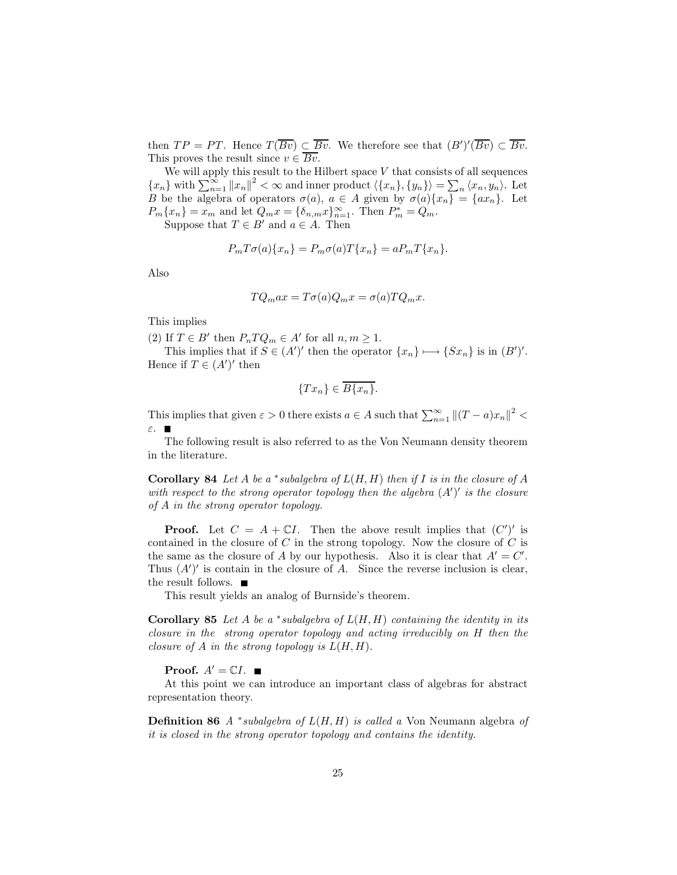then  $TP = PT$ . Hence  $T(\overline{Bv}) \subset \overline{Bv}$ . We therefore see that  $(B')'(\overline{Bv}) \subset \overline{Bv}$ . This proves the result since  $v \in \overline{Bv}$ .

We will apply this result to the Hilbert space  ${\cal V}$  that consists of all sequences  ${x_n}$  with  $\sum_{n=1}^{\infty} ||x_n||^2 < \infty$  and inner product  $\langle {x_n} \rangle, {y_n} \rangle = \sum_n \langle x_n, y_n \rangle$ . Let <br>*B* be the algebra of operators  $\sigma(a)$ ,  $a \in A$  given by  $\sigma(a){x_n} = {ax_n}$ . Let  $P_m\{x_n\}=x_m$  and let  $Q_mx=\{\delta_{n,m}x\}_{n=1}^\infty$ . Then  $P_m^*=Q_m$ .

Suppose that  $T \in B'$  and  $a \in A$ . Then

$$
P_mT\sigma(a)\{x_n\} = P_m\sigma(a)T\{x_n\} = aP_mT\{x_n\}.
$$

Also

$$
TQ_{m}ax = T\sigma(a)Q_{m}x = \sigma(a)TQ_{m}x.
$$

This implies

(2) If  $T \in B'$  then  $P_n T Q_m \in A'$  for all  $n, m \ge 1$ .

This implies that if  $S \in (A')'$  then the operator  $\{x_n\} \mapsto \{Sx_n\}$  is in  $(B')'.$ Hence if  $T \in (A')'$  then

$$
\{Tx_n\} \in \overline{B\{x_n\}}.
$$

This implies that given  $\varepsilon > 0$  there exists  $a \in A$  such that  $\sum_{n=1}^{\infty} ||(T-a)x_n||^2 <$  $\epsilon$ 

The following result is also referred to as the Von Neumann density theorem in the literature.

**Corollary 84** Let A be a \*subalgebra of  $L(H, H)$  then if I is in the closure of A with respect to the strong operator topology then the algebra  $(A')'$  is the closure of  $A$  in the strong operator topology.

**Proof.** Let  $C = A + \mathbb{C}I$ . Then the above result implies that  $(C')'$  is contained in the closure of  $C$  in the strong topology. Now the closure of  $C$  is the same as the closure of A by our hypothesis. Also it is clear that  $A' = C'$ . Thus  $(A')'$  is contain in the closure of A. Since the reverse inclusion is clear, the result follows.  $\blacksquare$ 

This result yields an analog of Burnside's theorem.

**Corollary 85** Let A be a \*subalgebra of  $L(H, H)$  containing the identity in its closure in the strong operator topology and acting irreducibly on  $H$  then the closure of A in the strong topology is  $L(H, H)$ .

**Proof.**  $A' = \mathbb{C}I$ .

At this point we can introduce an important class of algebras for abstract representation theory.

**Definition 86** A \*subalgebra of  $L(H, H)$  is called a Von Neumann algebra of it is closed in the strong operator topology and contains the identity.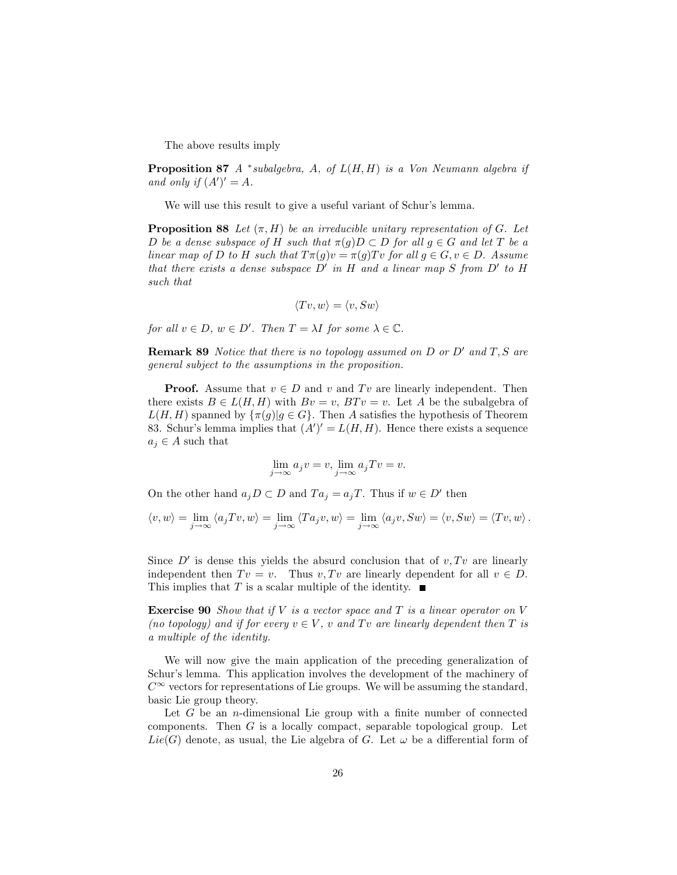The above results imply

**Proposition 87** A \*subalgebra, A, of  $L(H, H)$  is a Von Neumann algebra if and only if  $(A')' = A$ .

We will use this result to give a useful variant of Schur's lemma.

**Proposition 88** Let  $(\pi, H)$  be an irreducible unitary representation of G. Let D be a dense subspace of H such that  $\pi(g)D \subset D$  for all  $g \in G$  and let T be a linear map of D to H such that  $T\pi(g)v = \pi(g)Tv$  for all  $g \in G, v \in D$ . Assume that there exists a dense subspace  $D'$  in H and a linear map S from  $D'$  to H such that

$$
\langle Tv,w\rangle=\langle v,Sw\rangle
$$

for all  $v \in D$ ,  $w \in D'$ . Then  $T = \lambda I$  for some  $\lambda \in \mathbb{C}$ .

**Remark 89** Notice that there is no topology assumed on  $D$  or  $D'$  and  $T, S$  are general subject to the assumptions in the proposition.

**Proof.** Assume that  $v \in D$  and v and Tv are linearly independent. Then there exists  $B \in L(H, H)$  with  $Bv = v$ ,  $BTv = v$ . Let A be the subalgebra of  $L(H, H)$  spanned by  $\{\pi(g) | g \in G\}$ . Then A satisfies the hypothesis of Theorem 83. Schur's lemma implies that  $(A')' = L(H, H)$ . Hence there exists a sequence  $a_j \in A$  such that

$$
\lim_{j \to \infty} a_j v = v, \lim_{j \to \infty} a_j Tv = v.
$$

On the other hand  $a_i D \subset D$  and  $Ta_i = a_i T$ . Thus if  $w \in D'$  then

$$
\langle v, w \rangle = \lim_{j \to \infty} \langle a_j T v, w \rangle = \lim_{j \to \infty} \langle T a_j v, w \rangle = \lim_{j \to \infty} \langle a_j v, Sw \rangle = \langle v, Sw \rangle = \langle Tv, w \rangle
$$

Since  $D'$  is dense this yields the absurd conclusion that of  $v, Tv$  are linearly independent then  $Tv = v$ . Thus  $v, Tv$  are linearly dependent for all  $v \in D$ . This implies that T is a scalar multiple of the identity.  $\blacksquare$ 

**Exercise 90** Show that if V is a vector space and T is a linear operator on V (no topology) and if for every  $v \in V$ , v and Tv are linearly dependent then T is a multiple of the identity.

We will now give the main application of the preceding generalization of Schur's lemma. This application involves the development of the machinery of  $C^{\infty}$  vectors for representations of Lie groups. We will be assuming the standard, basic Lie group theory.

Let  $G$  be an *n*-dimensional Lie group with a finite number of connected components. Then  $G$  is a locally compact, separable topological group. Let  $Lie(G)$  denote, as usual, the Lie algebra of G. Let  $\omega$  be a differential form of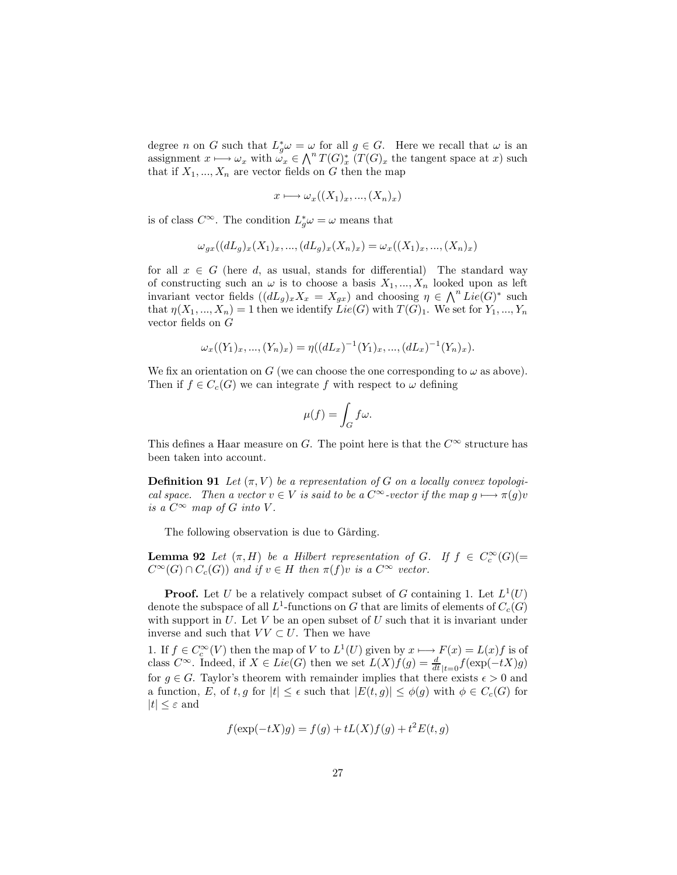degree *n* on *G* such that  $L_g^*\omega = \omega$  for all  $g \in G$ . Here we recall that  $\omega$  is an assignment  $x \mapsto \omega_x$  with  $\omega_x \in \bigwedge^n T(G)_x^*$   $(T(G)_x)$  the tangent space at x such that if  $X_1, ..., X_n$  are vector fields on G then the map

$$
x \longmapsto \omega_x((X_1)_x, ..., (X_n)_x)
$$

is of class  $C^{\infty}$ . The condition  $L_q^*\omega = \omega$  means that

$$
\omega_{gx}((dL_g)_x(X_1)_x, ..., (dL_g)_x(X_n)_x) = \omega_x((X_1)_x, ..., (X_n)_x)
$$

for all  $x \in G$  (here d, as usual, stands for differential) The standard way of constructing such an  $\omega$  is to choose a basis  $X_1, ..., X_n$  looked upon as left invariant vector fields  $((dL_g)_x X_x = X_{gx})$  and choosing  $\eta \in \bigwedge^n Lie(G)^*$  such that  $\eta(X_1, ..., X_n) = 1$  then we identify  $Lie(G)$  with  $T(G)_1$ . We set for  $Y_1, ..., Y_n$ vector fields on  $G$ 

$$
\omega_x((Y_1)_x, ..., (Y_n)_x) = \eta((dL_x)^{-1}(Y_1)_x, ..., (dL_x)^{-1}(Y_n)_x).
$$

We fix an orientation on G (we can choose the one corresponding to  $\omega$  as above). Then if  $f \in C_c(G)$  we can integrate f with respect to  $\omega$  defining

$$
\mu(f) = \int_G f\omega.
$$

This defines a Haar measure on G. The point here is that the  $C^{\infty}$  structure has been taken into account.

**Definition 91** Let  $(\pi, V)$  be a representation of G on a locally convex topological space. Then a vector  $v \in V$  is said to be a  $C^{\infty}$ -vector if the map  $g \mapsto \pi(g)v$ is a  $C^{\infty}$  map of G into V.

The following observation is due to Gårding.

**Lemma 92** Let  $(\pi, H)$  be a Hilbert representation of G. If  $f \in C_c^{\infty}(G)$  (=  $C^{\infty}(G) \cap C_c(G)$  and if  $v \in H$  then  $\pi(f)v$  is a  $C^{\infty}$  vector.

**Proof.** Let U be a relatively compact subset of G containing 1. Let  $L^1(U)$ denote the subspace of all  $L^1$ -functions on G that are limits of elements of  $C_c(G)$ with support in  $U$ . Let  $V$  be an open subset of  $U$  such that it is invariant under inverse and such that  $VV \subset U$ . Then we have

1. If  $f \in C_c^{\infty}(V)$  then the map of V to  $L^1(U)$  given by  $x \mapsto F(x) = L(x)f$  is of class  $C^{\infty}$ . Indeed, if  $X \in Lie(G)$  then we set  $L(X)f(g) = \frac{d}{dt}|_{t=0} f(\exp(-tX)g)$ for  $g \in G$ . Taylor's theorem with remainder implies that there exists  $\epsilon > 0$  and a function, E, of t, g for  $|t| \leq \epsilon$  such that  $|E(t,g)| \leq \phi(g)$  with  $\phi \in C_c(G)$  for  $|t| \leq \varepsilon$  and

$$
f(\exp(-tX)g) = f(g) + tL(X)f(g) + t^{2}E(t,g)
$$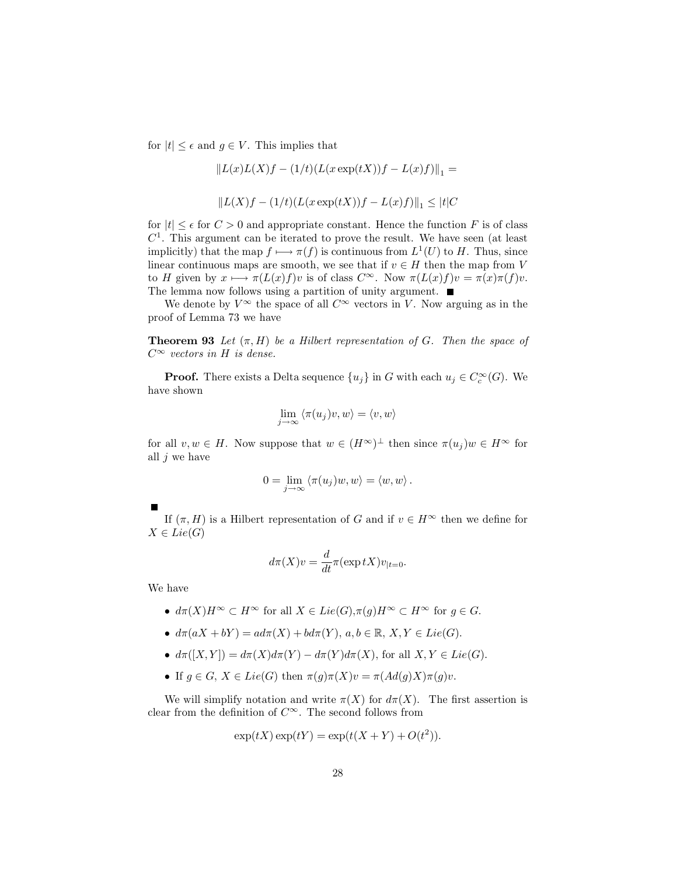for  $|t| \leq \epsilon$  and  $g \in V$ . This implies that

$$
||L(x)L(X)f - (1/t)(L(x \exp(tX))f - L(x)f)||_1 =
$$
  

$$
||L(X)f - (1/t)(L(x \exp(tX))f - L(x)f)||_1 \le |t|C
$$

for  $|t| \leq \epsilon$  for  $C > 0$  and appropriate constant. Hence the function F is of class  $C<sup>1</sup>$ . This argument can be iterated to prove the result. We have seen (at least implicitly) that the map  $f \mapsto \pi(f)$  is continuous from  $L^1(U)$  to H. Thus, since linear continuous maps are smooth, we see that if  $v \in H$  then the map from V to H given by  $x \mapsto \pi(L(x)f)v$  is of class  $C^{\infty}$ . Now  $\pi(L(x)f)v = \pi(x)\pi(f)v$ . The lemma now follows using a partition of unity argument.  $\blacksquare$ 

We denote by  $V^{\infty}$  the space of all  $C^{\infty}$  vectors in V. Now arguing as in the proof of Lemma 73 we have

**Theorem 93** Let  $(\pi, H)$  be a Hilbert representation of G. Then the space of  $C^{\infty}$  vectors in H is dense.

**Proof.** There exists a Delta sequence  $\{u_j\}$  in G with each  $u_j \in C_c^{\infty}(G)$ . We have shown

$$
\lim_{j \to \infty} \langle \pi(u_j)v, w \rangle = \langle v, w \rangle
$$

for all  $v, w \in H$ . Now suppose that  $w \in (H^{\infty})^{\perp}$  then since  $\pi(u_i)w \in H^{\infty}$  for all  $j$  we have

$$
0 = \lim_{j \to \infty} \langle \pi(u_j)w, w \rangle = \langle w, w \rangle.
$$

If  $(\pi, H)$  is a Hilbert representation of G and if  $v \in H^{\infty}$  then we define for  $X \in Lie(G)$ 

$$
d\pi(X)v = \frac{d}{dt}\pi(\exp tX)v_{|t=0}
$$

We have

- $d\pi(X)H^{\infty} \subset H^{\infty}$  for all  $X \in Lie(G), \pi(q)H^{\infty} \subset H^{\infty}$  for  $q \in G$ .
- $d\pi(aX + bY) = ad\pi(X) + bd\pi(Y), a, b \in \mathbb{R}, X, Y \in Lie(G).$
- $d\pi([X,Y]) = d\pi(X)d\pi(Y) d\pi(Y)d\pi(X)$ , for all  $X, Y \in Lie(G)$ .
- If  $q \in G$ ,  $X \in Lie(G)$  then  $\pi(q)\pi(X)v = \pi(Ad(q)X)\pi(q)v$ .

We will simplify notation and write  $\pi(X)$  for  $d\pi(X)$ . The first assertion is clear from the definition of  $C^{\infty}$ . The second follows from

$$
\exp(tX)\exp(tY) = \exp(t(X+Y) + O(t^2)).
$$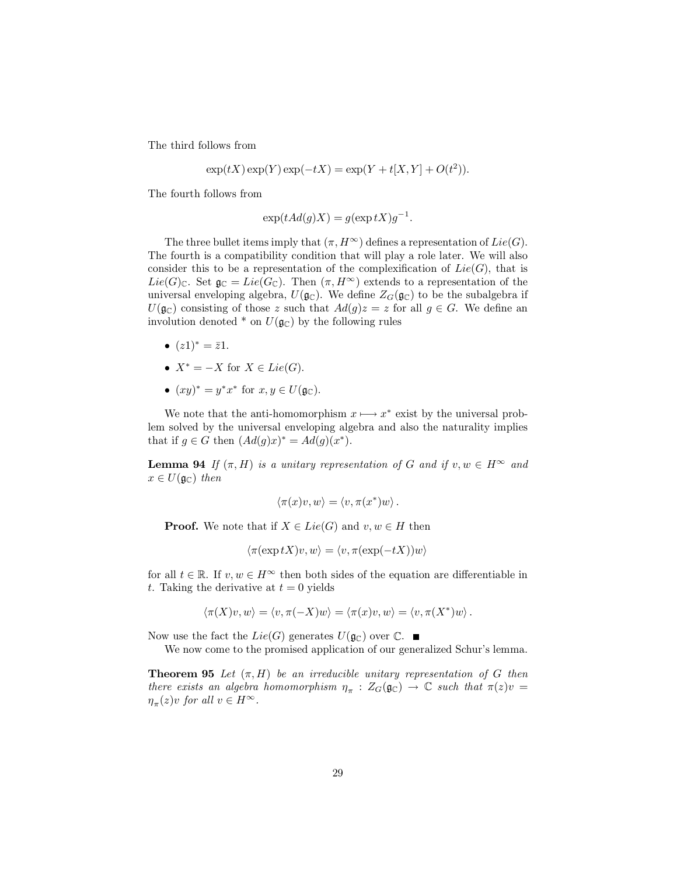The third follows from

$$
\exp(tX)\exp(Y)\exp(-tX) = \exp(Y + t[X, Y] + O(t^2)).
$$

The fourth follows from

$$
\exp(tAd(g)X) = g(\exp tX)g^{-1}.
$$

The three bullet items imply that  $(\pi, H^{\infty})$  defines a representation of  $Lie(G)$ . The fourth is a compatibility condition that will play a role later. We will also consider this to be a representation of the complexification of  $Lie(G)$ , that is  $Lie(G)_{\mathbb{C}}$ . Set  $\mathfrak{g}_{\mathbb{C}} = Lie(G_{\mathbb{C}})$ . Then  $(\pi, H^{\infty})$  extends to a representation of the universal enveloping algebra,  $U(\mathfrak{g}_{\mathbb{C}})$ . We define  $Z_G(\mathfrak{g}_{\mathbb{C}})$  to be the subalgebra if  $U(\mathfrak{g}_{\mathbb{C}})$  consisting of those z such that  $Ad(g)z = z$  for all  $g \in G$ . We define an involution denoted  $*$  on  $U(\mathfrak{g}_{\mathbb{C}})$  by the following rules

- $(z1)^* = \bar{z}1$ .
- $X^* = -X$  for  $X \in Lie(G)$ .
- $(xy)^* = y^*x^*$  for  $x, y \in U(\mathfrak{g}_{\mathbb{C}}).$

We note that the anti-homomorphism  $x \mapsto x^*$  exist by the universal problem solved by the universal enveloping algebra and also the naturality implies that if  $g \in G$  then  $(Ad(g)x)^* = Ad(g)(x^*)$ .

**Lemma 94** If  $(\pi, H)$  is a unitary representation of G and if  $v, w \in H^{\infty}$  and  $x \in U(\mathfrak{g}_{\mathbb{C}})$  then

$$
\langle \pi(x)v, w \rangle = \langle v, \pi(x^*)w \rangle.
$$

**Proof.** We note that if  $X \in Lie(G)$  and  $v, w \in H$  then

$$
\langle \pi(\exp tX)v, w \rangle = \langle v, \pi(\exp(-tX))w \rangle
$$

for all  $t \in \mathbb{R}$ . If  $v, w \in H^{\infty}$  then both sides of the equation are differentiable in t. Taking the derivative at  $t = 0$  yields

$$
\langle \pi(X)v, w \rangle = \langle v, \pi(-X)w \rangle = \langle \pi(x)v, w \rangle = \langle v, \pi(X^*)w \rangle.
$$

Now use the fact the  $Lie(G)$  generates  $U(\mathfrak{g}_{\mathbb{C}})$  over  $\mathbb{C}. \blacksquare$ 

We now come to the promised application of our generalized Schur's lemma.

**Theorem 95** Let  $(\pi, H)$  be an irreducible unitary representation of G then there exists an algebra homomorphism  $\eta_{\pi}$  :  $Z_G(\mathfrak{g}_{\mathbb{C}}) \to \mathbb{C}$  such that  $\pi(z)v =$  $\eta_{\pi}(z)v$  for all  $v \in H^{\infty}$ .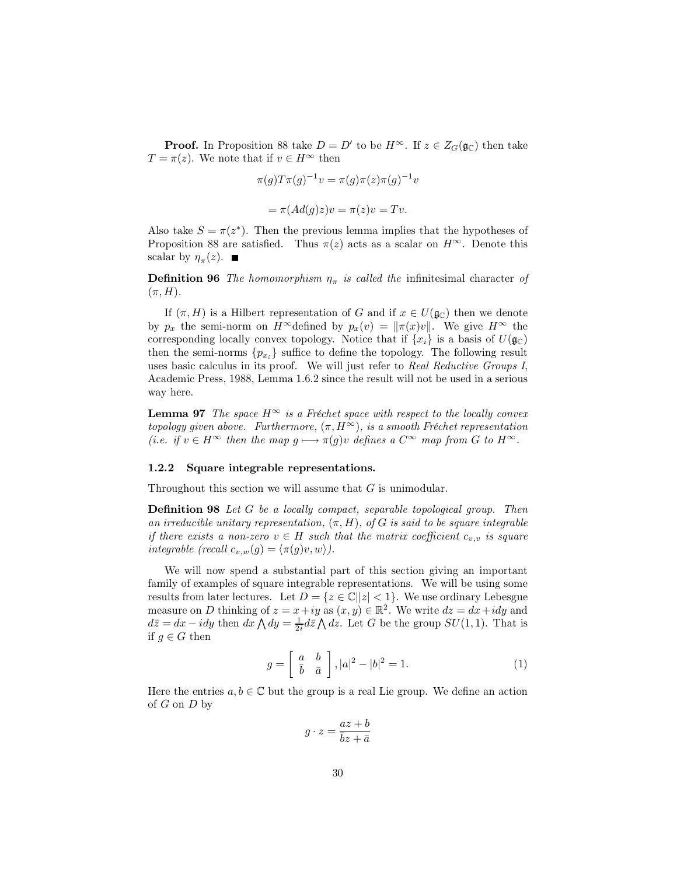**Proof.** In Proposition 88 take  $D = D'$  to be  $H^{\infty}$ . If  $z \in Z_G(\mathfrak{g}_{\mathbb{C}})$  then take  $T = \pi(z)$ . We note that if  $v \in H^{\infty}$  then

$$
\pi(g)T\pi(g)^{-1}v = \pi(g)\pi(z)\pi(g)^{-1}v
$$

$$
= \pi(Ad(g)z)v = \pi(z)v = Tv.
$$

Also take  $S = \pi(z^*)$ . Then the previous lemma implies that the hypotheses of Proposition 88 are satisfied. Thus  $\pi(z)$  acts as a scalar on  $H^{\infty}$ . Denote this scalar by  $\eta_{\pi}(z)$ .

**Definition 96** The homomorphism  $\eta_{\pi}$  is called the infinitesimal character of  $(\pi,H).$ 

If  $(\pi, H)$  is a Hilbert representation of G and if  $x \in U(\mathfrak{g}_{\mathbb{C}})$  then we denote by  $p_x$  the semi-norm on  $H^{\infty}$  defined by  $p_x(v) = ||\pi(x)v||$ . We give  $H^{\infty}$  the corresponding locally convex topology. Notice that if  $\{x_i\}$  is a basis of  $U(\mathfrak{g}_{\mathbb{C}})$ then the semi-norms  $\{p_{x_i}\}\$  suffice to define the topology. The following result uses basic calculus in its proof. We will just refer to Real Reductive Groups I, Academic Press, 1988, Lemma 1.6.2 since the result will not be used in a serious way here.

**Lemma 97** The space  $H^{\infty}$  is a Fréchet space with respect to the locally convex topology given above. Furthermore,  $(\pi, H^{\infty})$ , is a smooth Fréchet representation (*i.e.* if  $v \in H^{\infty}$  then the map  $g \mapsto \pi(g)v$  defines a  $C^{\infty}$  map from G to  $H^{\infty}$ .

#### Square integrable representations. 1.2.2

Throughout this section we will assume that  $G$  is unimodular.

**Definition 98** Let  $G$  be a locally compact, separable topological group. Then an irreducible unitary representation,  $(\pi, H)$ , of G is said to be square integrable if there exists a non-zero  $v \in H$  such that the matrix coefficient  $c_{v,v}$  is square integrable (recall  $c_{v,w}(g) = \langle \pi(g)v, w \rangle$ ).

We will now spend a substantial part of this section giving an important family of examples of square integrable representations. We will be using some results from later lectures. Let  $D = \{z \in \mathbb{C} \mid |z| < 1\}$ . We use ordinary Lebesgue measure on D thinking of  $z = x + iy$  as  $(x, y) \in \mathbb{R}^2$ . We write  $dz = dx + idy$  and  $d\overline{z} = dx - idy$  then  $dx \wedge dy = \frac{1}{2i} d\overline{z} \wedge dz$ . Let G be the group  $SU(1,1)$ . That is if  $g \in G$  then

$$
g = \left[\begin{array}{cc} a & b \\ \overline{b} & \overline{a} \end{array}\right], |a|^2 - |b|^2 = 1.
$$
 (1)

Here the entries  $a, b \in \mathbb{C}$  but the group is a real Lie group. We define an action of  $G$  on  $D$  by

$$
g \cdot z = \frac{az + b}{\overline{b}z + \overline{a}}
$$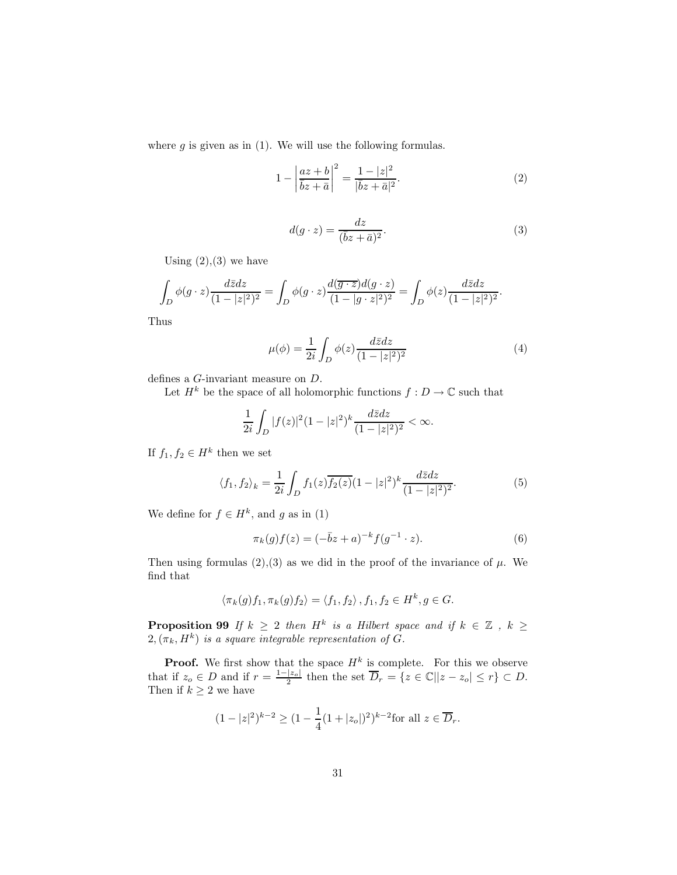where  $g$  is given as in (1). We will use the following formulas.

$$
1 - \left| \frac{az + b}{\bar{b}z + \bar{a}} \right|^2 = \frac{1 - |z|^2}{|\bar{b}z + \bar{a}|^2}.
$$
 (2)

$$
d(g \cdot z) = \frac{dz}{(\bar{b}z + \bar{a})^2}.
$$
\n(3)

Using  $(2),(3)$  we have

$$
\int_D \phi(g \cdot z) \frac{d\overline{z} dz}{(1-|z|^2)^2} = \int_D \phi(g \cdot z) \frac{d(\overline{g \cdot z}) d(g \cdot z)}{(1-|g \cdot z|^2)^2} = \int_D \phi(z) \frac{d\overline{z} dz}{(1-|z|^2)^2}.
$$

Thus

$$
\mu(\phi) = \frac{1}{2i} \int_D \phi(z) \frac{d\bar{z}dz}{(1 - |z|^2)^2}
$$
(4)

% defines a  $G\text{-}\mathrm{invariant}$  measure on  $D.$  Let  $H^k$  be the space of all holomorphic functions  $f:D\to\mathbb{C}$  such that

$$
\frac{1}{2i} \int_D |f(z)|^2 (1-|z|^2)^k \frac{d\bar{z} dz}{(1-|z|^2)^2} < \infty.
$$

If  $f_1, f_2 \in H^k$  then we set

$$
\langle f_1, f_2 \rangle_k = \frac{1}{2i} \int_D f_1(z) \overline{f_2(z)} (1 - |z|^2)^k \frac{d\bar{z} dz}{(1 - |z|^2)^2}.
$$
 (5)

We define for  $f \in H^k$ , and g as in (1)

$$
\pi_k(g)f(z) = (-\bar{b}z + a)^{-k} f(g^{-1} \cdot z). \tag{6}
$$

Then using formulas (2), (3) as we did in the proof of the invariance of  $\mu$ . We find that

$$
\langle \pi_k(g) f_1, \pi_k(g) f_2 \rangle = \langle f_1, f_2 \rangle, f_1, f_2 \in H^k, g \in G.
$$

**Proposition 99** If  $k \ge 2$  then  $H^k$  is a Hilbert space and if  $k \in \mathbb{Z}$ ,  $k \ge 2, (\pi_k, H^k)$  is a square integrable representation of G.

**Proof.** We first show that the space  $H^k$  is complete. For this we observe that if  $z_o \in D$  and if  $r = \frac{1-|z_o|}{2}$  then the set  $\overline{D}_r = \{z \in \mathbb{C} | |z - z_o| \le r\} \subset D$ . Then if  $k \ge 2$  we have

$$
(1-|z|^2)^{k-2} \ge (1-\frac{1}{4}(1+|z_o|)^2)^{k-2} \text{for all } z \in \overline{D}_r.
$$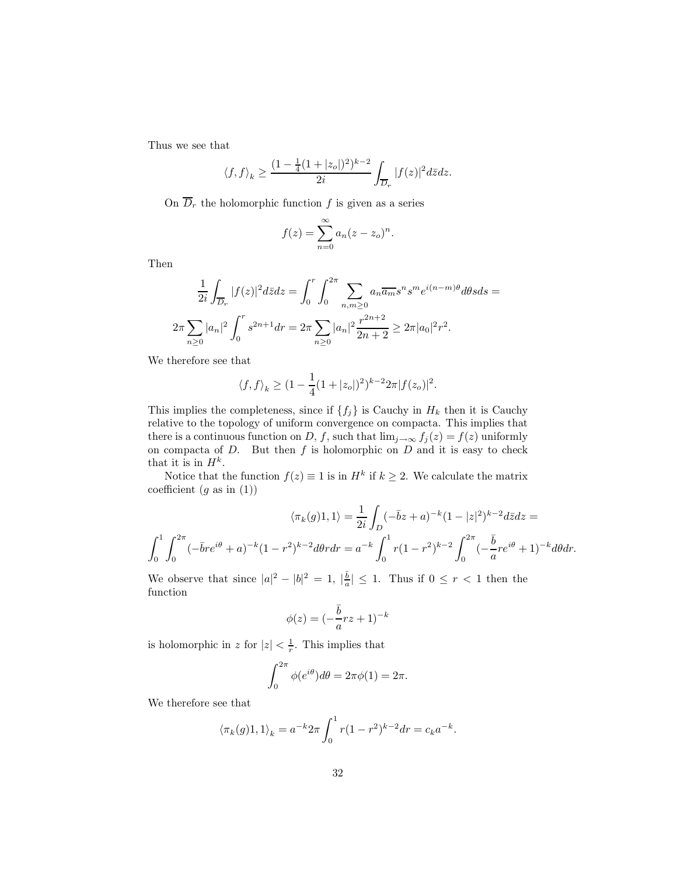Thus we see that

$$
\langle f,f\rangle_k\geq \frac{(1-\frac{1}{4}(1+|z_o|)^2)^{k-2}}{2i}\int_{\overline{D}_r}|f(z)|^2d\bar{z}dz.
$$

On  $\overline{D}_r$  the holomorphic function f is given as a series

function *f* is given as a  

$$
f(z) = \sum_{n=0}^{\infty} a_n (z - z_o)^n.
$$

Then

$$
\frac{1}{2i} \int_{\overline{D}_r} |f(z)|^2 d\bar{z} dz = \int_0^r \int_0^{2\pi} \sum_{n,m \ge 0} a_n \overline{a_m} s^n s^m e^{i(n-m)\theta} d\theta s ds =
$$
  

$$
2\pi \sum_{n\ge 0} |a_n|^2 \int_0^r s^{2n+1} dr = 2\pi \sum_{n\ge 0} |a_n|^2 \frac{r^{2n+2}}{2n+2} \ge 2\pi |a_0|^2 r^2.
$$

We therefore see that

$$
\langle f, f \rangle_k \ge (1 - \frac{1}{4}(1 + |z_o|)^2)^{k-2} 2\pi |f(z_o)|^2.
$$

This implies the completeness, since if  $\{f_j\}$  is Cauchy in  $H_k$  then it is Cauchy relative to the topology of uniform convergence on compacta. This implies that there is a continuous function on D, f, such that  $\lim_{j\to\infty} f_j(z) = f(z)$  uniformly on compacta of  $D$ . But then  $f$  is holomorphic on  $D$  and it is easy to check that it is in  $H^k$ .

Notice that the function  $f(z) \equiv 1$  is in  $H^k$  if  $k \geq 2$ . We calculate the matrix coefficient  $(g \text{ as in } (1))$ 

$$
\langle \pi_k(g)1, 1 \rangle = \frac{1}{2i} \int_D (-\bar{b}z + a)^{-k} (1 - |z|^2)^{k-2} d\bar{z} dz =
$$
  

$$
\int_0^1 \int_0^{2\pi} (-\bar{b}r e^{i\theta} + a)^{-k} (1 - r^2)^{k-2} d\theta r dr = a^{-k} \int_0^1 r (1 - r^2)^{k-2} \int_0^{2\pi} (-\frac{\bar{b}}{a} r e^{i\theta} + 1)^{-k} d\theta dr.
$$

We observe that since  $|a|^2 - |b|^2 = 1$ ,  $|\frac{\overline{b}}{a}| \leq 1$ . Thus if  $0 \leq r < 1$  then the function

$$
\phi(z) = (-\frac{\bar{b}}{a}rz + 1)^{-k}
$$

is holomorphic in z for  $|z| < \frac{1}{r}$ . This implies that

$$
\int_0^{2\pi} \phi(e^{i\theta}) d\theta = 2\pi \phi(1) = 2\pi.
$$

We therefore see that

$$
\langle \pi_k(g)1, 1 \rangle_k = a^{-k} 2\pi \int_0^1 r(1 - r^2)^{k-2} dr = c_k a^{-k}.
$$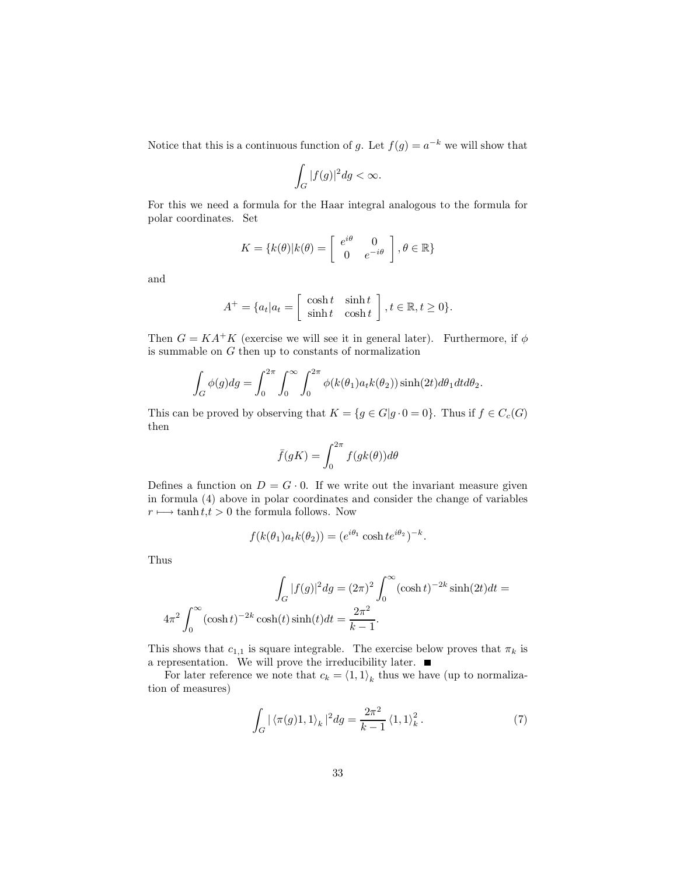Notice that this is a continuous function of g. Let  $f(g) = a^{-k}$  we will show that

$$
\int_G |f(g)|^2 dg < \infty
$$

For this we need a formula for the Haar integral analogous to the formula for polar coordinates. Set

$$
K = \{k(\theta)|k(\theta) = \begin{bmatrix} e^{i\theta} & 0\\ 0 & e^{-i\theta} \end{bmatrix}, \theta \in \mathbb{R}\}
$$

and

$$
A^+ = \{a_t | a_t = \begin{bmatrix} \cosh t & \sinh t \\ \sinh t & \cosh t \end{bmatrix}, t \in \mathbb{R}, t \ge 0\}.
$$

Then  $G = KA^+K$  (exercise we will see it in general later). Furthermore, if  $\phi$ is summable on  $G$  then up to constants of normalization

$$
\int_G \phi(g) dg = \int_0^{2\pi} \int_0^{\infty} \int_0^{2\pi} \phi(k(\theta_1) a_t k(\theta_2)) \sinh(2t) d\theta_1 dt d\theta_2
$$

This can be proved by observing that  $K = \{g \in G | g \cdot 0 = 0\}$ . Thus if  $f \in C_c(G)$ then

$$
\bar{f}(gK) = \int_0^{2\pi} f(gk(\theta))d\theta
$$

Defines a function on  $D = G \cdot 0$ . If we write out the invariant measure given in formula (4) above in polar coordinates and consider the change of variables  $r \mapsto \tanh t, t > 0$  the formula follows. Now

$$
f(k(\theta_1)a_t k(\theta_2)) = (e^{i\theta_1} \cosh t e^{i\theta_2})^{-k}.
$$

Thus

$$
\int_G |f(g)|^2 dg = (2\pi)^2 \int_0^\infty (\cosh t)^{-2k} \sinh(2t) dt = 4\pi^2 \int_0^\infty (\cosh t)^{-2k} \cosh(t) \sinh(t) dt = \frac{2\pi^2}{k-1}.
$$

This shows that  $c_{1,1}$  is square integrable. The exercise below proves that  $\pi_k$  is a representation. We will prove the irreducibility later.  $\blacksquare$ 

For later reference we note that  $c_k = \langle 1, 1 \rangle_k$  thus we have (up to normalization of measures)

$$
\int_G |\left\langle \pi(g)1, 1 \right\rangle_k|^2 dg = \frac{2\pi^2}{k-1} \left\langle 1, 1 \right\rangle_k^2. \tag{7}
$$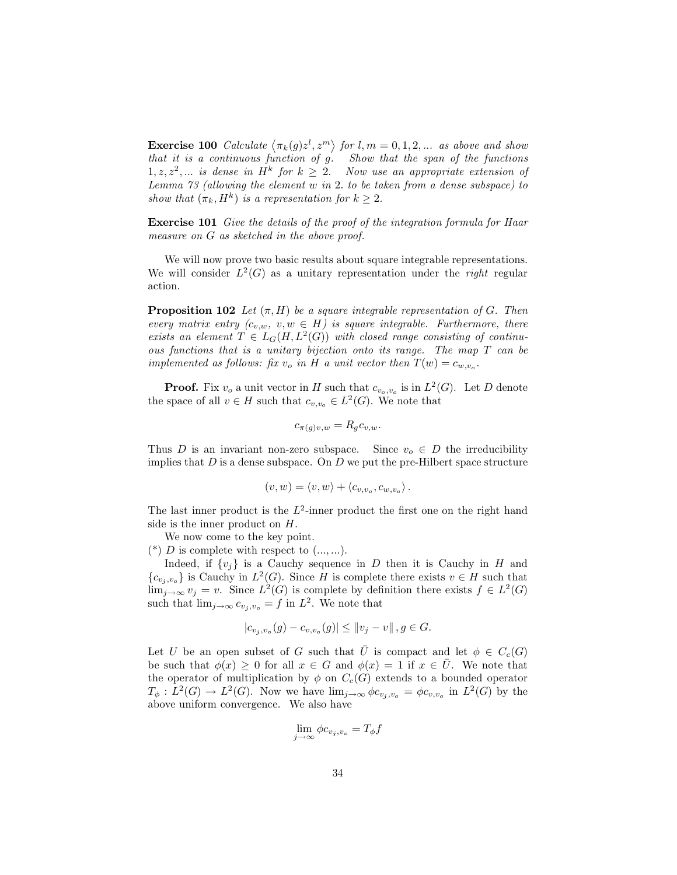**Exercise 100** Calculate  $\langle \pi_k(g) z^l, z^m \rangle$  for  $l, m = 0, 1, 2, ...$  as above and show that it is a continuous function of  $g$ . Show that the span of the functions  $1, z, z<sup>2</sup>, ...$  is dense in  $H<sup>k</sup>$  for  $k \geq 2$ . Now use an appropriate extension of Lemma  $73$  (allowing the element w in 2. to be taken from a dense subspace) to show that  $(\pi_k, H^k)$  is a representation for  $k \geq 2$ .

**Exercise 101** Give the details of the proof of the integration formula for Haar measure on  $G$  as sketched in the above proof.

We will now prove two basic results about square integrable representations. We will consider  $L^2(G)$  as a unitary representation under the *right* regular action.

**Proposition 102** Let  $(\pi, H)$  be a square integrable representation of G. Then every matrix entry  $(c_{v,w}, v, w \in H)$  is square integrable. Furthermore, there exists an element  $T \in L_G(H, L^2(G))$  with closed range consisting of continuous functions that is a unitary bijection onto its range. The map  $T$  can be implemented as follows: fix  $v_o$  in H a unit vector then  $T(w) = c_{w, v_o}$ .

**Proof.** Fix  $v_o$  a unit vector in H such that  $c_{v_o,v_o}$  is in  $L^2(G)$ . Let D denote the space of all  $v \in H$  such that  $c_{v,v_0} \in L^2(G)$ . We note that

$$
c_{\pi(g)v,w} = R_g c_{v,w}.
$$

Thus D is an invariant non-zero subspace. Since  $v_o \in D$  the irreducibility implies that  $D$  is a dense subspace. On  $D$  we put the pre-Hilbert space structure

$$
(v,w)=\left\langle v,w\right\rangle +\left\langle c_{v,v_o},c_{w,v_o}\right\rangle .
$$

The last inner product is the  $L^2$ -inner product the first one on the right hand side is the inner product on  $H$ .

We now come to the key point.

 $(*)$  D is complete with respect to  $(...,...).$ 

Indeed, if  $\{v_i\}$  is a Cauchy sequence in D then it is Cauchy in H and  ${c_{v_i,v_o}}$  is Cauchy in  $L^2(G)$ . Since H is complete there exists  $v \in H$  such that  $\lim_{j\to\infty} v_j = v.$  Since  $L^2(G)$  is complete by definition there exists  $f \in L^2(G)$ such that  $\lim_{j\to\infty} c_{v_j,v_o} = f$  in  $L^2$ . We note that

$$
|c_{v_j,v_o}(g) - c_{v,v_o}(g)| \le ||v_j - v||, g \in G.
$$

Let U be an open subset of G such that  $\overline{U}$  is compact and let  $\phi \in C_c(G)$ be such that  $\phi(x) > 0$  for all  $x \in G$  and  $\phi(x) = 1$  if  $x \in U$ . We note that the operator of multiplication by  $\phi$  on  $C_c(G)$  extends to a bounded operator  $T_{\phi}: L^2(G) \to L^2(G)$ . Now we have  $\lim_{j\to\infty} \phi c_{v_j,v_o} = \phi c_{v,v_o}$  in  $L^2(G)$  by the above uniform convergence. We also have

$$
\lim_{j \to \infty} \phi c_{v_j, v_o} = T_{\phi} f
$$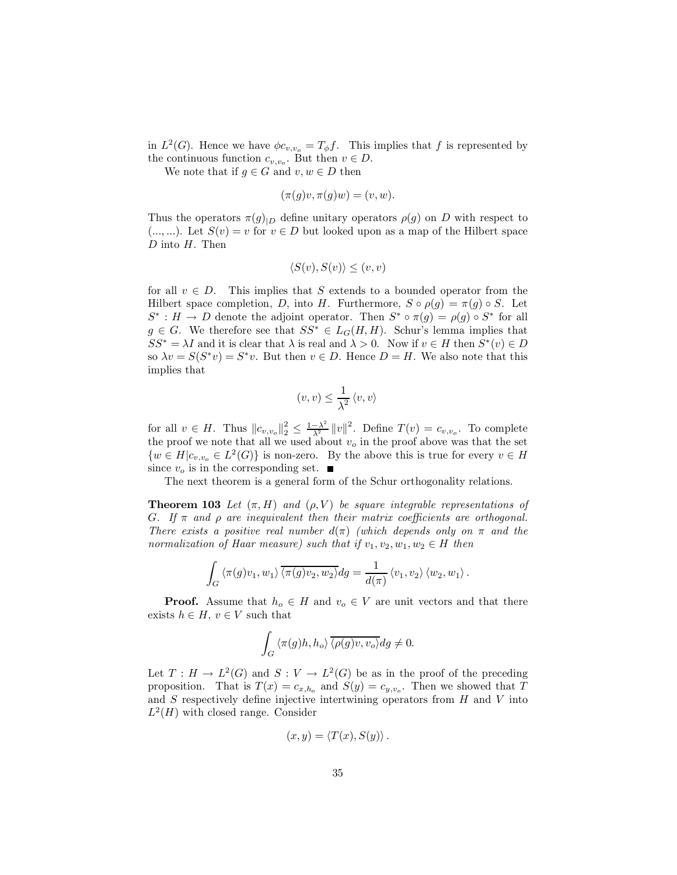in  $L^2(G)$ . Hence we have  $\phi c_{v,v_o} = T_{\phi} f$ . This implies that f is represented by the continuous function  $c_{v,v_0}$ . But then  $v \in D$ .

We note that if  $g \in G$  and  $v, w \in D$  then

 $(\pi(q)v, \pi(q)w) = (v, w).$ 

Thus the operators  $\pi(g)_{|D}$  define unitary operators  $\rho(g)$  on D with respect to (..., ...). Let  $S(v) = v$  for  $v \in D$  but looked upon as a map of the Hilbert space  $D$  into  $H$ . Then

$$
\langle S(v), S(v) \rangle \le (v, v)
$$

for all  $v \in D$ . This implies that S extends to a bounded operator from the Hilbert space completion, D, into H. Furthermore,  $S \circ \rho(g) = \pi(g) \circ S$ . Let  $S^*: H \to D$  denote the adjoint operator. Then  $S^* \circ \pi(q) = \rho(q) \circ S^*$  for all  $g \in G$ . We therefore see that  $SS^* \in L_G(H, H)$ . Schur's lemma implies that  $SS^* = \lambda I$  and it is clear that  $\lambda$  is real and  $\lambda > 0$ . Now if  $v \in H$  then  $S^*(v) \in D$ so  $\lambda v = S(S^*v) = S^*v$ . But then  $v \in D$ . Hence  $D = H$ . We also note that this implies that

$$
(v, v) \le \frac{1}{\lambda^2} \langle v, v \rangle
$$

for all  $v \in H$ . Thus  $||c_{v,v_o}||_2^2 \le \frac{1-\lambda^2}{\lambda^2} ||v||^2$ . Define  $T(v) = c_{v,v_o}$ . To complete the proof we note that all we used about  $v_o$  in the proof above was that the set  $\{w \in H | c_{v,v_o} \in L^2(G)\}\$ is non-zero. By the above this is true for every  $v \in H$ since  $v_o$  is in the corresponding set.  $\blacksquare$ 

The next theorem is a general form of the Schur orthogonality relations.

**Theorem 103** Let  $(\pi, H)$  and  $(\rho, V)$  be square integrable representations of G. If  $\pi$  and  $\rho$  are inequivalent then their matrix coefficients are orthogonal. There exists a positive real number  $d(\pi)$  (which depends only on  $\pi$  and the normalization of Haar measure) such that if  $v_1, v_2, w_1, w_2 \in H$  then

$$
\int_G \langle \pi(g)v_1, w_1 \rangle \overline{\langle \pi(g)v_2, w_2 \rangle} dg = \frac{1}{d(\pi)} \langle v_1, v_2 \rangle \langle w_2, w_1 \rangle.
$$

**Proof.** Assume that  $h_o \in H$  and  $v_o \in V$  are unit vectors and that there exists  $h \in H$ ,  $v \in V$  such that

$$
\int_G \langle \pi(g)h, h_o \rangle \overline{\langle \rho(g)v, v_o \rangle} dg \neq 0.
$$

Let  $T: H \to L^2(G)$  and  $S: V \to L^2(G)$  be as in the proof of the preceding proposition. That is  $T(x) = c_{x,h_o}$  and  $S(y) = c_{y,v_o}$ . Then we showed that T and  $S$  respectively define injective intertwining operators from  $H$  and  $V$  into  $L^2(H)$  with closed range. Consider

$$
(x, y) = \langle T(x), S(y) \rangle.
$$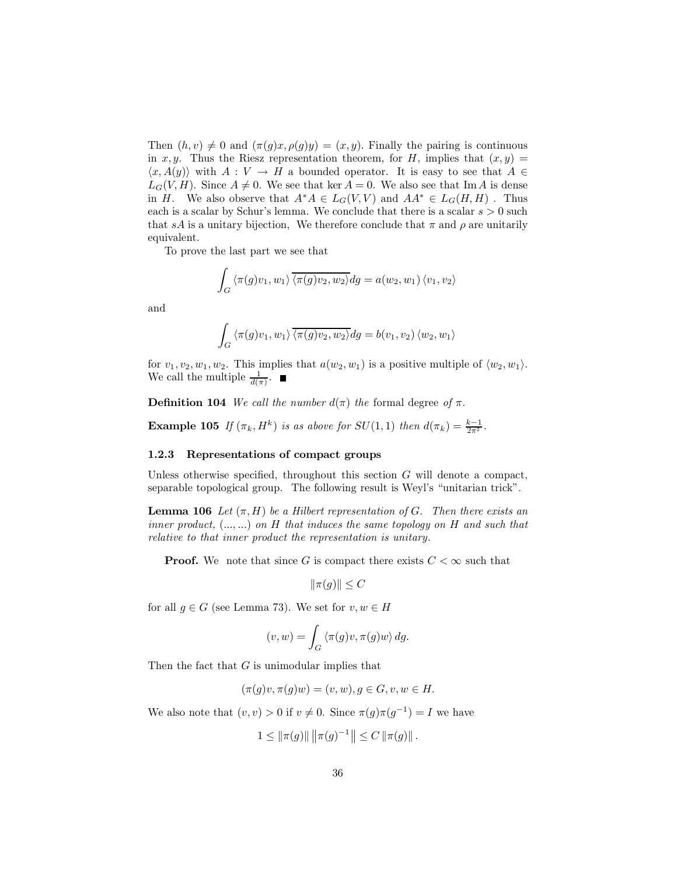Then  $(h, v) \neq 0$  and  $(\pi(g)x, \rho(g)y) = (x, y)$ . Finally the pairing is continuous in x, y. Thus the Riesz representation theorem, for H, implies that  $(x, y)$  =  $\langle x, A(y) \rangle$  with  $A: V \to H$  a bounded operator. It is easy to see that  $A \in$  $L_G(V, H)$ . Since  $A \neq 0$ . We see that ker  $A = 0$ . We also see that Im A is dense in H. We also observe that  $A^*A \in L_G(V, V)$  and  $AA^* \in L_G(H, H)$ . Thus each is a scalar by Schur's lemma. We conclude that there is a scalar  $s > 0$  such that sA is a unitary bijection. We therefore conclude that  $\pi$  and  $\rho$  are unitarily equivalent.

To prove the last part we see that

$$
\int_G \langle \pi(g)v_1, w_1 \rangle \overline{\langle \pi(g)v_2, w_2 \rangle} dg = a(w_2, w_1) \langle v_1, v_2 \rangle
$$

and

$$
\int_G \langle \pi(g)v_1, w_1 \rangle \overline{\langle \pi(g)v_2, w_2 \rangle} dg = b(v_1, v_2) \langle w_2, w_1 \rangle
$$

for  $v_1, v_2, w_1, w_2$ . This implies that  $a(w_2, w_1)$  is a positive multiple of  $\langle w_2, w_1 \rangle$ . We call the multiple  $\frac{1}{d(\pi)}$ .

**Definition 104** We call the number  $d(\pi)$  the formal degree of  $\pi$ .

**Example 105** If  $(\pi_k, H^k)$  is as above for  $SU(1,1)$  then  $d(\pi_k) = \frac{k-1}{2\pi^2}$ .

#### 1.2.3 Representations of compact groups

Unless otherwise specified, throughout this section  $G$  will denote a compact, separable topological group. The following result is Weyl's "unitarian trick".

**Lemma 106** Let  $(\pi, H)$  be a Hilbert representation of G. Then there exists an inner product,  $(...,...)$  on H that induces the same topology on H and such that relative to that inner product the representation is unitary.

**Proof.** We note that since G is compact there exists  $C < \infty$  such that

$$
\|\pi(g)\| \le C
$$

for all  $g \in G$  (see Lemma 73). We set for  $v, w \in H$ 

$$
(v, w) = \int_G \langle \pi(g)v, \pi(g)w \rangle \, dg.
$$

Then the fact that  $G$  is unimodular implies that

$$
(\pi(g)v, \pi(g)w) = (v, w), g \in G, v, w \in H.
$$

We also note that  $(v, v) > 0$  if  $v \neq 0$ . Since  $\pi(g)\pi(g^{-1}) = I$  we have

$$
1 \leq \|\pi(g)\| \left\|\pi(g)^{-1}\right\| \leq C \left\|\pi(g)\right\|.
$$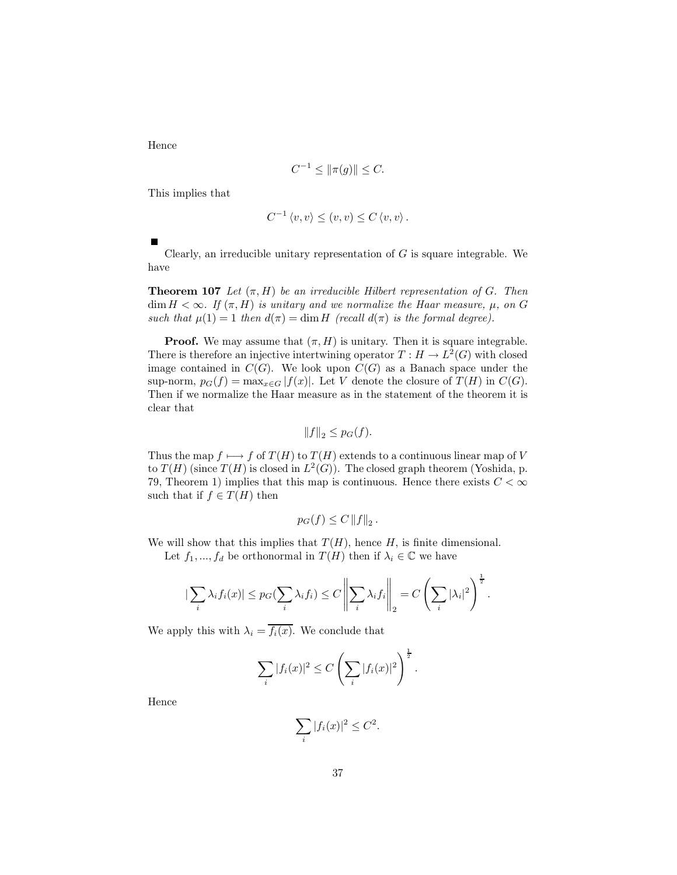Hence

$$
C^{-1} \le \|\pi(g)\| \le C.
$$

This implies that

$$
C^{-1} \langle v, v \rangle \le (v, v) \le C \langle v, v \rangle.
$$

Clearly, an irreducible unitary representation of  $G$  is square integrable. We have

**Theorem 107** Let  $(\pi, H)$  be an irreducible Hilbert representation of G. Then  $\dim H < \infty$ . If  $(\pi, H)$  is unitary and we normalize the Haar measure,  $\mu$ , on G such that  $\mu(1) = 1$  then  $d(\pi) = \dim H$  (recall  $d(\pi)$  is the formal degree).

**Proof.** We may assume that  $(\pi, H)$  is unitary. Then it is square integrable. There is therefore an injective intertwining operator  $T: H \to L^2(G)$  with closed image contained in  $C(G)$ . We look upon  $C(G)$  as a Banach space under the sup-norm,  $p_G(f) = \max_{x \in G} |f(x)|$ . Let V denote the closure of  $T(H)$  in  $C(G)$ . Then if we normalize the Haar measure as in the statement of the theorem it is clear that

$$
||f||_2 \leq p_G(f).
$$

Thus the map  $f \mapsto f$  of  $T(H)$  to  $T(H)$  extends to a continuous linear map of V to  $T(H)$  (since  $T(H)$  is closed in  $L^2(G)$ ). The closed graph theorem (Yoshida, p. 79, Theorem 1) implies that this map is continuous. Hence there exists  $C < \infty$ such that if  $f \in T(H)$  then

$$
p_G(f) \le C \left\|f\right\|_2.
$$

We will show that this implies that  $T(H)$ , hence H, is finite dimensional. Let  $f_1, ..., f_d$  be orthonormal in  $T(H)$  then if  $\lambda_i \in \mathbb{C}$  we have

$$
\left|\sum_{i}\lambda_{i}f_{i}(x)\right| \leq p_{G}(\sum_{i}\lambda_{i}f_{i}) \leq C\left\|\sum_{i}\lambda_{i}f_{i}\right\|_{2} = C\left(\sum_{i}|\lambda_{i}|^{2}\right)^{\frac{1}{2}}.
$$

We apply this with  $\lambda_i = \overline{f_i(x)}$ . We conclude that

$$
\sum_{i}|f_i(x)|^2 \leq C\left(\sum_{i}|f_i(x)|^2\right)^{\frac{1}{2}}.
$$

Hence

$$
\sum_{i} |f_i(x)|^2 \le C^2.
$$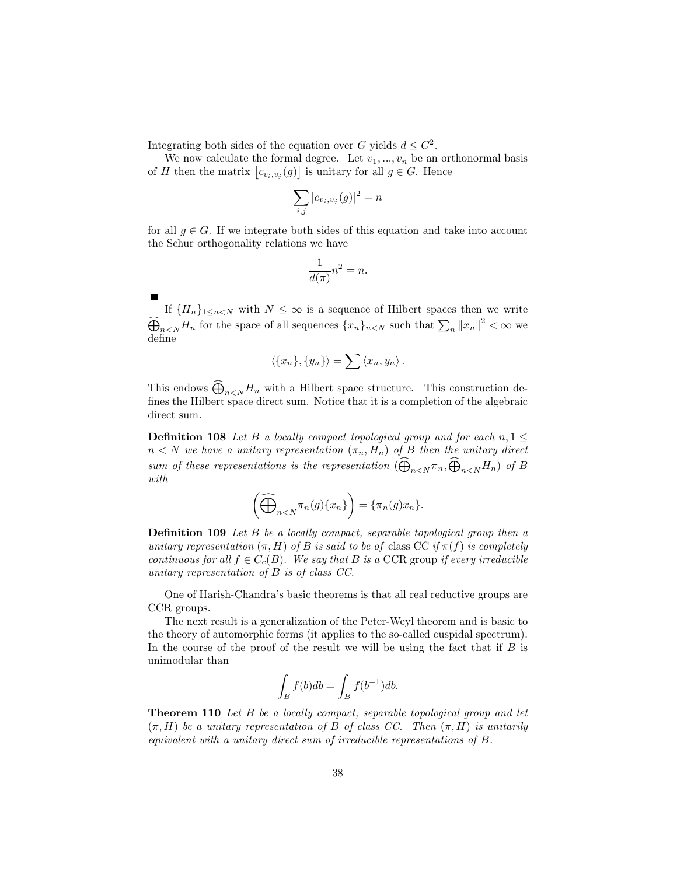Integrating both sides of the equation over G yields  $d \leq C^2$ .

We now calculate the formal degree. Let  $v_1, ..., v_n$  be an orthonormal basis of H then the matrix  $[c_{v_i,v_j}(g)]$  is unitary for all  $g \in G$ . Hence

$$
\sum_{i,j}|c_{v_i,v_j}(g)|^2=n
$$

for all  $g \in G$ . If we integrate both sides of this equation and take into account the Schur orthogonality relations we have

$$
\frac{1}{d(\pi)}n^2 = n.
$$

If  $\{H_n\}_{1 \leq n < N}$  with  $N \leq \infty$  is a sequence of Hilbert spaces then we write  $\widehat{\bigoplus}_{n < N} H_n$  for the space of all sequences  $\{x_n\}_{n < N}$  such that  $\sum_n ||x_n||^2 < \infty$  we define

$$
\langle \{x_n\}, \{y_n\} \rangle = \sum \langle x_n, y_n \rangle.
$$

This endows  $\widehat{\bigoplus}_{n\leq N}H_n$  with a Hilbert space structure. This construction defines the Hilbert space direct sum. Notice that it is a completion of the algebraic direct sum.

**Definition 108** Let B a locally compact topological group and for each  $n, 1 \leq$  $n < N$  we have a unitary representation  $(\pi_n, H_n)$  of B then the unitary direct sum of these representations is the representation  $(\bigoplus_{n\leq N}\pi_n,\bigoplus_{n\leq N}H_n)$  of B  $with$ 

$$
\left(\widehat{\bigoplus}_{n
$$

**Definition 109** Let B be a locally compact, separable topological group then a unitary representation  $(\pi, H)$  of B is said to be of class CC if  $\pi(f)$  is completely continuous for all  $f \in C_c(B)$ . We say that B is a CCR group if every irreducible unitary representation of  $B$  is of class  $CC$ .

One of Harish-Chandra's basic theorems is that all real reductive groups are CCR groups.

The next result is a generalization of the Peter-Weyl theorem and is basic to the theory of automorphic forms (it applies to the so-called cuspidal spectrum). In the course of the proof of the result we will be using the fact that if  $B$  is unimodular than

$$
\int_B f(b)db = \int_B f(b^{-1})db.
$$

**Theorem 110** Let B be a locally compact, separable topological group and let  $(\pi, H)$  be a unitary representation of B of class CC. Then  $(\pi, H)$  is unitarily equivalent with a unitary direct sum of irreducible representations of  $B$ .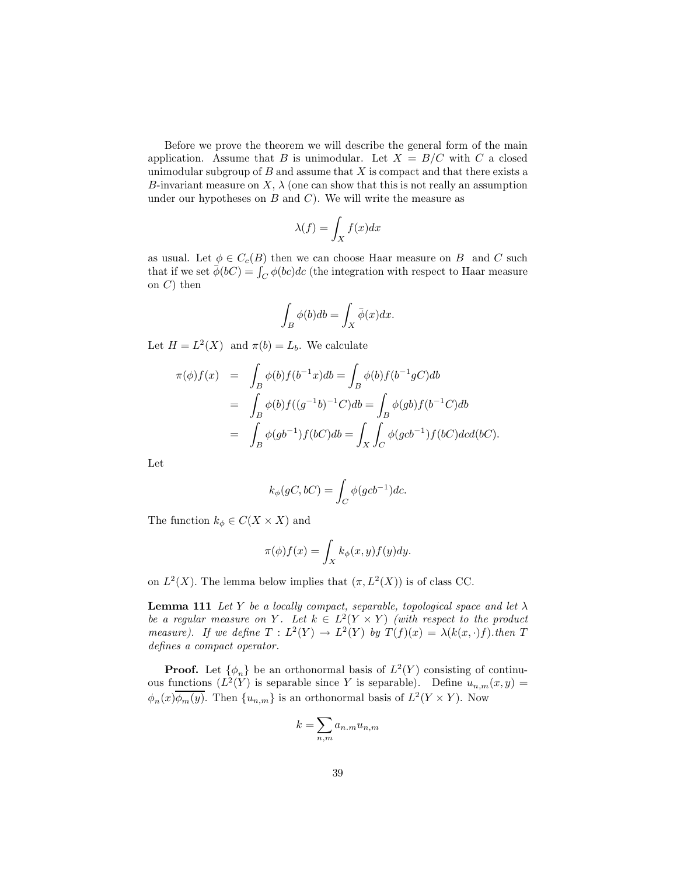Before we prove the theorem we will describe the general form of the main application. Assume that B is unimodular. Let  $X = B/C$  with C a closed unimodular subgroup of  $B$  and assume that  $X$  is compact and that there exists a B-invariant measure on X,  $\lambda$  (one can show that this is not really an assumption under our hypotheses on  $B$  and  $C$ ). We will write the measure as

$$
\lambda(f) = \int_X f(x)dx
$$

as usual. Let  $\phi \in C_c(B)$  then we can choose Haar measure on B and C such that if we set  $\phi(bC) = \int_C \phi(bc)dc$  (the integration with respect to Haar measure on  $C$ ) then

$$
\int_B \phi(b)db = \int_X \bar{\phi}(x)dx.
$$

Let  $H = L^2(X)$  and  $\pi(b) = L_b$ . We calculate

$$
\pi(\phi)f(x) = \int_B \phi(b)f(b^{-1}x)db = \int_B \phi(b)f(b^{-1}gC)db
$$
  
\n
$$
= \int_B \phi(b)f((g^{-1}b)^{-1}C)db = \int_B \phi(gb)f(b^{-1}C)db
$$
  
\n
$$
= \int_B \phi(gb^{-1})f(bC)db = \int_X \int_C \phi(gcb^{-1})f(bC)dcd(bC)
$$

Let

$$
k_{\phi}(gC, bC) = \int_C \phi(gcb^{-1})dc.
$$

The function  $k_{\phi} \in C(X \times X)$  and

$$
\pi(\phi)f(x) = \int_X k_{\phi}(x, y) f(y) dy
$$

on  $L^2(X)$ . The lemma below implies that  $(\pi, L^2(X))$  is of class CC.

**Lemma 111** Let Y be a locally compact, separable, topological space and let  $\lambda$ be a regular measure on Y. Let  $k \in L^2(Y \times Y)$  (with respect to the product measure). If we define  $T : L^2(Y) \to L^2(Y)$  by  $T(f)(x) = \lambda(k(x, \cdot)f)$  then T defines a compact operator.

**Proof.** Let  $\{\phi_n\}$  be an orthonormal basis of  $L^2(Y)$  consisting of continuous functions  $(L^2(Y)$  is separable since Y is separable). Define  $u_{n,m}(x,y) =$  $\phi_n(x) \overline{\phi_m(y)}$ . Then  $\{u_{n,m}\}\$ is an orthonormal basis of  $L^2(Y \times Y)$ . Now

$$
k = \sum_{n,m} a_{n,m} u_{n,m}
$$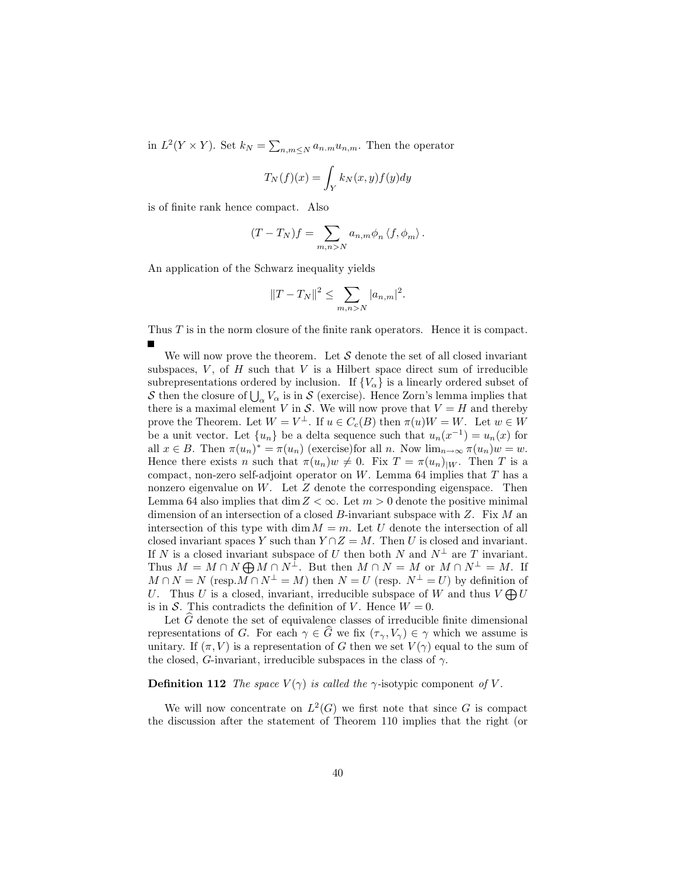in  $L^2(Y \times Y)$ . Set  $k_N = \sum_{n,m \leq N} a_{n,m} u_{n,m}$ . Then the operator

$$
T_N(f)(x) = \int_Y k_N(x, y) f(y) dy
$$

is of finite rank hence compact. Also

$$
(T - T_N)f = \sum_{m,n > N} a_{n,m} \phi_n \langle f, \phi_m \rangle.
$$

An application of the Schwarz inequality yields

$$
||T - T_N||^2 \le \sum_{m,n>N} |a_{n,m}|^2.
$$

Thus  $T$  is in the norm closure of the finite rank operators. Hence it is compact.

We will now prove the theorem. Let  $S$  denote the set of all closed invariant subspaces,  $V$ , of  $H$  such that  $V$  is a Hilbert space direct sum of irreducible subrepresentations ordered by inclusion. If  $\{V_{\alpha}\}\$ is a linearly ordered subset of  ${\cal S}$  then the closure of  $\bigcup_{\alpha} V_{\alpha}$  is in  ${\cal S}$  (exercise). Hence Zorn's lemma implies that there is a maximal element V in S. We will now prove that  $V = H$  and thereby prove the Theorem. Let  $W = V^{\perp}$ . If  $u \in C_c(B)$  then  $\pi(u)W = W$ . Let  $w \in W$ be a unit vector. Let  $\{u_n\}$  be a delta sequence such that  $u_n(x^{-1}) = u_n(x)$  for all  $x \in B$ . Then  $\pi(u_n)^* = \pi(u_n)$  (exercise) for all n. Now  $\lim_{n \to \infty} \pi(u_n)w = w$ . Hence there exists *n* such that  $\pi(u_n)w \neq 0$ . Fix  $T = \pi(u_n)|_W$ . Then *T* is a compact, non-zero self-adjoint operator on W. Lemma 64 implies that  $T$  has a nonzero eigenvalue on  $W$ . Let  $Z$  denote the corresponding eigenspace. Then Lemma 64 also implies that  $\dim Z < \infty$ . Let  $m > 0$  denote the positive minimal dimension of an intersection of a closed  $B$ -invariant subspace with  $Z$ . Fix  $M$  an intersection of this type with  $\dim M = m$ . Let U denote the intersection of all closed invariant spaces Y such than  $Y \cap Z = M$ . Then U is closed and invariant. If N is a closed invariant subspace of U then both N and  $N^{\perp}$  are T invariant.<br>Thus  $M = M \cap N \bigoplus M \cap N^{\perp}$ . But then  $M \cap N = M$  or  $M \cap N^{\perp} = M$ . If  $M \cap N = N$  (resp.  $M \cap N^{\perp} = M$ ) then  $N = U$  (resp.  $N^{\perp} = U$ ) by definition of U. Thus U is a closed, invariant, irreducible subspace of W and thus  $V \bigoplus U$ is in S. This contradicts the definition of V. Hence  $W = 0$ .

Let  $\hat{G}$  denote the set of equivalence classes of irreducible finite dimensional representations of G. For each  $\gamma \in \widehat{G}$  we fix  $(\tau_{\gamma}, V_{\gamma}) \in \gamma$  which we assume is unitary. If  $(\pi, V)$  is a representation of G then we set  $V(\gamma)$  equal to the sum of the closed, G-invariant, irreducible subspaces in the class of  $\gamma$ .

### **Definition 112** The space  $V(\gamma)$  is called the  $\gamma$ -isotypic component of V.

We will now concentrate on  $L^2(G)$  we first note that since G is compact the discussion after the statement of Theorem 110 implies that the right (or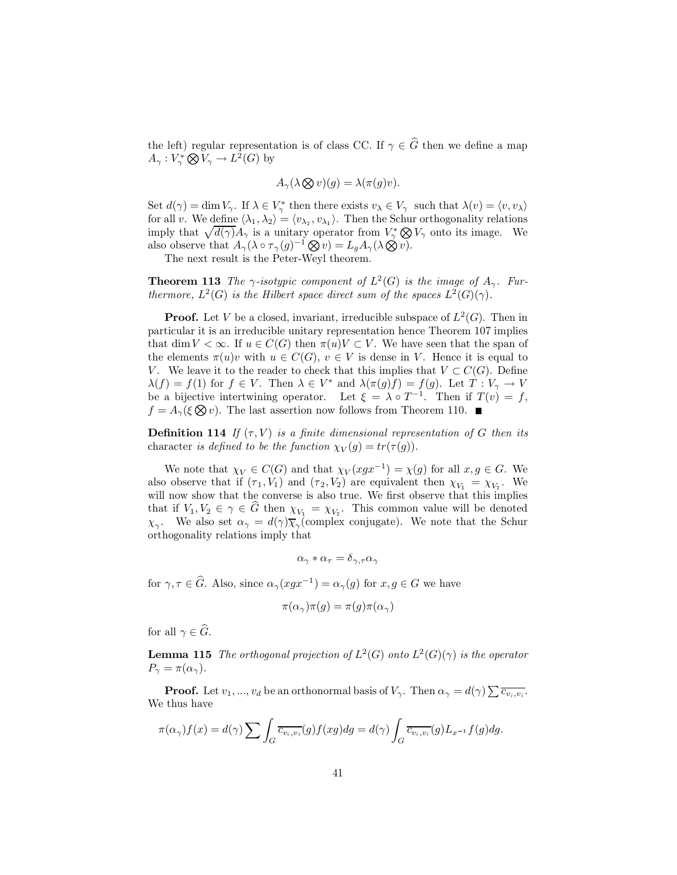the left) regular representation is of class CC. If  $\gamma \in \widehat{G}$  then we define a map  $A_{\gamma}: V_{\gamma}^* \bigotimes V_{\gamma} \to L^2(G)$  by

$$
A_{\gamma}(\lambda \otimes v)(g) = \lambda(\pi(g)v).
$$

Set  $d(\gamma) = \dim V_{\gamma}$ . If  $\lambda \in V_{\gamma}^*$  then there exists  $v_{\lambda} \in V_{\gamma}$  such that  $\lambda(v) = \langle v, v_{\lambda} \rangle$ for all v. We define  $\langle \lambda_1, \lambda_2 \rangle = \langle v_{\lambda_2}, v_{\lambda_1} \rangle$ . Then the Schur orthogonality relations imply that  $\sqrt{d(\gamma)}A_{\gamma}$  is a unitary operator from  $V_{\gamma}^* \otimes V_{\gamma}$  onto its image. We also observe that  $A_{\gamma}(\lambda \circ \tau_{\gamma}(g)^{-1} \otimes v) = L_g A_{\gamma}(\lambda \otimes v)$ .

The next result is the Peter-Wevl theorem.

**Theorem 113** The  $\gamma$ -isotypic component of  $L^2(G)$  is the image of  $A_{\gamma}$ . Furthermore,  $L^2(G)$  is the Hilbert space direct sum of the spaces  $L^2(G)(\gamma)$ .

**Proof.** Let V be a closed, invariant, irreducible subspace of  $L^2(G)$ . Then in particular it is an irreducible unitary representation hence Theorem 107 implies that dim  $V < \infty$ . If  $u \in C(G)$  then  $\pi(u)V \subset V$ . We have seen that the span of the elements  $\pi(u)v$  with  $u \in C(G)$ ,  $v \in V$  is dense in V. Hence it is equal to V. We leave it to the reader to check that this implies that  $V \subset C(G)$ . Define  $\lambda(f) = f(1)$  for  $f \in V$ . Then  $\lambda \in V^*$  and  $\lambda(\pi(g)f) = f(g)$ . Let  $\hat{T}: V_{\gamma} \to V$  be a bijective intertwining operator. Let  $\xi = \lambda \circ T^{-1}$ . Then if  $T(v) = f$ ,  $f = A_{\gamma}(\xi \otimes v)$ . The last assertion now follows from Theorem 110.

**Definition 114** If  $(\tau, V)$  is a finite dimensional representation of G then its character is defined to be the function  $\chi_V(g) = tr(\tau(g))$ .

We note that  $\chi_V \in C(G)$  and that  $\chi_V(xgx^{-1}) = \chi(g)$  for all  $x, g \in G$ . We also observe that if  $(\tau_1, V_1)$  and  $(\tau_2, V_2)$  are equivalent then  $\chi_{V_1} = \chi_{V_2}$ . We will now show that the converse is also true. We first observe that this implies that if  $V_1, V_2 \in \gamma \in \widehat{G}$  then  $\chi_{V_1} = \chi_{V_2}$ . This common value will be denoted  $\chi_{\gamma}$ . We also set  $\alpha_{\gamma} = d(\gamma)\overline{\chi}_{\gamma}$  (complex conjugate). We note that the Schur orthogonality relations imply that

$$
\alpha_\gamma * \alpha_\tau = \delta_{\gamma,\tau} \alpha_\gamma
$$

for  $\gamma, \tau \in \widehat{G}$ . Also, since  $\alpha_{\gamma}(xgx^{-1}) = \alpha_{\gamma}(g)$  for  $x, g \in G$  we have

$$
\pi(\alpha_{\gamma})\pi(g) = \pi(g)\pi(\alpha_{\gamma})
$$

for all  $\gamma \in \widehat{G}$ .

**Lemma 115** The orthogonal projection of  $L^2(G)$  onto  $L^2(G)(\gamma)$  is the operator  $P_{\gamma} = \pi(\alpha_{\gamma}).$ 

**Proof.** Let  $v_1, ..., v_d$  be an orthonormal basis of  $V_\gamma$ . Then  $\alpha_\gamma = d(\gamma) \sum \overline{c_{v_i, v_i}}$ . We thus have

$$
\pi(\alpha_{\gamma})f(x) = d(\gamma) \sum \int_{G} \overline{c_{v_i, v_i}}(g) f(xg) dg = d(\gamma) \int_{G} \overline{c_{v_i, v_i}}(g) L_{x^{-1}}f(g) dg.
$$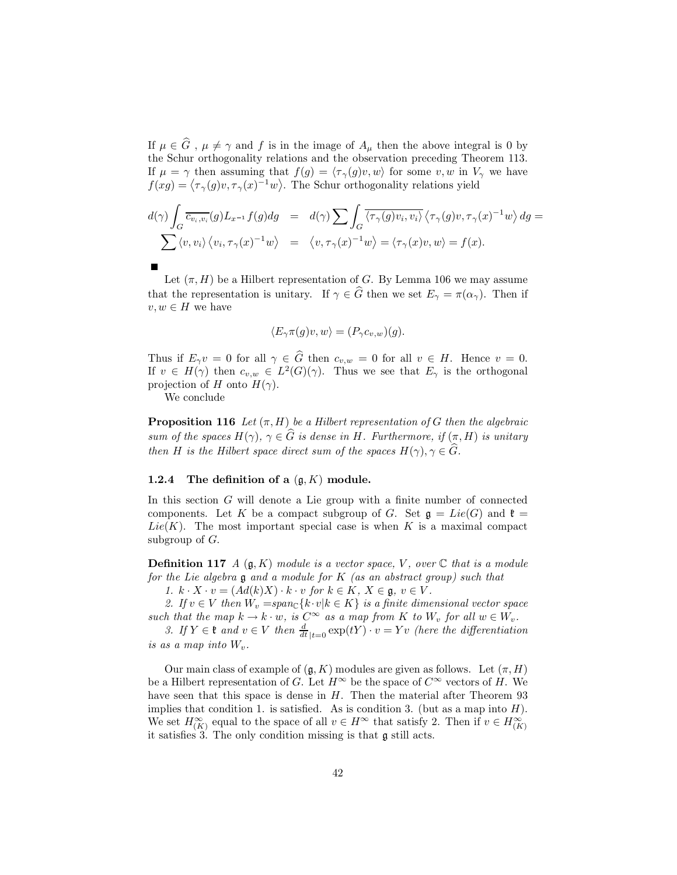If  $\mu \in \widehat{G}$ ,  $\mu \neq \gamma$  and f is in the image of  $A_{\mu}$  then the above integral is 0 by the Schur orthogonality relations and the observation preceding Theorem 113. If  $\mu = \gamma$  then assuming that  $f(g) = \langle \tau_{\gamma}(g)v, w \rangle$  for some v, w in  $V_{\gamma}$  we have  $f(xg) = \langle \tau_{\gamma}(g)v, \tau_{\gamma}(x)^{-1}w \rangle$ . The Schur orthogonality relations yield

$$
d(\gamma) \int_G \overline{c_{v_i, v_i}}(g) L_{x^{-1}} f(g) dg = d(\gamma) \sum \int_G \overline{\langle \tau_\gamma(g) v_i, v_i \rangle} \langle \tau_\gamma(g) v, \tau_\gamma(x)^{-1} w \rangle dg =
$$
  
 
$$
\sum \langle v, v_i \rangle \langle v_i, \tau_\gamma(x)^{-1} w \rangle = \langle v, \tau_\gamma(x)^{-1} w \rangle = \langle \tau_\gamma(x) v, w \rangle = f(x).
$$

Let  $(\pi, H)$  be a Hilbert representation of G. By Lemma 106 we may assume that the representation is unitary. If  $\gamma \in \widehat{G}$  then we set  $E_{\gamma} = \pi(\alpha_{\gamma})$ . Then if  $v, w \in H$  we have

$$
\langle E_{\gamma}\pi(g)v, w\rangle = (P_{\gamma}c_{v,w})(g).
$$

Thus if  $E_\gamma v = 0$  for all  $\gamma \in \widehat{G}$  then  $c_{v,w} = 0$  for all  $v \in H$ . Hence  $v = 0$ . If  $v \in H(\gamma)$  then  $c_{v,w} \in L^2(G)(\gamma)$ . Thus we see that  $E_\gamma$  is the orthogonal projection of H onto  $H(\gamma)$ .

We conclude

**Proposition 116** Let  $(\pi, H)$  be a Hilbert representation of G then the algebraic sum of the spaces  $H(\gamma)$ ,  $\gamma \in \widehat{G}$  is dense in H. Furthermore, if  $(\pi, H)$  is unitary then H is the Hilbert space direct sum of the spaces  $H(\gamma), \gamma \in \widehat{G}$ .

### The definition of a  $(\mathfrak{g}, K)$  module. 1.2.4

In this section  $G$  will denote a Lie group with a finite number of connected components. Let K be a compact subgroup of G. Set  $\mathfrak{g} = Lie(G)$  and  $\mathfrak{k} =$  $Lie(K)$ . The most important special case is when K is a maximal compact subgroup of  $G$ .

**Definition 117** A  $(g, K)$  module is a vector space, V, over  $\mathbb C$  that is a module for the Lie algebra  $\mathfrak g$  and a module for K (as an abstract group) such that

1.  $k \cdot X \cdot v = (Ad(k)X) \cdot k \cdot v$  for  $k \in K$ ,  $X \in \mathfrak{g}, v \in V$ .

2. If  $v \in V$  then  $W_v = span_{\mathbb{C}} \{k \cdot v | k \in K\}$  is a finite dimensional vector space such that the map  $k \to k \cdot w$ , is  $C^{\infty}$  as a map from K to  $W_v$  for all  $w \in W_v$ .<br>3. If  $Y \in \mathfrak{k}$  and  $v \in V$  then  $\frac{d}{dt}|_{t=0} \exp(tY) \cdot v = Yv$  (here the differentiation

is as a map into  $W_v$ .

Our main class of example of  $(\mathfrak{g}, K)$  modules are given as follows. Let  $(\pi, H)$ be a Hilbert representation of G. Let  $H^{\infty}$  be the space of  $C^{\infty}$  vectors of H. We have seen that this space is dense in  $H$ . Then the material after Theorem 93 implies that condition 1. is satisfied. As is condition 3. (but as a map into  $H$ ). We set  $H_{(K)}^{\infty}$  equal to the space of all  $v \in H^{\infty}$  that satisfy 2. Then if  $v \in H_{(K)}^{\infty}$ it satisfies  $3$ . The only condition missing is that  $\mathfrak g$  still acts.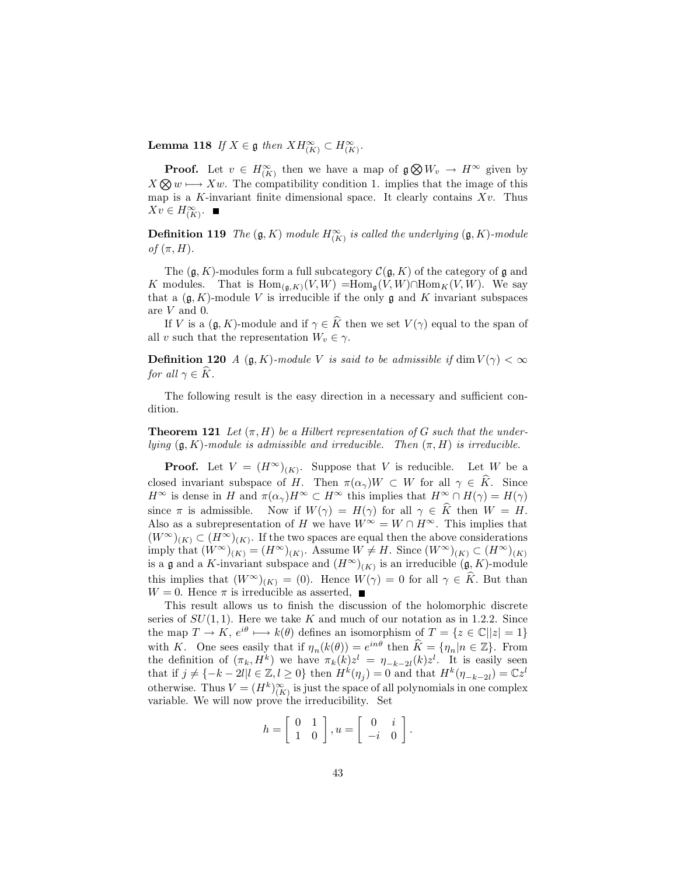**Lemma 118** If  $X \in \mathfrak{g}$  then  $XH_{(K)}^{\infty} \subset H_{(K)}^{\infty}$ .

**Proof.** Let  $v \in H_{(K)}^{\infty}$  then we have a map of  $\mathfrak{g} \otimes W_v \to H^{\infty}$  given by  $X \otimes w \longrightarrow Xw$ . The compatibility condition 1. implies that the image of this map is a K-invariant finite dimensional space. It clearly contains  $Xv$ . Thus  $Xv \in H^{\infty}_{(K)}$ .

**Definition 119** The  $(\mathfrak{g}, K)$  module  $H_{(K)}^{\infty}$  is called the underlying  $(\mathfrak{g}, K)$ -module of  $(\pi, H)$ .

The  $(\mathfrak{g}, K)$ -modules form a full subcategory  $\mathcal{C}(\mathfrak{g}, K)$  of the category of  $\mathfrak{g}$  and K modules. That is  $\text{Hom}_{(\mathfrak{g},K)}(V,W) = \text{Hom}_{\mathfrak{g}}(V,W) \cap \text{Hom}_K(V,W)$ . We say that a  $(\mathfrak{g}, K)$ -module V is irreducible if the only  $\mathfrak{g}$  and K invariant subspaces are  $V$  and 0.

If V is a  $(\mathfrak{g}, K)$ -module and if  $\gamma \in \widehat{K}$  then we set  $V(\gamma)$  equal to the span of all v such that the representation  $W_v \in \gamma$ .

**Definition 120** A  $(g, K)$ -module V is said to be admissible if dim  $V(\gamma) < \infty$ for all  $\gamma \in \widehat{K}$ .

The following result is the easy direction in a necessary and sufficient condition.

**Theorem 121** Let  $(\pi, H)$  be a Hilbert representation of G such that the underlying  $(\mathfrak{g}, K)$ -module is admissible and irreducible. Then  $(\pi, H)$  is irreducible.

**Proof.** Let  $V = (H^{\infty})_{(K)}$ . Suppose that V is reducible. Let W be a closed invariant subspace of H. Then  $\pi(\alpha_{\gamma})W \subset W$  for all  $\gamma \in \widehat{K}$ . Since  $H^{\infty}$  is dense in H and  $\pi(\alpha_{\gamma})H^{\infty} \subset H^{\infty}$  this implies that  $H^{\infty} \cap H(\gamma) = H(\gamma)$ since  $\pi$  is admissible. Now if  $W(\gamma) = H(\gamma)$  for all  $\gamma \in \widehat{K}$  then  $W = H$ . Also as a subrepresentation of H we have  $W^{\infty} = W \cap H^{\infty}$ . This implies that  $(W^{\infty})_{(K)} \subset (H^{\infty})_{(K)}$ . If the two spaces are equal then the above considerations imply that  $(W^{\infty})_{(K)} = (H^{\infty})_{(K)}$ . Assume  $W \neq H$ . Since  $(W^{\infty})_{(K)} \subset (H^{\infty})_{(K)}$ is a  $\mathfrak g$  and a K-invariant subspace and  $(H^{\infty})_{(K)}$  is an irreducible  $(\mathfrak g, K)$ -module this implies that  $(W^{\infty})_{(K)} = (0)$ . Hence  $W(\gamma) = 0$  for all  $\gamma \in \hat{K}$ . But than  $W = 0$ . Hence  $\pi$  is irreducible as asserted,  $\blacksquare$ 

This result allows us to finish the discussion of the holomorphic discrete series of  $SU(1,1)$ . Here we take K and much of our notation as in 1.2.2. Since the map  $T \to K$ ,  $e^{i\theta} \mapsto k(\theta)$  defines an isomorphism of  $T = \{z \in \mathbb{C} | |z| = 1\}$ with K. One sees easily that if  $\eta_n(k(\theta)) = e^{in\theta}$  then  $\widehat{K} = {\eta_n | n \in \mathbb{Z}}$ . From the definition of  $(\pi_k, H^k)$  we have  $\pi_k(k)z^l = \eta_{-k-2l}(k)z^l$ . It is easily seen that if  $j \neq \{-k-2l | l \in \mathbb{Z}, l \geq 0\}$  then  $H^k(\eta_j) = 0$  and that  $H^k(\eta_{-k-2l}) = \mathbb{C}z^l$ otherwise. Thus  $V = (H^k)_{(K)}^{\infty}$  is just the space of all polynomials in one complex variable. We will now prove the irreducibility. Set

$$
h = \left[ \begin{array}{cc} 0 & 1 \\ 1 & 0 \end{array} \right], u = \left[ \begin{array}{cc} 0 & i \\ -i & 0 \end{array} \right].
$$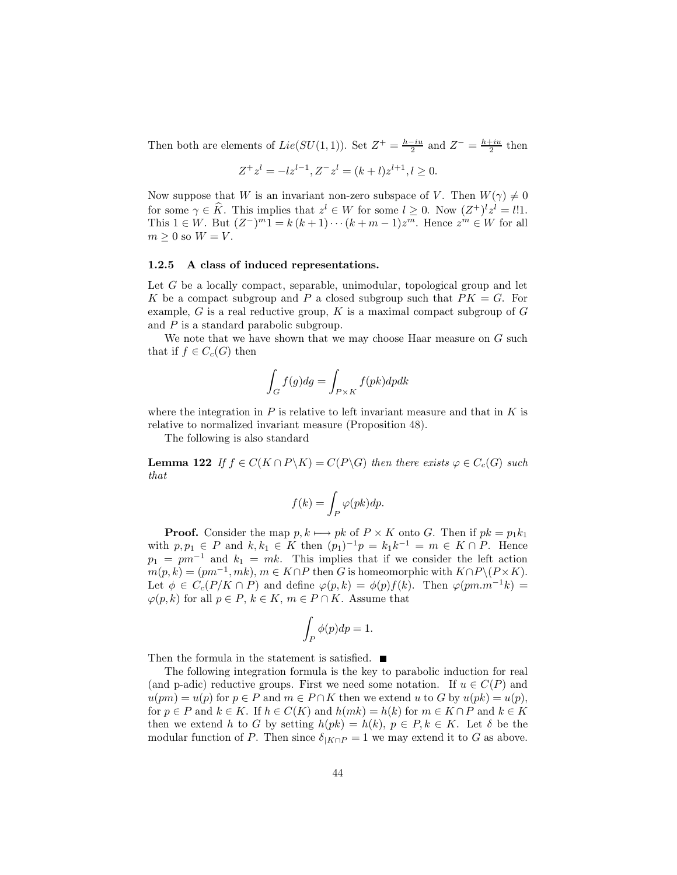Then both are elements of  $Lie(SU(1,1))$ . Set  $Z^+ = \frac{h-iu}{2}$  and  $Z^- = \frac{h+iu}{2}$  then

$$
Z^{+}z^{l} = -lz^{l-1}, Z^{-}z^{l} = (k+l)z^{l+1}, l \ge 0.
$$

Now suppose that W is an invariant non-zero subspace of V. Then  $W(\gamma) \neq 0$ for some  $\gamma \in \widehat{K}$ . This implies that  $z^l \in W$  for some  $l \geq 0$ . Now  $(Z^+)^l z^l = l!1$ . This  $1 \in W$ . But  $(Z^{-})^{m}1 = k(k+1)\cdots(k+m-1)z^{m}$ . Hence  $z^{m} \in W$  for all  $m \geq 0$  so  $W = V$ .

#### 1.2.5 A class of induced representations.

Let  $G$  be a locally compact, separable, unimodular, topological group and let K be a compact subgroup and P a closed subgroup such that  $PK = G$ . For example, G is a real reductive group, K is a maximal compact subgroup of  $G$ and  $P$  is a standard parabolic subgroup.

We note that we have shown that we may choose Haar measure on  $G$  such that if  $f \in C_c(G)$  then

$$
\int_G f(g) dg = \int_{P \times K} f(pk) dp dk
$$

where the integration in  $P$  is relative to left invariant measure and that in  $K$  is relative to normalized invariant measure (Proposition 48).

The following is also standard

**Lemma 122** If  $f \in C(K \cap P \backslash K) = C(P \backslash G)$  then there exists  $\varphi \in C_c(G)$  such that

$$
f(k) = \int_P \varphi(pk) dp.
$$

**Proof.** Consider the map  $p, k \mapsto pk$  of  $P \times K$  onto G. Then if  $pk = p_1k_1$ with  $p, p_1 \in P$  and  $k, k_1 \in K$  then  $(p_1)^{-1}p = k_1k^{-1} = m \in K \cap P$ . Hence  $p_1 = pm^{-1}$  and  $k_1 = mk$ . This implies that if we consider the left action  $m(p,k) = (pm^{-1}, mk), m \in K \cap P$  then G is homeomorphic with  $K \cap P \setminus (P \times K)$ . Let  $\phi \in C_c(P/K \cap P)$  and define  $\varphi(p,k) = \phi(p)f(k)$ . Then  $\varphi(pm.m^{-1}k) =$  $\varphi(p,k)$  for all  $p \in P$ ,  $k \in K$ ,  $m \in P \cap K$ . Assume that

$$
\int_P \phi(p) dp = 1.
$$

Then the formula in the statement is satisfied.  $\blacksquare$ 

The following integration formula is the key to parabolic induction for real (and p-adic) reductive groups. First we need some notation. If  $u \in C(P)$  and  $u(pm) = u(p)$  for  $p \in P$  and  $m \in P \cap K$  then we extend u to G by  $u(pk) = u(p)$ , for  $p \in P$  and  $k \in K$ . If  $h \in C(K)$  and  $h(mk) = h(k)$  for  $m \in K \cap P$  and  $k \in K$ then we extend h to G by setting  $h(pk) = h(k)$ ,  $p \in P, k \in K$ . Let  $\delta$  be the modular function of P. Then since  $\delta_{|K \cap P} = 1$  we may extend it to G as above.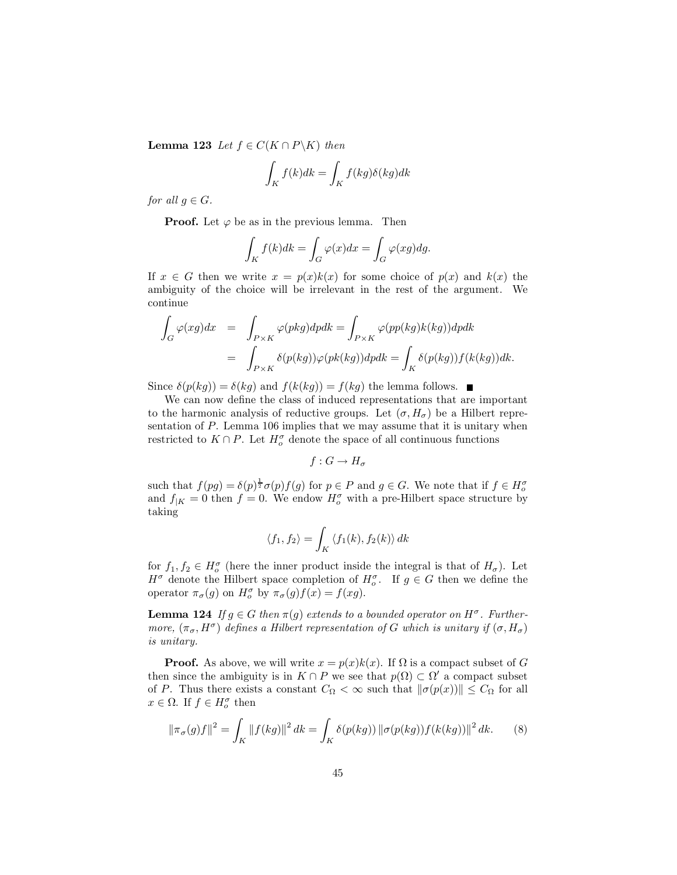**Lemma 123** Let  $f \in C(K \cap P \backslash K)$  then

$$
\int_{K} f(k)dk = \int_{K} f(kg)\delta(kg)dk
$$

for all  $g \in G$ .

**Proof.** Let  $\varphi$  be as in the previous lemma. Then

$$
\int_{K} f(k)dk = \int_{G} \varphi(x)dx = \int_{G} \varphi(xg)dg.
$$

If  $x \in G$  then we write  $x = p(x)k(x)$  for some choice of  $p(x)$  and  $k(x)$  the ambiguity of the choice will be irrelevant in the rest of the argument. We continue

$$
\int_{G} \varphi(xg)dx = \int_{P\times K} \varphi(pkg)dpdk = \int_{P\times K} \varphi(pp(kg)k(kg))dpdk
$$

$$
= \int_{P\times K} \delta(p(kg))\varphi(pk(kg))dpdk = \int_{K} \delta(p(kg))f(k(kg))dk.
$$

Since  $\delta(p(kg)) = \delta(kg)$  and  $f(k(kg)) = f(kg)$  the lemma follows.

We can now define the class of induced representations that are important to the harmonic analysis of reductive groups. Let  $(\sigma, H_{\sigma})$  be a Hilbert representation of  $P$ . Lemma 106 implies that we may assume that it is unitary when restricted to  $K \cap P$ . Let  $H_o^{\sigma}$  denote the space of all continuous functions

$$
f: G \to H_{\sigma}
$$

such that  $f(pg) = \delta(p)^{\frac{1}{2}} \sigma(p) f(g)$  for  $p \in P$  and  $g \in G$ . We note that if  $f \in H^{\sigma}_{\alpha}$ and  $f_{|K} = 0$  then  $f = 0$ . We endow  $H_o^{\sigma}$  with a pre-Hilbert space structure by taking

$$
\langle f_1, f_2 \rangle = \int_K \langle f_1(k), f_2(k) \rangle \, dk
$$

for  $f_1, f_2 \in H_0^{\sigma}$  (here the inner product inside the integral is that of  $H_{\sigma}$ ). Let  $H^{\sigma}$  denote the Hilbert space completion of  $H^{\sigma}_{\sigma}$ . If  $g \in G$  then we define the operator  $\pi_{\sigma}(g)$  on  $H_o^{\sigma}$  by  $\pi_{\sigma}(g)f(x) = f(xg)$ .

**Lemma 124** If  $g \in G$  then  $\pi(g)$  extends to a bounded operator on  $H^{\sigma}$ . Furthermore,  $(\pi_{\sigma}, H^{\sigma})$  defines a Hilbert representation of G which is unitary if  $(\sigma, H_{\sigma})$ *is unitary.* 

**Proof.** As above, we will write  $x = p(x)k(x)$ . If  $\Omega$  is a compact subset of G then since the ambiguity is in  $K \cap P$  we see that  $p(\Omega) \subset \Omega'$  a compact subset of P. Thus there exists a constant  $C_{\Omega} < \infty$  such that  $\|\sigma(p(x))\| \leq C_{\Omega}$  for all  $x \in \Omega$ . If  $f \in H_o^{\sigma}$  then

$$
\|\pi_{\sigma}(g)f\|^{2} = \int_{K} \|f(kg)\|^{2} dk = \int_{K} \delta(p(kg)) \|\sigma(p(kg))f(k(kg))\|^{2} dk. \tag{8}
$$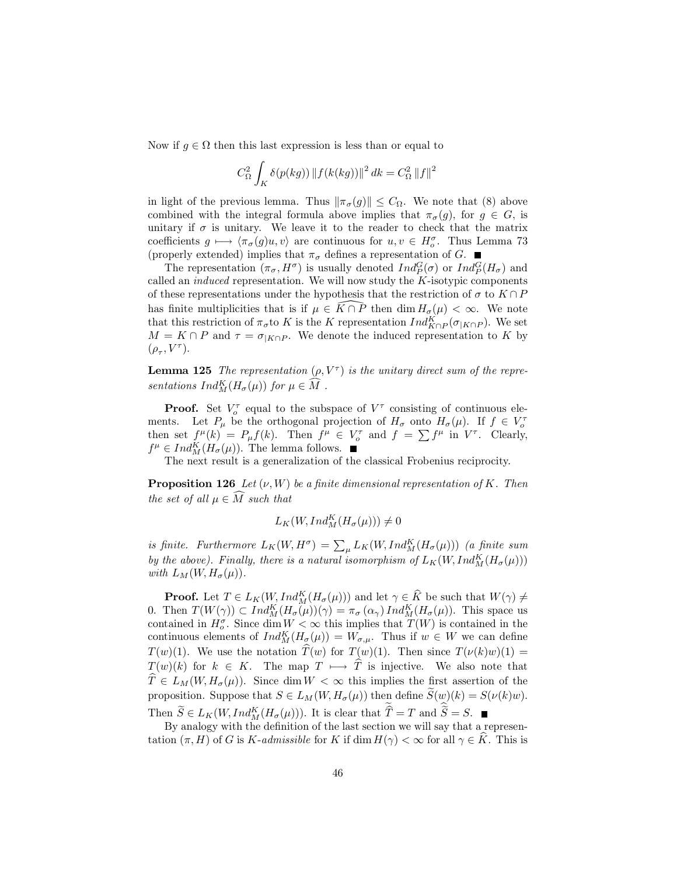Now if  $g \in \Omega$  then this last expression is less than or equal to

$$
C_{\Omega}^{2} \int_{K} \delta(p(kg)) \|f(k(kg))\|^{2} dk = C_{\Omega}^{2} \|f\|^{2}
$$

in light of the previous lemma. Thus  $\|\pi_{\sigma}(g)\| \leq C_{\Omega}$ . We note that (8) above combined with the integral formula above implies that  $\pi_{\sigma}(q)$ , for  $q \in G$ , is unitary if  $\sigma$  is unitary. We leave it to the reader to check that the matrix coefficients  $g \mapsto \langle \pi_{\sigma}(g)u, v \rangle$  are continuous for  $u, v \in H_o^{\sigma}$ . Thus Lemma 73 (properly extended) implies that  $\pi_{\sigma}$  defines a representation of G.  $\blacksquare$ 

The representation  $(\pi_{\sigma}, H^{\sigma})$  is usually denoted  $Ind_{P}^{G}(\sigma)$  or  $Ind_{P}^{G}(H_{\sigma})$  and called an *induced* representation. We will now study the  $K$ -isotypic components of these representations under the hypothesis that the restriction of  $\sigma$  to  $K \cap P$ has finite multiplicities that is if  $\mu \in \widehat{K} \cap \overline{P}$  then  $\dim H_{\sigma}(\mu) < \infty$ . We note that this restriction of  $\pi_{\sigma}$  to K is the K representation  $Ind_{K\cap P}^{K}(\sigma_{|K\cap P})$ . We set  $M = K \cap P$  and  $\tau = \sigma_{|K \cap P}$ . We denote the induced representation to K by  $(\rho_\tau, V^\tau).$ 

**Lemma 125** The representation  $(\rho, V^{\tau})$  is the unitary direct sum of the representations  $Ind_M^K(H_{\sigma}(\mu))$  for  $\mu \in \widehat{M}$ .

**Proof.** Set  $V_o^{\tau}$  equal to the subspace of  $V^{\tau}$  consisting of continuous elements. Let  $P_{\mu}$  be the orthogonal projection of  $H_{\sigma}$  onto  $H_{\sigma}(\mu)$ . If  $f \in V_{\sigma}^{\tau}$  then set  $f^{\mu}(k) = P_{\mu}f(k)$ . Then  $f^{\mu} \in V_{\sigma}^{\tau}$  and  $f = \sum f^{\mu}$  in  $V^{\tau}$ . Clearly,  $f^{\mu} \in Ind_{M}^{K}(H_{\sigma}(\mu)).$  The lemma follows.

The next result is a generalization of the classical Frobenius reciprocity.

**Proposition 126** Let  $(\nu, W)$  be a finite dimensional representation of K. Then the set of all  $\mu \in \widehat{M}$  such that

$$
L_K(W, Ind_M^K(H_{\sigma}(\mu))) \neq 0
$$

is finite. Furthermore  $L_K(W, H^{\sigma}) = \sum_{\mu} L_K(W, Ind_M^K(H_{\sigma}(\mu)))$  (a finite sum by the above). Finally, there is a natural isomorphism of  $L_K(W, Ind_M^K(H_{\sigma}(\mu)))$ with  $L_M(W, H_\sigma(\mu))$ .

**Proof.** Let  $T \in L_K(W, Ind_M^K(H_{\sigma}(\mu)))$  and let  $\gamma \in \widehat{K}$  be such that  $W(\gamma) \neq$ 0. Then  $T(W(\gamma)) \subset Ind_{M}^{K}(H_{\sigma}(\mu))(\gamma) = \pi_{\sigma}(\alpha_{\gamma}) Ind_{M}^{K}(H_{\sigma}(\mu))$ . This space us contained in  $H_{\sigma}^{\sigma}$ . Since dim  $W < \infty$  this implies that  $T(W)$  is contained in the continuous elements of  $Ind_M^K(H_{\sigma}(\mu)) = W_{\sigma,\mu}$ . Thus if  $w \in W$  we can define  $T(w)(1)$ . We use the notation  $\widehat{T}(w)$  for  $T(w)(1)$ . Then since  $T(\nu(k)w)(1) =$  $T(w)(k)$  for  $k \in K$ . The map  $T \mapsto \hat{T}$  is injective. We also note that  $\widehat{T} \in L_M(W, H_\sigma(\mu)).$  Since dim  $W < \infty$  this implies the first assertion of the proposition. Suppose that  $S \in L_M(W, H_\sigma(\mu))$  then define  $\widetilde{S}(w)(k) = S(\nu(k)w)$ . Then  $\widetilde{S} \in L_K(W, Ind_M^K(H_{\sigma}(\mu)))$ . It is clear that  $\widetilde{\widehat{T}} = T$  and  $\widetilde{\widehat{S}} = S$ .

By analogy with the definition of the last section we will say that a representation  $(\pi, H)$  of G is K-admissible for K if dim  $H(\gamma) < \infty$  for all  $\gamma \in \hat{K}$ . This is